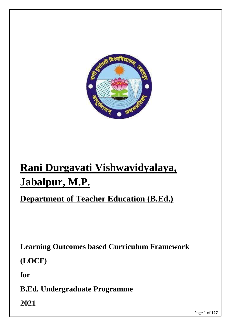

# **Rani Durgavati Vishwavidyalaya, Jabalpur, M.P.**

# **Department of Teacher Education (B.Ed.)**

**Learning Outcomes based Curriculum Framework**

**(LOCF)**

**for**

**B.Ed. Undergraduate Programme**

**2021**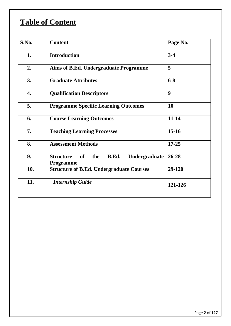# **Table of Content**

| S.No. | <b>Content</b>                                                       | Page No.         |
|-------|----------------------------------------------------------------------|------------------|
| 1.    | <b>Introduction</b>                                                  | $3-4$            |
| 2.    | Aims of B.Ed. Undergraduate Programme                                | 5                |
| 3.    | <b>Graduate Attributes</b>                                           | $6 - 8$          |
| 4.    | <b>Qualification Descriptors</b>                                     | $\boldsymbol{9}$ |
| 5.    | <b>Programme Specific Learning Outcomes</b>                          | <b>10</b>        |
| 6.    | <b>Course Learning Outcomes</b>                                      | $11 - 14$        |
| 7.    | <b>Teaching Learning Processes</b>                                   | $15-16$          |
| 8.    | <b>Assessment Methods</b>                                            | $17 - 25$        |
| 9.    | <b>Structure</b><br>the<br>Undergraduate<br>of<br>B.Ed.<br>Programme | $26 - 28$        |
| 10.   | <b>Structure of B.Ed. Undergraduate Courses</b>                      | 29-120           |
| 11.   | <b>Internship Guide</b>                                              | 121-126          |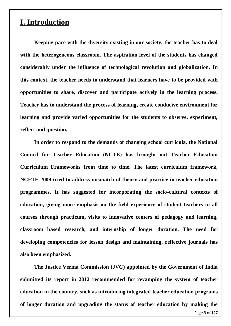# **I. Introduction**

**Keeping pace with the diversity existing in our society, the teacher has to deal with the heterogeneous classroom. The aspiration level of the students has changed considerably under the influence of technological revolution and globalization. In this context, the teacher needs to understand that learners have to be provided with opportunities to share, discover and participate actively in the learning process. Teacher has to understand the process of learning, create conducive environment for learning and provide varied opportunities for the students to observe, experiment, reflect and question.** 

**In order to respond to the demands of changing school curricula, the National Council for Teacher Education (NCTE) has brought out Teacher Education Curriculum Frameworks from time to time. The latest curriculum framework, NCFTE-2009 tried to address mismatch of theory and practice in teacher education programmes. It has suggested for incorporating the socio-cultural contexts of education, giving more emphasis on the field experience of student teachers in all courses through practicum, visits to innovative centers of pedagogy and learning, classroom based research, and internship of longer duration. The need for developing competencies for lesson design and maintaining, reflective journals has also been emphasized.**

Page **3** of **127 The Justice Verma Commission (JVC) appointed by the Government of India submitted its report in 2012 recommended for revamping the system of teacher education in the country, such as introducing integrated teacher education programs of longer duration and upgrading the status of teacher education by making the**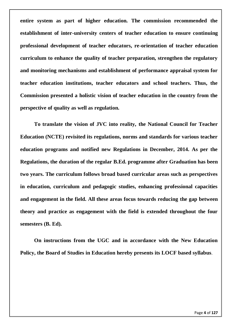**entire system as part of higher education. The commission recommended the establishment of inter-university centers of teacher education to ensure continuing professional development of teacher educators, re-orientation of teacher education curriculum to enhance the quality of teacher preparation, strengthen the regulatory and monitoring mechanisms and establishment of performance appraisal system for teacher education institutions, teacher educators and school teachers. Thus, the Commission presented a holistic vision of teacher education in the country from the perspective of quality as well as regulation.**

**To translate the vision of JVC into reality, the National Council for Teacher Education (NCTE) revisited its regulations, norms and standards for various teacher education programs and notified new Regulations in December, 2014. As per the Regulations, the duration of the regular B.Ed. programme after Graduation has been two years. The curriculum follows broad based curricular areas such as perspectives in education, curriculum and pedagogic studies, enhancing professional capacities and engagement in the field. All these areas focus towards reducing the gap between theory and practice as engagement with the field is extended throughout the four semesters (B. Ed).** 

**On instructions from the UGC and in accordance with the New Education Policy, the Board of Studies in Education hereby presents its LOCF based syllabus**.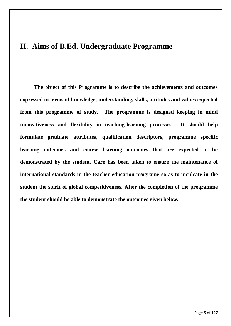# **II. Aims of B.Ed. Undergraduate Programme**

**The object of this Programme is to describe the achievements and outcomes expressed in terms of knowledge, understanding, skills, attitudes and values expected from this programme of study. The programme is designed keeping in mind innovativeness and flexibility in teaching-learning processes. It should help formulate graduate attributes, qualification descriptors, programme specific learning outcomes and course learning outcomes that are expected to be demonstrated by the student. Care has been taken to ensure the maintenance of international standards in the teacher education programe so as to inculcate in the student the spirit of global competitiveness. After the completion of the programme the student should be able to demonstrate the outcomes given below.**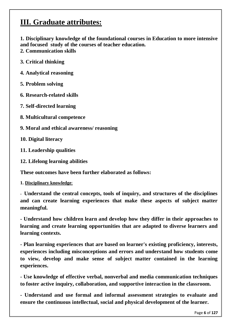# **III. Graduate attributes:**

**1. Disciplinary knowledge of the foundational courses in Education to more intensive and focused study of the courses of teacher education.**

- **2. Communication skills**
- **3. Critical thinking**
- **4. Analytical reasoning**
- **5. Problem solving**
- **6. Research-related skills**
- **7. Self-directed learning**
- **8. Multicultural competence**
- **9. Moral and ethical awareness/ reasoning**
- **10. Digital literacy**
- **11. Leadership qualities**
- **12. Lifelong learning abilities**

**These outcomes have been further elaborated as follows:**

#### **1. Disciplinary knowledge**:

**- Understand the central concepts, tools of inquiry, and structures of the disciplines and can create learning experiences that make these aspects of subject matter meaningful.** 

**- Understand how children learn and develop how they differ in their approaches to learning and create learning opportunities that are adapted to diverse learners and learning contexts.** 

**- Plan learning experiences that are based on learner's existing proficiency, interests, experiences including misconceptions and errors and understand how students come to view, develop and make sense of subject matter contained in the learning experiences.** 

**- Use knowledge of effective verbal, nonverbal and media communication techniques to foster active inquiry, collaboration, and supportive interaction in the classroom.** 

**- Understand and use formal and informal assessment strategies to evaluate and ensure the continuous intellectual, social and physical development of the learner.**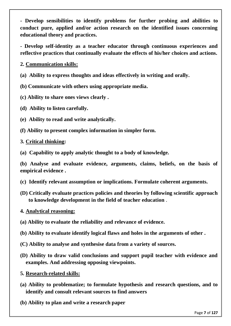**- Develop sensibilities to identify problems for further probing and abilities to conduct pure, applied and/or action research on the identified issues concerning educational theory and practices.** 

**- Develop self-identity as a teacher educator through continuous experiences and reflective practices that continually evaluate the effects of his/her choices and actions.**

**2. Communication skills:** 

**(a) Ability to express thoughts and ideas effectively in writing and orally.**

**(b) Communicate with others using appropriate media.** 

- **(c) Ability to share ones views clearly .**
- **(d) Ability to listen carefully.**
- **(e) Ability to read and write analytically.**
- **(f) Ability to present complex information in simpler form.**

**3. Critical thinking:** 

**(a) Capability to apply analytic thought to a body of knowledge.**

**(b) Analyse and evaluate evidence, arguments, claims, beliefs, on the basis of empirical evidence .**

- **(c) Identify relevant assumption or implications. Formulate coherent arguments.**
- **(D) Critically evaluate practices policies and theories by following scientific approach to knowledge development in the field of teacher education** .
- **4. Analytical reasoning:**
- **(a) Ability to evaluate the reliability and relevance of evidence.**
- **(b) Ability to evaluate identify logical flaws and holes in the arguments of other .**
- **(C) Ability to analyse and synthesise data from a variety of sources.**
- **(D) Ability to draw valid conclusions and support pupil teacher with evidence and examples. And addressing opposing viewpoints.**

**5. Research-related skills:**

- **(a) Ability to problematize; to formulate hypothesis and research questions, and to identify and consult relevant sources to find answers**
- **(b) Ability to plan and write a research paper**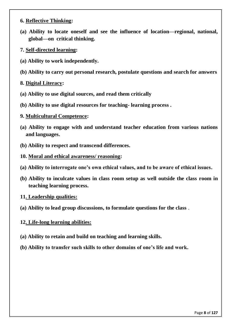#### **6. Reflective Thinking:**

- **(a) Ability to locate oneself and see the influence of location—regional, national, global—on critical thinking.**
- **7. Self-directed learning:**
- **(a) Ability to work independently.**
- **(b) Ability to carry out personal research, postulate questions and search for answers**

#### **8. Digital Literacy:**

- **(a) Ability to use digital sources, and read them critically**
- **(b) Ability to use digital resources for teaching- learning process .**

#### **9. Multicultural Competence:**

- **(a) Ability to engage with and understand teacher education from various nations and languages.**
- **(b) Ability to respect and transcend differences.**
- **10. Moral and ethical awareness/ reasoning:**
- **(a) Ability to interrogate one's own ethical values, and to be aware of ethical issues.**
- **(b) Ability to inculcate values in class room setup as well outside the class room in teaching learning process.**
- **11. Leadership qualities:**
- **(a) Ability to lead group discussions, to formulate questions for the class** .

## **12. Life-long learning abilities:**

- **(a) Ability to retain and build on teaching and learning skills.**
- **(b) Ability to transfer such skills to other domains of one's life and work.**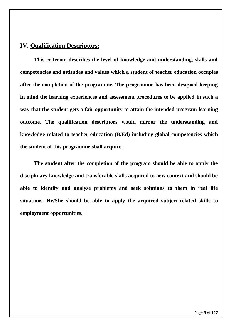# **IV. Qualification Descriptors:**

**This criterion describes the level of knowledge and understanding, skills and competencies and attitudes and values which a student of teacher education occupies after the completion of the programme. The programme has been designed keeping in mind the learning experiences and assessment procedures to be applied in such a way that the student gets a fair opportunity to attain the intended program learning outcome. The qualification descriptors would mirror the understanding and knowledge related to teacher education (B.Ed) including global competencies which the student of this programme shall acquire.** 

**The student after the completion of the program should be able to apply the disciplinary knowledge and transferable skills acquired to new context and should be able to identify and analyse problems and seek solutions to them in real life situations. He/She should be able to apply the acquired subject-related skills to employment opportunities.**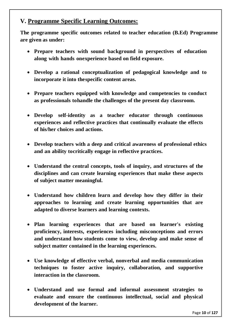# **V. Programme Specific Learning Outcomes:**

**The programme specific outcomes related to teacher education (B.Ed) Programme are given as under:** 

- **Prepare teachers with sound background in perspectives of education along with hands onexperience based on field exposure.**
- **Develop a rational conceptualization of pedagogical knowledge and to incorporate it into thespecific content areas.**
- **Prepare teachers equipped with knowledge and competencies to conduct as professionals tohandle the challenges of the present day classroom.**
- **Develop self-identity as a teacher educator through continuous experiences and reflective practices that continually evaluate the effects of his/her choices and actions.**
- **Develop teachers with a deep and critical awareness of professional ethics and an ability tocritically engage in reflective practices.**
- **Understand the central concepts, tools of inquiry, and structures of the disciplines and can create learning experiences that make these aspects of subject matter meaningful.**
- **Understand how children learn and develop how they differ in their approaches to learning and create learning opportunities that are adapted to diverse learners and learning contexts.**
- **Plan learning experiences that are based on learner's existing proficiency, interests, experiences including misconceptions and errors and understand how students come to view, develop and make sense of subject matter contained in the learning experiences.**
- **Use knowledge of effective verbal, nonverbal and media communication techniques to foster active inquiry, collaboration, and supportive interaction in the classroom.**
- **Understand and use formal and informal assessment strategies to evaluate and ensure the continuous intellectual, social and physical development of the learner.**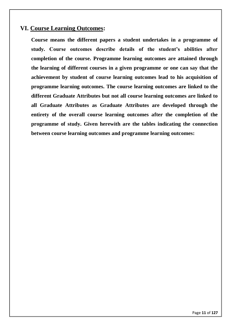# **VI. Course Learning Outcomes:**

**Course means the different papers a student undertakes in a programme of study. Course outcomes describe details of the student's abilities after completion of the course. Programme learning outcomes are attained through the learning of different courses in a given programme or one can say that the achievement by student of course learning outcomes lead to his acquisition of programme learning outcomes. The course learning outcomes are linked to the different Graduate Attributes but not all course learning outcomes are linked to all Graduate Attributes as Graduate Attributes are developed through the entirety of the overall course learning outcomes after the completion of the programme of study. Given herewith are the tables indicating the connection between course learning outcomes and programme learning outcomes:**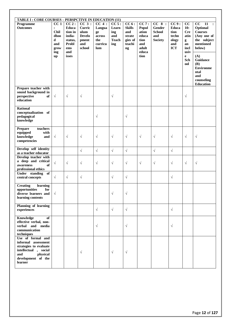| TABLE I : CORE COURSES - PERSPCTIVE IN EDUCATION (11)                                                                                           |                                                                         |                                                                                      |                                                                       |                                                          |                                                     |                                                                              |                                                                          |                                                           |                                                              |                                                                                         |                                                                                                                                                                                                                                                      |
|-------------------------------------------------------------------------------------------------------------------------------------------------|-------------------------------------------------------------------------|--------------------------------------------------------------------------------------|-----------------------------------------------------------------------|----------------------------------------------------------|-----------------------------------------------------|------------------------------------------------------------------------------|--------------------------------------------------------------------------|-----------------------------------------------------------|--------------------------------------------------------------|-----------------------------------------------------------------------------------------|------------------------------------------------------------------------------------------------------------------------------------------------------------------------------------------------------------------------------------------------------|
| Programme<br><b>Outcomes</b>                                                                                                                    | CC <sub>1</sub><br><b>Chil</b><br>dhoo<br>d<br>and<br>grow<br>ing<br>up | CC2:<br>Educa<br>tion in<br>india-<br>status,<br><b>Probl</b><br>ems<br>and<br>isses | $CC_3$ :<br>Curric<br>ulum<br><b>Develo</b><br>pment<br>and<br>school | CC 4:<br>Langua<br>ge<br>across<br>the<br>curricu<br>lum | CC 5:<br>Learn<br>ing<br>and<br><b>Teach</b><br>ing | CC6:<br><b>Skills</b><br>and<br>strate<br>gies of<br>teachi<br>$\mathbf{ng}$ | CC7:<br>Popul<br>ation<br>educa<br>tion<br>and<br>adult<br>educa<br>tion | CC 8:<br>Gender<br><b>School</b><br>and<br><b>Society</b> | CC9:<br>Educa<br>tion<br>techn<br>ology<br>and<br><b>ICT</b> | cc<br>10:<br><b>Cre</b><br>atin<br>g<br>an<br>incl<br>usiv<br>$\mathbf e$<br>Sch<br>ool | $\overline{cc}$<br>$\overline{11}$<br>$\ddot{\cdot}$<br>Optional<br><b>Courses</b><br>(Any one of<br>the subject<br>mentioned<br>below)<br>(A)<br><b>Guidance</b><br><b>(B)</b><br><b>Environme</b><br>ntal<br>and<br>counseling<br><b>Education</b> |
| Prepare teacher with<br>sound background in<br>perspective<br>of<br>education                                                                   | $\sqrt{}$                                                               | $\sqrt{ }$                                                                           | $\sqrt{}$                                                             |                                                          | $\sqrt{}$                                           |                                                                              |                                                                          |                                                           |                                                              | $\sqrt{}$                                                                               |                                                                                                                                                                                                                                                      |
| <b>Rational</b><br>conceptualization of<br>pedagogical<br>knowledge                                                                             |                                                                         |                                                                                      |                                                                       | $\sqrt{ }$                                               |                                                     | $\sqrt{}$                                                                    |                                                                          |                                                           |                                                              |                                                                                         |                                                                                                                                                                                                                                                      |
| <b>Prepare</b><br>teachers<br>equipped<br>with<br>knowledge<br>and<br>competencies                                                              | $\sqrt{}$                                                               | $\sqrt{ }$                                                                           | $\sqrt{}$                                                             | $\sqrt{ }$                                               | $\sqrt{}$                                           | $\sqrt{}$                                                                    | $\sqrt{ }$                                                               | $\sqrt{}$                                                 | $\sqrt{}$                                                    | $\sqrt{}$                                                                               | $\sqrt{}$                                                                                                                                                                                                                                            |
| Develop self identity<br>as a teacher educator                                                                                                  |                                                                         |                                                                                      | $\sqrt{ }$                                                            | $\sqrt{ }$                                               | $\sqrt{ }$                                          | $\sqrt{ }$                                                                   |                                                                          | $\sqrt{ }$                                                | $\sqrt{}$                                                    |                                                                                         |                                                                                                                                                                                                                                                      |
| Develop teacher with<br>a deep and critical<br>awareness<br>of<br>professional ethics                                                           | $\sqrt{ }$                                                              | $\sqrt{ }$                                                                           | $\sqrt{}$                                                             | $\sqrt{}$                                                | $\sqrt{}$                                           | $\sqrt{}$                                                                    | $\sqrt{ }$                                                               | $\sqrt{}$                                                 | $\sqrt{}$                                                    | $\sqrt{}$                                                                               | $\sqrt{}$                                                                                                                                                                                                                                            |
| of<br>Under standing<br>central concepts                                                                                                        | $\sqrt{ }$                                                              | $\sqrt{ }$                                                                           | $\sqrt{}$                                                             |                                                          | $\sqrt{}$                                           | $\sqrt{}$                                                                    |                                                                          |                                                           | $\sqrt{}$                                                    |                                                                                         |                                                                                                                                                                                                                                                      |
| learning<br><b>Creating</b><br>opportunities<br>for<br>diverse learners and<br>learning contents                                                | $\sqrt{ }$                                                              |                                                                                      |                                                                       |                                                          | $\sqrt{}$                                           | $\sqrt{ }$                                                                   |                                                                          |                                                           |                                                              |                                                                                         |                                                                                                                                                                                                                                                      |
| Planning of learning<br>experiences                                                                                                             |                                                                         |                                                                                      |                                                                       | $\sqrt{}$                                                | $\sqrt{}$                                           | $\sqrt{}$                                                                    |                                                                          |                                                           | $\sqrt{}$                                                    |                                                                                         |                                                                                                                                                                                                                                                      |
| Knowledge<br>of<br>effective verbal, non-<br>verbal and media<br>communication<br>techniques                                                    |                                                                         |                                                                                      |                                                                       | $\sqrt{}$                                                |                                                     | $\sqrt{}$                                                                    |                                                                          |                                                           | $\sqrt{}$                                                    |                                                                                         |                                                                                                                                                                                                                                                      |
| Use of formal and<br>informal assessment<br>strategies to evaluate<br>intellectual , social<br>and<br>physical<br>development of the<br>learner |                                                                         |                                                                                      | $\sqrt{}$                                                             |                                                          | $\sqrt{}$                                           | $\sqrt{}$                                                                    |                                                                          |                                                           |                                                              |                                                                                         |                                                                                                                                                                                                                                                      |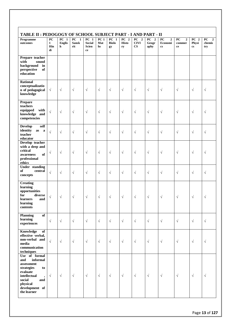| TABLE II : PEDOGOGY OF SCHOOL SUBJECT PART - I AND PART - II                                                                                                                             |                                               |                              |                                                        |                                               |                              |                              |                              |                                                                |                         |                                                                          |                                                  |                                           |                                                    |
|------------------------------------------------------------------------------------------------------------------------------------------------------------------------------------------|-----------------------------------------------|------------------------------|--------------------------------------------------------|-----------------------------------------------|------------------------------|------------------------------|------------------------------|----------------------------------------------------------------|-------------------------|--------------------------------------------------------------------------|--------------------------------------------------|-------------------------------------------|----------------------------------------------------|
| Programme<br>outcomes                                                                                                                                                                    | ${\bf P}{\bf C}$<br>$\mathbf{1}$<br>Hin<br>di | $PC$ 1<br><b>Englis</b><br>h | $\overline{PC}$<br>$\mathbf{1}$<br><b>Sansk</b><br>rit | $PC$ 1<br><b>Social</b><br><b>Scien</b><br>ce | PC <sub>1</sub><br>Mat<br>hs | $PC$ 1<br><b>Biolo</b><br>gy | $PC$ 2<br><b>Histo</b><br>ry | $PC$ <sup>2</sup><br><b>CIVI</b><br>$\boldsymbol{\mathrm{CS}}$ | $PC$ 2<br>Geogr<br>aphy | $\overline{PC}$<br>$\boldsymbol{2}$<br>Economi<br>$\mathbf{c}\mathbf{s}$ | ${\bf P}{\bf C}$<br>$\mathbf{2}$<br>commer<br>ce | $PC$ 2<br>Physi<br>$\mathbf{c}\mathbf{s}$ | $\overline{PC}$<br>$\overline{2}$<br>chemis<br>try |
| Prepare teacher<br>with<br>sound<br>background<br>in<br>perspective<br>of<br>education                                                                                                   |                                               |                              |                                                        |                                               |                              |                              |                              |                                                                |                         |                                                                          |                                                  |                                           |                                                    |
| <b>Rational</b><br>conceptualizatio<br>n of pedagogical<br>knowledge                                                                                                                     | $\sqrt{}$                                     | $\sqrt{}$                    | $\sqrt{ }$                                             | $\sqrt{}$                                     | $\sqrt{}$                    | $\sqrt{ }$                   | $\sqrt{}$                    | $\sqrt{}$                                                      | $\sqrt{ }$              | $\sqrt{ }$                                                               | $\sqrt{ }$                                       | $\sqrt{ }$                                | $\sqrt{}$                                          |
| Prepare<br>teachers<br>equipped<br>with<br>knowledge and<br>competencies                                                                                                                 | $\sqrt{ }$                                    | $\sqrt{}$                    | $\sqrt{ }$                                             | $\sqrt{}$                                     | $\sqrt{}$                    | $\sqrt{ }$                   | $\sqrt{}$                    | $\sqrt{}$                                                      | $\sqrt{ }$              | $\sqrt{ }$                                                               | $\sqrt{ }$                                       | $\sqrt{ }$                                | $\sqrt{}$                                          |
| <b>Develop</b><br>self<br>identity<br>$\mathbf{a}\mathbf{s}$<br>a<br>teacher<br>educator                                                                                                 | $\sqrt{ }$                                    | $\sqrt{}$                    | $\sqrt{ }$                                             | $\sqrt{}$                                     | $\sqrt{}$                    | $\sqrt{ }$                   | $\sqrt{}$                    | $\sqrt{}$                                                      | $\sqrt{ }$              | $\sqrt{ }$                                                               | $\sqrt{ }$                                       | $\sqrt{ }$                                | $\sqrt{}$                                          |
| Develop teacher<br>with a deep and<br>critical<br>of<br>awareness<br>professional<br>ethics                                                                                              | $\sqrt{}$                                     | $\sqrt{ }$                   | $\sqrt{ }$                                             | $\sqrt{}$                                     | $\sqrt{}$                    | $\sqrt{ }$                   | $\sqrt{}$                    | $\sqrt{}$                                                      | $\sqrt{ }$              | $\sqrt{ }$                                                               | $\sqrt{ }$                                       | $\sqrt{ }$                                | $\sqrt{}$                                          |
| Under standing<br>of<br>central<br>concepts                                                                                                                                              | $\sqrt{ }$                                    | $\sqrt{}$                    | $\sqrt{}$                                              | $\sqrt{}$                                     | $\sqrt{}$                    | $\sqrt{ }$                   | $\sqrt{}$                    | $\sqrt{}$                                                      | $\sqrt{ }$              | $\sqrt{ }$                                                               | $\sqrt{ }$                                       | $\sqrt{ }$                                | $\sqrt{}$                                          |
| <b>Creating</b><br>learning<br>opportunities<br>for<br>diverse<br>learners<br>and<br>learning<br>contents                                                                                | $\sqrt{}$                                     | $\sqrt{ }$                   | $\sqrt{ }$                                             | $\sqrt{}$                                     | $\sqrt{}$                    | $\sqrt{ }$                   | $\sqrt{}$                    | $\sqrt{ }$                                                     | $\sqrt{}$               | $\sqrt{ }$                                                               | $\sqrt{ }$                                       | $\sqrt{ }$                                | $\sqrt{}$                                          |
| Planning<br>of<br>learning<br>experiences                                                                                                                                                | $\sqrt{}$                                     | $\sqrt{}$                    | $\sqrt{ }$                                             | $\sqrt{}$                                     | $\sqrt{ }$                   | $\sqrt{ }$                   | $\sqrt{ }$                   | $\sqrt{ }$                                                     | $\sqrt{ }$              | $\sqrt{ }$                                                               | $\sqrt{ }$                                       | $\sqrt{ }$                                | $\sqrt{}$                                          |
| Knowledge<br>of<br>effective verbal,<br>non-verbal and<br>media<br>communication<br>techniques                                                                                           | $\sqrt{}$                                     | $\sqrt{}$                    | $\sqrt{ }$                                             | $\sqrt{}$                                     | $\sqrt{}$                    | $\sqrt{ }$                   | $\sqrt{}$                    | $\sqrt{}$                                                      | $\sqrt{ }$              | $\sqrt{ }$                                                               | $\sqrt{ }$                                       | $\sqrt{ }$                                | $\sqrt{}$                                          |
| Use of formal<br>and<br>informal<br>assessment<br>strategies<br>to<br>evaluate<br>intellectual<br>$\overline{\phantom{a}}$<br>social<br>and<br>physical<br>development of<br>the learner | $\sqrt{ }$                                    | $\sqrt{}$                    | $\sqrt{ }$                                             | $\sqrt{}$                                     | $\sqrt{}$                    | $\sqrt{ }$                   | $\sqrt{}$                    | $\sqrt{}$                                                      | $\sqrt{ }$              | $\sqrt{ }$                                                               | $\sqrt{ }$                                       | $\sqrt{ }$                                | $\sqrt{}$                                          |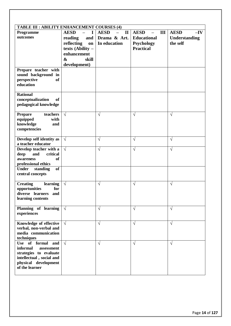| <b>TABLE III : ABILITY ENHANCEMENT COURSES (4)</b>                                                                                          |                                                                                                                                         |                                                             |                                                                            |                                                   |  |  |  |  |  |
|---------------------------------------------------------------------------------------------------------------------------------------------|-----------------------------------------------------------------------------------------------------------------------------------------|-------------------------------------------------------------|----------------------------------------------------------------------------|---------------------------------------------------|--|--|--|--|--|
| Programme<br>outcomes                                                                                                                       | <b>AESD</b><br>T<br>and<br>reading<br>reflecting<br>on<br>texts (Ability -<br>enhancement<br>$\boldsymbol{\&}$<br>skill<br>development) | <b>AESD</b><br>$\mathbf{I}$<br>Drama & Art.<br>In education | <b>AESD</b><br>III<br><b>Educational</b><br>Psychology<br><b>Practical</b> | <b>AESD</b><br>$-IV$<br>Understanding<br>the self |  |  |  |  |  |
| Prepare teacher with<br>sound background in<br>perspective<br><sub>of</sub><br>education                                                    |                                                                                                                                         |                                                             |                                                                            |                                                   |  |  |  |  |  |
| <b>Rational</b><br>conceptualization<br>of<br>pedagogical knowledge                                                                         |                                                                                                                                         |                                                             |                                                                            |                                                   |  |  |  |  |  |
| teachers<br><b>Prepare</b><br>equipped<br>with<br>knowledge<br>and<br>competencies                                                          | $\sqrt{ }$                                                                                                                              | V                                                           | $\sqrt{}$                                                                  | $\sqrt{}$                                         |  |  |  |  |  |
| Develop self identity as<br>a teacher educator                                                                                              | $\sqrt{ }$                                                                                                                              | $\sqrt{}$                                                   | $\sqrt{}$                                                                  | $\sqrt{}$                                         |  |  |  |  |  |
| Develop teacher with a<br>deep<br>and<br>critical<br>awareness<br><b>of</b><br>professional ethics<br>standing<br><b>of</b><br><b>Under</b> | $\sqrt{ }$                                                                                                                              | V                                                           | $\sqrt{}$                                                                  | V                                                 |  |  |  |  |  |
| central concepts                                                                                                                            |                                                                                                                                         |                                                             |                                                                            |                                                   |  |  |  |  |  |
| <b>Creating</b><br>learning<br>for<br>opportunities<br>diverse learners<br>and<br>learning contents                                         | $\sqrt{ }$                                                                                                                              | $\sqrt{ }$                                                  | $\sqrt{ }$                                                                 | $\sqrt{ }$                                        |  |  |  |  |  |
| Planning of learning<br>experiences                                                                                                         | $\sqrt{ }$                                                                                                                              | $\sqrt{}$                                                   | $\sqrt{ }$                                                                 | $\sqrt{ }$                                        |  |  |  |  |  |
| Knowledge of effective<br>verbal, non-verbal and<br>media communication<br>techniques                                                       | $\sqrt{ }$                                                                                                                              | V                                                           | $\sqrt{ }$                                                                 | $\sqrt{ }$                                        |  |  |  |  |  |
| Use of formal and<br>informal<br>assessment<br>strategies to evaluate<br>intellectual, social and<br>physical development<br>of the learner | $\sqrt{ }$                                                                                                                              | $\sqrt{}$                                                   | $\sqrt{ }$                                                                 | $\sqrt{ }$                                        |  |  |  |  |  |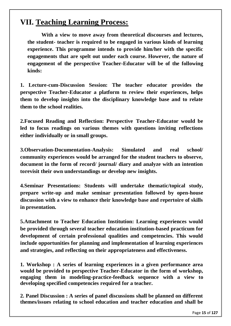# **VII. Teaching Learning Process:**

**With a view to move away from theoretical discourses and lectures, the student- teacher is required to be engaged in various kinds of learning experience. This programme intends to provide him/her with the specific engagements that are spelt out under each course. However, the nature of engagement of the perspective Teacher-Educator will be of the following kinds:**

**1. Lecture-cum-Discussion Session: The teacher educator provides the perspective Teacher-Educator a platform to review their experiences, helps them to develop insights into the disciplinary knowledge base and to relate them to the school realities.**

**2.Focused Reading and Reflection: Perspective Teacher-Educator would be led to focus readings on various themes with questions inviting reflections either individually or in small groups.**

**3.Observation-Documentation-Analysis: Simulated and real school/ community experiences would be arranged for the student teachers to observe, document in the form of record/ journal/ diary and analyze with an intention torevisit their own understandings or develop new insights.**

**4.Seminar Presentations: Students will undertake thematic/topical study, prepare write-up and make seminar presentation followed by open-house discussion with a view to enhance their knowledge base and repertoire of skills in presentation.**

**5.Attachment to Teacher Education Institution: Learning experiences would be provided through several teacher education institution-based practicum for development of certain professional qualities and competencies. This would include opportunities for planning and implementation of learning experiences and strategies, and reflecting on their appropriateness and effectiveness.**

**1. Workshop : A series of learning experiences in a given performance area would be provided to perspective Teacher-Educator in the form of workshop, engaging them in modeling-practice-feedback sequence with a view to developing specified competencies required for a teacher.**

**2. Panel Discussion : A series of panel discussions shall be planned on different themes/issues relating to school education and teacher education and shall be**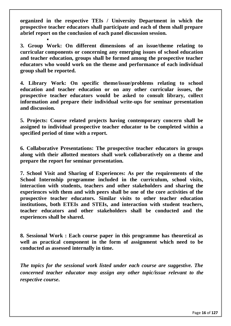**organized in the respective TEIs / University Department in which the prospective teacher educators shall participate and each of them shall prepare abrief report on the conclusion of each panel discussion session.**

.

**3. Group Work: On different dimensions of an issue/theme relating to curricular components or concerning any emerging issues of school education and teacher education, groups shall be formed among the prospective teacher educators who would work on the theme and performance of each individual group shall be reported.**

**4. Library Work: On specific theme/issue/problems relating to school education and teacher education or on any other curricular issues, the prospective teacher educators would be asked to consult library, collect information and prepare their individual write-ups for seminar presentation and discussion.**

**5. Projects: Course related projects having contemporary concern shall be assigned to individual prospective teacher educator to be completed within a specified period of time with a report.**

**6. Collaborative Presentations: The prospective teacher educators in groups along with their allotted mentors shall work collaboratively on a theme and prepare the report for seminar presentation.**

**7. School Visit and Sharing of Experiences: As per the requirements of the School Internship programme included in the curriculum, school visits, interaction with students, teachers and other stakeholders and sharing the experiences with them and with peers shall be one of the core activities of the prospective teacher educators. Similar visits to other teacher education institutions, both ETEIs and STEIs, and interaction with student teachers, teacher educators and other stakeholders shall be conducted and the experiences shall be shared.**

**8. Sessional Work : Each course paper in this programme has theoretical as well as practical component in the form of assignment which need to be conducted as assessed internally in time.**

*The topics for the sessional work listed under each course are suggestive. The concerned teacher educator may assign any other topic/issue relevant to the respective course***.**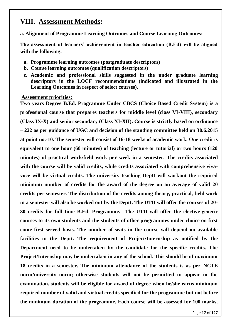# **VIII. Assessment Methods:**

**a. Alignment of Programme Learning Outcomes and Course Learning Outcomes:** 

**The assessment of learners' achievement in teacher education (B.Ed) will be aligned with the following:** 

- **a. Programme learning outcomes (postgraduate descriptors)**
- **b. Course learning outcomes (qualification descriptors)**
- **c. Academic and professional skills suggested in the under graduate learning descriptors in the LOCF recommendations (indicated and illustrated in the Learning Outcomes in respect of select courses).**

#### **Assessment priorities:**

**Two years Degree B.Ed. Programme Under CBCS (Choice Based Credit System) is a professional course that prepares teachers for middle level (class VI-VIII), secondary (Class IX-X) and senior secondary (Class XI-XII). Course is strictly based on ordinance – 222 as per guidance of UGC and decision of the standing committee held on 30.6.2015 at point no.-10. The semester will consist of 16-18 weeks of academic work. One credit is equivalent to one hour (60 minutes) of teaching (lecture or tutorial) or two hours (120 minutes) of practical work/field work per week in a semester. The credits associated with the course will be valid credits, while credits associated with comprehensive vivavoce will be virtual credits. The university teaching Deptt will workout the required minimum number of credits for the award of the degree on an average of valid 20 credits per semester. The distribution of the credits among theory, practical, field work in a semester will also be worked out by the Deptt. The UTD will offer the courses of 20- 30 credits for full time B.Ed. Programme. The UTD will offer the elective-generic courses to its own students and the students of other programmes under choice on first come first served basis. The number of seats in the course will depend on available facilities in the Deptt. The requirement of Project/Internship as notified by the Department need to be undertaken by the candidate for the specific credits. The Project/Internship may be undertaken in any of the school. This should be of maximum 18 credits in a semester. The minimum attendance of the students is as per NCTE norm/university norm; otherwise students will not be permitted to appear in the examination. students will be eligible for award of degree when he/she earns minimum required number of valid and virtual credits specified for the programme but not before the minimum duration of the programme. Each course will be assessed for 100 marks,**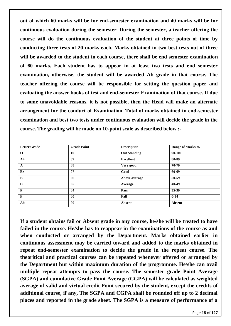**out of which 60 marks will be for end-semester examination and 40 marks will be for continuous evaluation during the semester. During the semester, a teacher offering the course will do the continuous evaluation of the student at three points of time by conducting three tests of 20 marks each. Marks obtained in two best tests out of three will be awarded to the student in each course, there shall be end semester examination of 60 marks. Each student has to appear in at least two tests and end semester examination, otherwise, the student will be awarded Ab grade in that course. The teacher offering the course will be responsible for setting the question paper and evaluating the answer books of test and end-semester Examination of that course. If due to some unavoidable reasons, it is not possible, then the Head will make an alternate arrangement for the conduct of Examination. Total of marks obtained in end-semester examination and best two tests under continuous evaluation will decide the grade in the course. The grading will be made on 10-point scale as described below :-**

| <b>Letter Grade</b> | <b>Grade Point</b> | <b>Description</b>  | Range of Marks % |
|---------------------|--------------------|---------------------|------------------|
| $\mathbf{o}$        | 10                 | <b>Out Standing</b> | 90-100           |
| $A+$                | 0 <sup>9</sup>     | <b>Excellent</b>    | 80-89            |
| $\mathbf{A}$        | 08                 | Very good           | 70-79            |
| $B+$                | 07                 | Good                | 60-69            |
| $\bf{B}$            | 06                 | Above average       | 50-59            |
| $\mathbf C$         | 05                 | Average             | 40-49            |
| $\mathbf{P}$        | 04                 | Pass                | $35 - 39$        |
| $\mathbf{F}$        | 00                 | Fail                | $0 - 34$         |
| Ab                  | $\bf{00}$          | <b>Absent</b>       | Absent           |

**If a student obtains fail or Absent grade in any course, he/she will be treated to have failed in the course. He/she has to reappear in the examinations of the course as and when conducted or arranged by the Department. Marks obtained earlier in continuous assessment may be carried toward and added to the marks obtained in repeat end-semester examination to decide the grade in the repeat course. The theoritical and practical courses can be repeated whenever offered or arranged by the Department but within maximum duration of the programme. He/she can avail multiple repeat attempts to pass the course. The semester grade Point Average (SGPA) and cumulative Grade Point Average (CGPA) will be calculated as weighted average of valid and virtual credit Point secured by the student, except the credits of additional course, if any, The SGPA and CGPA shall be rounded off up to 2 decimal places and reported in the grade sheet. The SGPA is a measure of performance of a**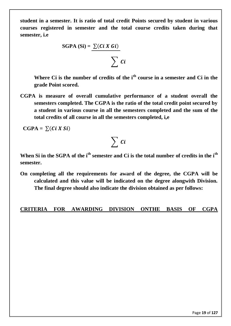**student in a semester. It is ratio of total credit Points secured by student in various courses registered in semester and the total course credits taken during that semester, i.e**

SGPA (Si) = 
$$
\sum (Ci X Gi)
$$

$$
\sum\,C\,i
$$

**Where Ci is the number of credits of the ith course in a semester and Ci in the grade Point scored.**

**CGPA is measure of overall cumulative performance of a student overall the semesters completed. The CGPA is the ratio of the total credit point secured by a student in various course in all the semesters completed and the sum of the total credits of all course in all the semesters completed, i,e**

 $CGPA = \sum (Ci X Si)$ 

# $\sum$  ci

**When Si in the SGPA of the ith semester and Ci is the total number of credits in the ith semester.**

**On completing all the requirements for award of the degree, the CGPA will be calculated and this value will be indicated on the degree alongwith Division. The final degree should also indicate the division obtained as per follows:**

## **CRITERIA FOR AWARDING DIVISION ONTHE BASIS OF CGPA**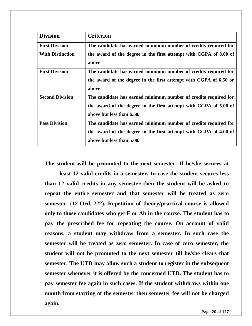| <b>Division</b>         | <b>Criterion</b>                                                           |
|-------------------------|----------------------------------------------------------------------------|
| <b>First Division</b>   | The candidate has earned minimum number of credits required for            |
| <b>With Distinction</b> | the award of the degree in the first attempt with CGPA of 8.00 of<br>above |
| <b>First Division</b>   | The candidate has earned minimum number of credits required for            |
|                         | the award of the degree in the first attempt with CGPA of 6.50 or          |
|                         | above                                                                      |
| <b>Second Division</b>  | The candidate has earned minimum number of credits required for            |
|                         | the award of the degree in the first attempt with CGPA of 5.00 of          |
|                         | above but less than 6.50.                                                  |
| <b>Pass Division</b>    | The candidate has earned minimum number of credits required for            |
|                         | the award of the degree in the first attempt with CGPA of 4.00 of          |
|                         | above but less than 5.00.                                                  |

**The student will be promoted to the next semester. If he/she secures at** 

**least 12 valid credits in a semester. In case the student secures less than 12 valid credits in any semester then the student will be asked to repeat the entire semester and that semester will be treated as zero semester. (12-Ord.-222). Repetition of theory/practical course is allowed only to those candidates who get F or Ab in the course. The student has to pay the prescribed fee for repeating the course. On account of valid reasons, a student may withdraw from a semester. In such case the semester will be treated as zero semester. In case of zero semester, the student will not be promoted to the next semester till he/she clears that semester. The UTD may allow such a student to register in the subsequent semester whenever it is offered by the concerned UTD. The student has to pay semester fee again in such cases. If the student withdraws within one month from starting of the semester then semester fee will not be charged again.**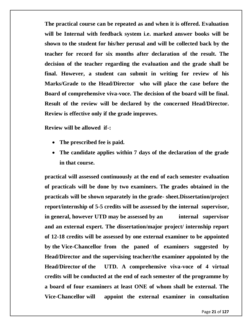**The practical course can be repeated as and when it is offered. Evaluation will be Internal with feedback system i.e. marked answer books will be shown to the student for his/her perusal and will be collected back by the teacher for record for six months after declaration of the result. The decision of the teacher regarding the evaluation and the grade shall be final. However, a student can submit in writing for review of his Marks/Grade to the Head/Director who will place the case before the Board of comprehensive viva-voce. The decision of the board will be final. Result of the review will be declared by the concerned Head/Director. Review is effective only if the grade improves.**

**Review will be allowed if-:** 

- **The prescribed fee is paid.**
- **The candidate applies within 7 days of the declaration of the grade in that course.**

**practical will assessed continuously at the end of each semester evaluation of practicals will be done by two examiners. The grades obtained in the practicals will be shown separately in the grade- sheet.Dissertation/project report/internship of 5-5 credits will be assessed by the internal supervisor, in general, however UTD may be assessed by an internal supervisor and an external expert. The dissertation/major project/ internship report of 12-18 credits will be assessed by one external examiner to be appointed by the Vice-Chancellor from the paned of examiners suggested by Head/Director and the supervising teacher/the examiner appointed by the Head/Director of the UTD. A comprehensive viva-voce of 4 virtual credits will be conducted at the end of each semester of the programme by a board of four examiners at least ONE of whom shall be external. The Vice-Chancellor will appoint the external examiner in consultation**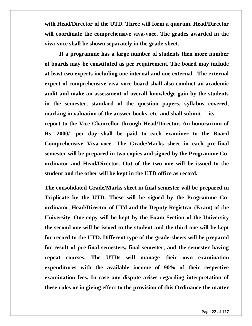**with Head/Director of the UTD. Three will form a quorum. Head/Director will coordinate the comprehensive viva-voce. The grades awarded in the viva-voce shall be shown separately in the grade-sheet.** 

**If a programme has a large number of students then more number of boards may be constituted as per requirement. The board may include at least two experts including one internal and one external. The external expert of comprehensive viva-voce board shall also conduct an academic audit and make an assessment of overall knowledge gain by the students in the semester, standard of the question papers, syllabus covered, marking in valuation of the answer books, etc. and shall submit its report to the Vice Chancellor through Head/Director. An honorarium of Rs. 2000/- per day shall be paid to each examiner to the Board Comprehensive Viva-voce. The Grade/Marks sheet in each pre-final semester will be prepared in two copies and signed by the Programme Coordinator and Head/Director. Out of the two one will be issued to the student and the other will be kept in the UTD office as record.** 

**The consolidated Grade/Marks sheet in final semester will be prepared in Triplicate by the UTD. These will be signed by the Programme Coordinator, Head/Director of UTd and the Deputy Registrar (Exam) of the University. One copy will be kept by the Exam Section of the University the second one will be issued to the student and the third one will be kept for record to the UTD. Different type of the grade-sheets will be prepared for result of pre-final semesters, final semester, and the semester having repeat courses. The UTDs will manage their own examination expenditures with the available income of 90% of their respective examination fees. In case any dispute arises regarding interpretation of these rules or in giving effect to the provision of this Ordinance the matter**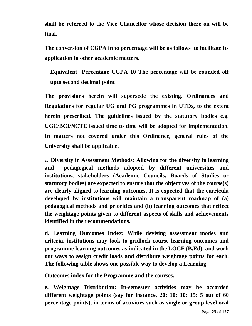**shall be referred to the Vice Chancellor whose decision there on will be final.** 

**The conversion of CGPA in to percentage will be as follows to facilitate its application in other academic matters.**

**Equivalent Percentage CGPA 10 The percentage will be rounded off upto second decimal point** 

**The provisions herein will supersede the existing. Ordinances and Regulations for regular UG and PG programmes in UTDs, to the extent herein prescribed. The guidelines issued by the statutory bodies e.g. UGC/BCI/NCTE issued time to time will be adopted for implementation. In matters not covered under this Ordinance, general rules of the University shall be applicable.**

**c. Diversity in Assessment Methods: Allowing for the diversity in learning and pedagogical methods adopted by different universities and institutions, stakeholders (Academic Councils, Boards of Studies or statutory bodies) are expected to ensure that the objectives of the course(s) are clearly aligned to learning outcomes. It is expected that the curricula developed by institutions will maintain a transparent roadmap of (a) pedagogical methods and priorities and (b) learning outcomes that reflect the weightage points given to different aspects of skills and achievements identified in the recommendations.** 

**d. Learning Outcomes Index: While devising assessment modes and criteria, institutions may look to gridlock course learning outcomes and programme learning outcomes as indicated in the LOCF (B.Ed), and work out ways to assign credit loads and distribute weightage points for each. The following table shows one possible way to develop a Learning** 

**Outcomes index for the Programme and the courses.**

**e. Weightage Distribution: In-semester activities may be accorded different weightage points (say for instance, 20: 10: 10: 15: 5 out of 60 percentage points), in terms of activities such as single or group level oral**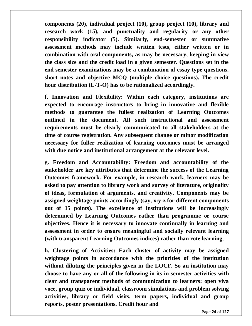**components (20), individual project (10), group project (10), library and research work (15), and punctuality and regularity or any other responsibility indicator (5). Similarly, end-semester or summative assessment methods may include written tests, either written or in combination with oral components, as may be necessary, keeping in view the class size and the credit load in a given semester. Questions set in the end semester examinations may be a combination of essay type questions, short notes and objective MCQ (multiple choice questions). The credit hour distribution (L-T-O) has to be rationalized accordingly.** 

**f. Innovation and Flexibility: Within each category, institutions are expected to encourage instructors to bring in innovative and flexible methods to guarantee the fullest realization of Learning Outcomes outlined in the document. All such instructional and assessment requirements must be clearly communicated to all stakeholders at the time of course registration. Any subsequent change or minor modification necessary for fuller realization of learning outcomes must be arranged with due notice and institutional arrangement at the relevant level.** 

**g. Freedom and Accountability: Freedom and accountability of the stakeholder are key attributes that determine the success of the Learning Outcomes framework. For example, in research work, learners may be asked to pay attention to library work and survey of literature, originality of ideas, formulation of arguments, and creativity. Components may be assigned weightage points accordingly (say, x:y:z for different components out of 15 points). The excellence of institutions will be increasingly determined by Learning Outcomes rather than programme or course objectives. Hence it is necessary to innovate continually in learning and assessment in order to ensure meaningful and socially relevant learning (with transparent Learning Outcomes indices) rather than rote learning**.

**h. Clustering of Activities: Each cluster of activity may be assigned weightage points in accordance with the priorities of the institution without diluting the principles given in the LOCF. So an institution may choose to have any or all of the following in its in-semester activities with clear and transparent methods of communication to learners: open viva voce, group quiz or individual, classroom simulations and problem solving activities, library or field visits, term papers, individual and group reports, poster presentations. Credit hour and**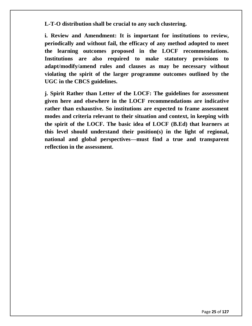**L-T-O distribution shall be crucial to any such clustering.** 

**i. Review and Amendment: It is important for institutions to review, periodically and without fail, the efficacy of any method adopted to meet the learning outcomes proposed in the LOCF recommendations. Institutions are also required to make statutory provisions to adapt/modify/amend rules and clauses as may be necessary without violating the spirit of the larger programme outcomes outlined by the UGC in the CBCS guidelines.** 

**j. Spirit Rather than Letter of the LOCF: The guidelines for assessment given here and elsewhere in the LOCF recommendations are indicative rather than exhaustive. So institutions are expected to frame assessment modes and criteria relevant to their situation and context, in keeping with the spirit of the LOCF. The basic idea of LOCF (B.Ed) that learners at this level should understand their position(s) in the light of regional, national and global perspectives—must find a true and transparent reflection in the assessment.**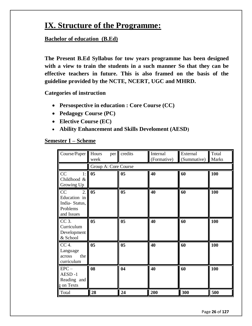# **IX. Structure of the Programme:**

## **Bachelor of education (B.Ed)**

**The Present B.Ed Syllabus for tow years programme has been designed with a view to train the students in a such manner So that they can be effective teachers in future. This is also framed on the basis of the guideline provided by the NCTE, NCERT, UGC and MHRD.**

**Categories of instruction** 

- **Persospective in education : Core Course (CC)**
- **Pedagogy Course (PC)**
- **Elective Course (EC)**
- **Ability Enhancement and Skills Develoment (AESD)**

#### **Semester I – Scheme**

| Course/Paper                                                                      | Hours<br>per<br>week | credits        | Internal<br>(Formative) | External<br>(Summative) | Total<br><b>Marks</b> |
|-----------------------------------------------------------------------------------|----------------------|----------------|-------------------------|-------------------------|-----------------------|
|                                                                                   | Group A: Core Course |                |                         |                         |                       |
| CC<br>1:<br>Childhood &<br>Growing Up                                             | 05                   | 0 <sub>5</sub> | 40                      | 60                      | 100                   |
| $\overline{2}$ .<br>CC<br>Education in<br>India-Status,<br>Problems<br>and Issues | 05                   | 0 <sub>5</sub> | 40                      | 60                      | 100                   |
| $CC3$ .<br>Curriculum<br>Development<br>& School                                  | 0 <sub>5</sub>       | 0 <sub>5</sub> | 40                      | 60                      | 100                   |
| CC 4.<br>Language<br>the<br>across<br>curriculum                                  | 0 <sub>5</sub>       | 0 <sub>5</sub> | 40                      | 60                      | 100                   |
| $EPC-$<br>AESD-1<br>Reading and<br>g on Texts                                     | 08                   | 04             | 40                      | 60                      | 100                   |
| Total                                                                             | 28                   | 24             | 200                     | 300                     | 500                   |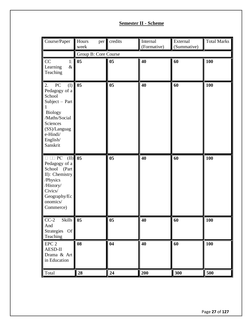## **Semester II - Scheme**

| Course/Paper                                                                                                                                                                           | Hours<br>per  <br>week | credits        | Internal<br>(Formative) | External<br>(Summative) | <b>Total Marks</b> |  |  |  |  |
|----------------------------------------------------------------------------------------------------------------------------------------------------------------------------------------|------------------------|----------------|-------------------------|-------------------------|--------------------|--|--|--|--|
|                                                                                                                                                                                        | Group B: Core Course   |                |                         |                         |                    |  |  |  |  |
| CC<br>1:<br>$\&$<br>Learning<br>Teaching                                                                                                                                               | 05                     | 0 <sub>5</sub> | 40                      | 60                      | 100                |  |  |  |  |
| 2.<br>${\rm P}{\bf C}$<br>$($ $\Gamma$<br>Pedagogy of a<br>School<br>Subject - Part<br><b>Biology</b><br>/Maths/Social<br>Sciences<br>(SS)/Languag<br>e-Hindi/<br>English/<br>Sanskrit | 0 <sub>5</sub>         | 0 <sub>5</sub> | 40                      | 60                      | 100                |  |  |  |  |
| $(II)$ 05<br>$\Box$ $\Box$ $PC$<br>Pedagogy of a<br>School (Part<br>II): Chemistry<br>/Physics<br>/History/<br>Civics/<br>Geography/Ec<br>onomics/<br>Commerce)                        |                        | 0 <sub>5</sub> | 40                      | 60                      | 100                |  |  |  |  |
| $CC-2$<br>Skills 05<br>And<br>Strategies<br><b>Of</b><br>Teaching                                                                                                                      |                        | 05             | 40                      | 60                      | <b>100</b>         |  |  |  |  |
| EPC <sub>2</sub><br>AESD-II<br>Drama & Art<br>in Education                                                                                                                             | 08                     | 04             | 40                      | 60                      | 100                |  |  |  |  |
| Total                                                                                                                                                                                  | 28                     | 24             | 200                     | 300                     | 500                |  |  |  |  |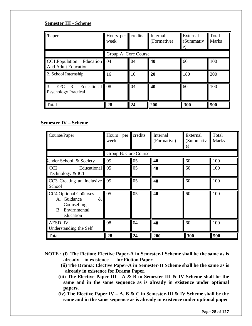#### **Semester III - Scheme**

| $\epsilon$ /Paper                                               | Hours per<br>week    | credits | Internal<br>(Formative) | External<br>(Summativ<br>e) | Total<br>Marks |
|-----------------------------------------------------------------|----------------------|---------|-------------------------|-----------------------------|----------------|
|                                                                 | Group A: Core Course |         |                         |                             |                |
| $CC1.Population$ Education 04<br><b>And Adult Education</b>     |                      | 04      | 40                      | 60                          | 100            |
| 2. School Internship                                            | 16                   | 16      | 20                      | 180                         | 300            |
| 3.<br>Educational 08<br>$EPC$ 3-<br><b>Psychology Practical</b> |                      | 04      | 40                      | 60                          | 100            |
| Total                                                           | 28                   | 24      | 200                     | 300                         | 500            |

#### **Semester IV – Scheme**

| Course/Paper                                                                                       | Hours<br>per<br>week | credits | Internal<br>(Formative) | External<br>(Summativ<br>e) | Total<br><b>Marks</b> |
|----------------------------------------------------------------------------------------------------|----------------------|---------|-------------------------|-----------------------------|-----------------------|
|                                                                                                    | Group B: Core Course |         |                         |                             |                       |
| iender School & Society                                                                            | 05                   | 05      | 40                      | 60                          | 100                   |
| CC <sub>2</sub><br>Educational 05<br>Technology & ICT                                              |                      | 05      | 40                      | 60                          | 100                   |
| CC3 Creating an Inclusive $\parallel$ 05<br>School                                                 |                      | 05      | 40                      | 60                          | 100                   |
| CC4 Optional Co0urses<br>A. Guidance<br>$\&$<br>Counselling<br><b>B.</b> Envirnmental<br>education | 05                   | 05      | 40                      | 60                          | 100                   |
| <b>AESD IV</b><br>Understanding the Self                                                           | 08                   | 04      | 40                      | 60                          | 100                   |
| Total                                                                                              | 28                   | 24      | 200                     | 300                         | 500                   |

- **NOTE : (i) The Fiction: Elective Paper-A in Semester-I Scheme shall be the same as is already in existence for Fiction Paper.**
	- **(ii) The Drama: Elective Paper-A in Semester-II Scheme shall be the same as is already in existence for Drama Paper.**
	- **(iii) The Elective Paper III - A & B in Semester-III & IV Scheme shall be the same and in the same sequence as is already in existence under optional papers.**
	- **(iv) The Elective Paper IV – A, B & C in Semester-III & IV Scheme shall be the same and in the same sequence as is already in existence under optional paper**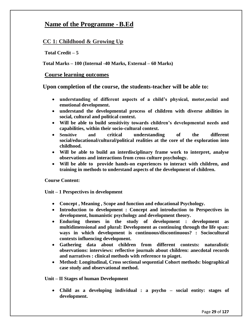## **Name of the Programme -B.Ed**

#### **CC 1: Childhood & Growing Up**

**Total Credit – 5**

**Total Marks – 100 (Internal -40 Marks, External – 60 Marks)** 

#### **Course learning outcomes**

**Upon completion of the course, the students-teacher will be able to:**

- **understanding of different aspects of a child's physical, motor,social and emotional development.**
- **understand the developmental process of children with diverse abilities in social, cultural and political context.**
- **Will be able to build sensitivity towards children's developmental needs and capabilities, within their socio-cultural context.**
- **Sensitive and critical understanding of the different social/educational/cultural/political realities at the core of the exploration into childhood.**
- **Will be able to build an interdisciplinary frame work to interpret, analyse observations and interactions from cross culture psychology.**
- **Will be able to provide hands-on experiences to interact with children, and training in methods to understand aspects of the development of children.**

**Course Content:**

**Unit – 1 Perspectives in development**

- **Concept , Meaning , Scope and function and educational Psychology.**
- **Introduction to development : Concept and introduction to Perspectives in development, humanistic psychology and development theory.**
- **Enduring themes in the study of development : development as multidimensional and plural: Development as continuing through the life span: ways in which development is continuous/discontinuous? : Sociocultural contexts influencing development.**
- **Gathering data about children from different contexts: naturalistic observations: interviews: reflective journals about children: anecdotal records and narratives : clinical methods with reference to piaget.**
- **Method: Longitudinal, Cross sectional sequential Cohort methods: biographical case study and observational method.**

**Unit – II Stages of human Development** 

 **Child as a developing individual : a psycho – social entity: stages of development.**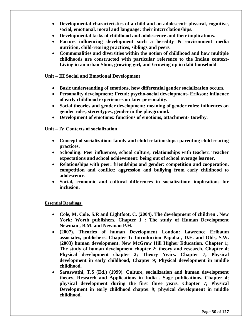- **Developmental characteristics of a child and an adolescent: physical, cognitive, social, emotional, moral and language: their intcrrclationships.**
- **Developmental tasks of childhood and adolescence and their implications.**
- **Factors influencing development such a heredity & environment media nutrition, child-rearing practices, siblings and peers.**
- **Commonalities and diversities within the notion of childhood and how multiple childhoods are constructed with particular reference to the Indian context-Living in an urban Slum, growing girl, and Growing up in dalit household**.
- **Unit – III Social and Emotional Development** 
	- **Basic understanding of emotions, how differential gender socialization occurs.**
	- **Personality development: Freud: psycho-social development- Erikson: influence of early childhood experiences on later personality.**
	- **Social theories and gender development: meaning of gender roles: influences on gender roles, stereotypes, gender in the playground.**
	- **Development of emotions: functions of emotions, attachment- Bowlby**.

#### **Unit – IV Contexts of socialization**

- **Concept of socialization: family and child relationships: parenting child rearing practices.**
- **Schooling: Peer influences, school culture, relationships with teacher. Teacher expectations and school achievement: being out of school overage learner.**
- **Relationships with peer: friendships and gender: competition and cooperation, competition and conflict: aggression and bullying from early childhood to adolescence.**
- **Social, economic and cultural differences in socialization: implications for inclusion.**

#### **Essential Readings**:

- **Cole, M, Cole, S.R and Lightfoot, C. (2004). The development of children . New York: Worth publishers. Chapter 1 : The study of Human Development Newman , B.M. and Newman P.H.**
- **(2007). Theories of human Development London: Lawrence Erlbaum associates, publishers. Chapter 1: Introduction Papalia , D.E. and Olds, S.W. (2003) human development. New McGraw Hill Higher Education. Chapter 1; The study of human development chapter 2; theory and research, Chapter 4; Physical development chapter 2; Theory Years. Chapter 7; Physical development in early childhood, Chapter 9; Physical development in middle childhood.**
- **Saraswathi, T.S (Ed.) (1999). Culture, socialization and human development theory, Research and Applications in India . Sage publications. Chapter 4; physical development during the first three years. Chapter 7; Physical Development in early childhood chapter 9; physical development in middle childhood.**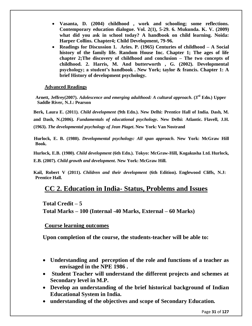- **Vasanta, D. (2004) childhood , work and schooling; some reflections. Contemporary education dialogue. Vol. 2(1), 5-29. 6. Mukunda. K. V. (2009) what did you ask in school today? A handbook on child learning. Noida: Harper Collins. Chapter4; Child Development, 79-96.**
- **Readings for Discussion 1. Aries. P. (1965) Centuries of childhood – A Social history of the family life. Random House Inc. Chapter 1; The ages of life chapter 2;The discovery of childhood and conclusion – The two concepts of childhood. 2. Harris, M. And butterworth , G. (2002). Developmental psychology; a student's handbook . New York; taylor & francis. Chapter 1: A brief History of development psychology.**

#### **Advanced Readings**

 **Arnett, Jeffrey(2007).** *Adolescence and emerging adulthood: A cultural approach***. (3rd Edn.) Upper Saddle River, N.J.: Pearson**

**Berk, Laura E. (2011).** *Child development* **(9th Edn.). New Delhi: Prentice Hall of India. Dash, M. and Dash, N.(2006).** *Fundamentals of educational psychology***. New Delhi: Atlantic. Flavell, J.H. (1963).** *The developmental psychology of Jean Piaget***. New York: Van Nostrand**

**Hurlock, E. B. (1980).** *Developmental psychology: All span approach***. New York: McGraw Hill Book.**

**Hurlock, E.B. (1980).** *Child development* **(6th Edn.). Tokyo: McGraw-Hill, Kogakusha Ltd. Hurlock, E.B. (2007).** *Child growth and development***. New York: McGraw Hill.**

**Kail, Robert V (2011).** *Children and their development* **(6th Edition). Englewood Cliffs, N.J: Prentice Hall.**

# **CC 2. Education in India- Status, Problems and Issues**

**Total Credit – 5 Total Marks – 100 (Internal -40 Marks, External – 60 Marks)** 

#### **Course learning outcomes**

**Upon completion of the course, the students-teacher will be able to:**

- **Understanding and perception of the role and functions of a teacher as envisaged in the NPE 1986 .**
- **Student Teacher will understand the different projects and schemes at Secondary level in M.P.**
- **Develop an understanding of the brief historical background of Indian Educational System in India.**
- **understanding of the objectives and scope of Secondary Education.**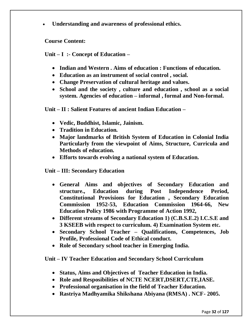**Understanding and awareness of professional ethics.**

**Course Content:**

**Unit – I :- Concept of Education –**

- **Indian and Western . Aims of education : Functions of education.**
- **Education as an instrument of social control , social.**
- **Change Preservation of cultural heritage and values.**
- **School and the society , culture and education , school as a social system. Agencies of education – informal , formal and Non-formal.**

**Unit – II : Salient Features of ancient Indian Education –**

- **Vedic, Buddhist, Islamic, Jainism.**
- **Tradition in Education.**
- **Major landmarks of British System of Education in Colonial India Particularly from the viewpoint of Aims, Structure, Curricula and Methods of education.**
- **Efforts towards evolving a national system of Education.**
- **Unit – III: Secondary Education** 
	- **General Aims and objectives of Secondary Education and structure., Education during Post Independence Period, Constitutional Provisions for Education , Secondary Education Commission 1952-53, Education Commission 1964-66, New Education Policy 1986 with Programme of Action 1992,**
	- **Different streams of Secondary Education 1) (C.B.S.E.2) I.C.S.E and 3 KSEEB with respect to curriculum. 4) Examination System etc.**
	- **Secondary School Teacher – Qualifications, Competences, Job Profile, Professional Code of Ethical conduct.**
	- **Role of Secondary school teacher in Emerging India.**

**Unit – IV Teacher Education and Secondary School Curriculum**

- **Status, Aims and Objectives of Teacher Education in India.**
- **Role and Resposibilities of NCTE NCERT,DSERT,CTE,IASE.**
- **Professional organisation in the field of Teacher Education.**
- **Rastriya Madhyamika Shikshana Abiyana (RMSA) . NCF- 2005.**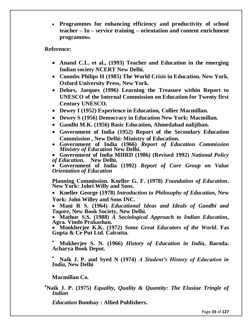**Programmes for enhancing efficiency and productivity of school teacher – In – service training – orientation and content enrichment programmes**.

#### **Reference:**

- **Anand C.L. et al., (1993) Teacher and Education in the emerging Indian society NCERT New Delhi.**
- **Coombs Philips H (1985) The World Crisis in Education. New York. Oxford University Press, New York.**
- **Delors, Jaeques (1996) Learning the Treasure within Report to UNESCO of the Internal Commission on Education for Twenty first Century UNESCO.**
- **Dewey I (1952) Experience in Education, Collier Macmillan.**
- **Dewey S (1956) Democracy in Education New York: Macmillan.**
- **Gandhi M.K. (1956) Basic Education, Ahmedabad nalijiban.**
- **Government of India (1952) Report of the Secondary Education Commission , New Delhi: Ministry of Education.**
- **Government of India (1966)** *Report of Education Commission Ministry of Education* **New Delhi.**

 **Government of India MHRD (1986) (Revised 1992)** *National Policy of Education***. New Delhi.** 

 **Government of India (1992)** *Report of Core Group on Value Orientation of Education* 

**Planning Commission. Kneller G. F. (1978)** *Foundation of Education***. New York: Johri Willy and Sons.** 

 **Kneller George (1978)** *Introduction to Philosophy of Education***, New York: John Willey and Sons INC.** 

 **Mani R S. (1964)** *Educational Ideas and Ideals of Gandhi and Tagore***, New Book Society, New Delhi.** 

 **Mathur S.S. (1988)** *A Sociological Approach to Indian Education***, Agra. Vindo Prakashan.** 

 **Mookherjee K.K. (1972)** *Some Great Educators of the World***. Fas Gupta & Ce Put Ltd. Calcutta.** 

 **Mukherjee S. N. (1966)** *History of Education in India***, Baroda. Acharya Book Depot.** 

 **Naik J. P. and Syed N (1974)** *A Student's History of Education in India***, New Delhi** 

**Macmillan Co.**

**Naik J. P. (1975)** *Equality, Quality & Quantity: The Elusiue Tringle of Indian* 

*Education* **Bombay : Allied Publishers.**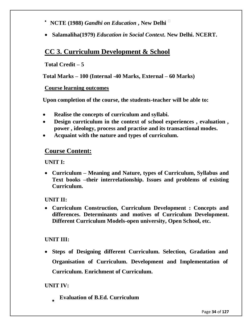- **NCTE (1988)** *Gandhi on Education* **, New Delhi**
- **Salamaliha(1979)** *Education in Social Context***. New Delhi. NCERT.**

# **CC 3. Curriculum Development & School**

## **Total Credit – 5**

**Total Marks – 100 (Internal -40 Marks, External – 60 Marks)** 

#### **Course learning outcomes**

**Upon completion of the course, the students-teacher will be able to:**

- **Realise the concepts of curriculum and syllabi.**
- **Design currticulum in the context of school experiences , evaluation , power , ideology, process and practise and its transactional modes.**
- **Acquaint with the nature and types of curriculum.**

## **Course Content:**

**UNIT I:**

 **Curriculum – Meaning and Nature, types of Curriculum, Syllabus and Text books –their interrelationship. Issues and problems of existing Curriculum.**

#### **UNIT II:**

 **Curriculum Construction, Curriculum Development : Concepts and differences. Determinants and motives of Curriculum Development. Different Curriculum Models-open university, Open School, etc.**

#### **UNIT III:**

 **Steps of Designing different Curriculum. Selection, Gradation and Organisation of Curriculum. Development and Implementation of Curriculum. Enrichment of Curriculum.**

## **UNIT IV:**

**Evaluation of B.Ed. Curriculum**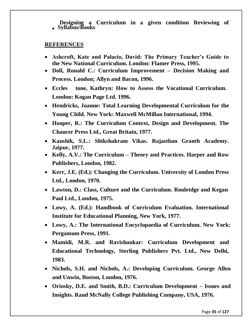**Designing a Curriculum in a given condition Reviewing of Syllabus/Books**

#### **REFERENCES**

- **Ashcroft, Kate and Palacio, David: The Primary Teacher's Guide to the New National Curriculum. London: Flamer Press, 1995.**
- **Doll, Ronald C.: Curriculum Improvement – Decision Making and Process. London; Allyn and Bacon, 1996.**
- **Eccles tone, Kathryn: How to Assess the Vocational Curriculum. London: Kogan Page Ltd. 1996.**
- **Hendricks, Joanne: Total Learning Developmental Curriculum for the Young Child. New York: Maxwell McMillan International, 1994.**
- **Hooper, R.: The Curriculum Context, Design and Development. The Chaucer Press Ltd., Great Britain, 1977.**
- **Kaushik, S.L.: Shikshakram Vikas. Rajasthan Granth Academy. Jaipur, 1977.**
- **Kelly, A.V.: The Curriculum – Theory and Practices. Harper and Row Publishers, London, 1982.**
- **Kerr, J.E. (Ed.): Changing the Curriculum. University of London Press Ltd., London, 1970.**
- **Lawton, D.: Class, Culture and the Curriculum. Rouletdge and Kegan Paul Ltd., London, 1975.**
- **Lowy, A. (Ed.): Handbook of Curriculum Evaluation. International Institute for Educational Planning, New York, 1977.**
- **Lowy, A.: The International Encyclopaedia of Curriculum. New York: Pergamum Press, 1991.**
- **Mamidi, M.R. and Ravishankar: Curriculum Development and Educational Technology, Sterling Publishers Pvt. Ltd., New Delhi, 1983.**
- **Nichols, S.H. and Nichols, A.: Developing Curriculum. George Allen and Unwin, Boston, London, 1976.**
- **Oriosky, D.E. and Smith, B.D.: Curriculum Development – Issues and Insights. Rand McNally College Publishing Company, USA, 1976.**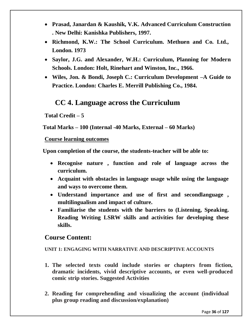- **Prasad, Janardan & Kaushik, V.K. Advanced Curriculum Construction . New Delhi: Kanishka Publishers, 1997.**
- **Richmond, K.W.: The School Curriculum. Methuen and Co. Ltd., London. 1973**
- **Saylor, J.G. and Alexander, W.H.: Curriculum, Planning for Modern Schools. London: Holt, Rinehart and Winston, Inc., 1966.**
- **Wiles, Jon. & Bondi, Joseph C.: Curriculum Development –A Guide to Practice. London: Charles E. Merrill Publishing Co., 1984.**

# **CC 4. Language across the Curriculum**

**Total Credit – 5**

**Total Marks – 100 (Internal -40 Marks, External – 60 Marks)** 

## **Course learning outcomes**

**Upon completion of the course, the students-teacher will be able to:**

- **Recognise nature , function and role of language across the curriculum.**
- **Acquaint with obstacles in language usage while using the language and ways to overcome them.**
- **Understand importance and use of first and secondlanguage , multilingualism and impact of culture.**
- **Familiarise the students with the barriers to (Listening, Speaking. Reading Writing LSRW skills and activities for developing these skills.**

# **Course Content:**

#### **UNIT 1: ENGAGING WITH NARRATIVE AND DESCRIPTIVE ACCOUNTS**

- **1. The selected texts could include stories or chapters from fiction, dramatic incidents, vivid descriptive accounts, or even well-produced comic strip stories. Suggested Activities**
- **2. Reading for comprehending and visualizing the account (individual plus group reading and discussion/explanation)**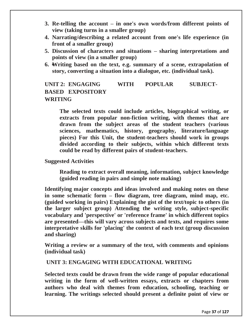- **3. Re-telling the account – in one's own words/from different points of view (taking turns in a smaller group)**
- **4. Narrating/describing a related account from one's life experience (in front of a smaller group)**
- **5. Discussion of characters and situations – sharing interpretations and points of view (in a smaller group)**
- **6. Writing based on the text, e.g. summary of a scene, extrapolation of story, converting a situation into a dialogue, etc. (individual task).**

## **UNIT 2: ENGAGING WITH POPULAR SUBJECT-BASED EXPOSITORY WRITING**

**The selected texts could include articles, biographical writing, or extracts from popular non-fiction writing, with themes that are drawn from the subject areas of the student teachers (various sciences, mathematics, history, geography, literature/language pieces) For this Unit, the student-teachers should work in groups divided according to their subjects, within which different texts could be read by different pairs of student-teachers.**

**Suggested Activities**

**Reading to extract overall meaning, information, subject knowledge (guided reading in pairs and simple note making)**

**Identifying major concepts and ideas involved and making notes on these in some schematic form – flow diagram, tree diagram, mind map, etc. (guided working in pairs) Explaining the gist of the text/topic to others (in the larger subject group) Attending the writing style, subject-specific vocabulary and 'perspective' or 'reference frame' in which different topics are presented—this will vary across subjects and texts, and requires some interpretative skills for 'placing' the context of each text (group discussion and sharing)**

**Writing a review or a summary of the text, with comments and opinions (individual task)**

### **UNIT 3: ENGAGING WITH EDUCATIONAL WRITING**

**Selected texts could be drawn from the wide range of popular educational writing in the form of well-written essays, extracts or chapters from authors who deal with themes from education, schooling, teaching or learning. The writings selected should present a definite point of view or**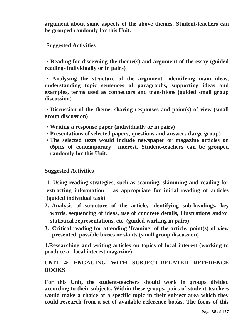**argument about some aspects of the above themes. Student-teachers can be grouped randomly for this Unit.**

**Suggested Activities**

• **Reading for discerning the theme(s) and argument of the essay (guided reading- individually or in pairs)**

• **Analysing the structure of the argument—identifying main ideas, understanding topic sentences of paragraphs, supporting ideas and examples, terms used as connectors and transitions (guided small group discussion)**

• **Discussion of the theme, sharing responses and point(s) of view (small group discussion)**

- **Writing a response paper (individually or in pairs)**
- **Presentations of selected papers, questions and answers (large group)**
- **The selected texts would include newspaper or magazine articles on topics of contemporary interest. Student-teachers can be grouped randomly for this Unit.**

**Suggested Activities**

**1. Using reading strategies, such as scanning, skimming and reading for extracting information – as appropriate for initial reading of articles (guided individual task)** 

- **2. Analysis of structure of the article, identifying sub-headings, key words, sequencing of ideas, use of concrete details, illustrations and/or statistical representations, etc. (guided working in pairs)**
- **3. Critical reading for attending 'framing' of the article, point(s) of view presented, possible biases or slants (small group discussion)**

**4.Researching and writing articles on topics of local interest (working to produce a local interest magazine).**

## **UNIT 4: ENGAGING WITH SUBJECT-RELATED REFERENCE BOOKS**

**For this Unit, the student-teachers should work in groups divided according to their subjects. Within these groups, pairs of student-teachers would make a choice of a specific topic in their subject area which they could research from a set of available reference books. The focus of this**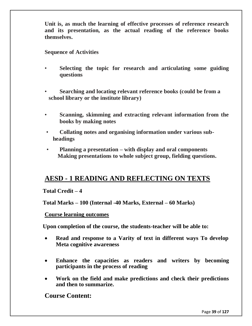**Unit is, as much the learning of effective processes of reference research and its presentation, as the actual reading of the reference books themselves.**

**Sequence of Activities**

- **Selecting the topic for research and articulating some guiding questions**
- **Searching and locating relevant reference books (could be from a school library or the institute library)**
- **Scanning, skimming and extracting relevant information from the books by making notes**
- **Collating notes and organising information under various subheadings**
- **Planning a presentation – with display and oral components Making presentations to whole subject group, fielding questions.**

## **AESD - 1 READING AND REFLECTING ON TEXTS**

### **Total Credit – 4**

**Total Marks – 100 (Internal -40 Marks, External – 60 Marks)**

### **Course learning outcomes**

**Upon completion of the course, the students-teacher will be able to:**

- **Read and response to a Varity of text in different ways To develop Meta cognitive awareness**
- **Enhance the capacities as readers and writers by becoming participants in the process of reading**
- **Work on the field and make predictions and check their predictions and then to summarize.**

**Course Content:**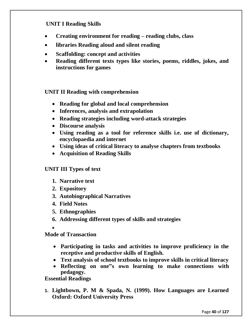## **UNIT I Reading Skills**

- **Creating environment for reading – reading clubs, class**
- **libraries Reading aloud and silent reading**
- **Scaffolding: concept and activities**
- **Reading different texts types like stories, poems, riddles, jokes, and instructions for games**

### **UNIT II Reading with comprehension**

- **Reading for global and local comprehension**
- **Inferences, analysis and extrapolation**
- **Reading strategies including word-attack strategies**
- **Discourse analysis**
- **Using reading as a tool for reference skills i.e. use of dictionary, encyclopaedia and internet**
- **Using ideas of critical literacy to analyse chapters from textbooks**
- **Acquisition of Reading Skills**

#### **UNIT III Types of text**

- **1. Narrative text**
- **2. Expository**
- **3. Autobiographical Narratives**
- **4. Field Notes**
- **5. Ethnographies**
- **6. Addressing different types of skills and strategies**
- 

**Mode of Transaction**

- **Participating in tasks and activities to improve proficiency in the receptive and productive skills of English.**
- **Text analysis of school textbooks to improve skills in critical literacy**
- **Reflecting on one"s own learning to make connections with pedagogy.**

### **Essential Readings**

**1. Lightbown, P. M & Spada, N. (1999). How Languages are Learned Oxford: Oxford University Press**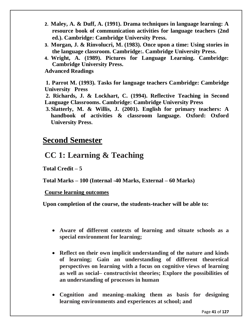- **2. Maley, A. & Duff, A. (1991). Drama techniques in language learning: A resource book of communication activities for language teachers (2nd ed.). Cambridge: Cambridge University Press.**
- **3. Morgan, J. & Rinvolucri, M. (1983). Once upon a time: Using stories in the language classroom. Cambridge:. Cambridge University Press.**
- **4. Wright, A. (1989). Pictures for Language Learning. Cambridge: Cambridge University Press.**

**Advanced Readings**

**1. Parrot M. (1993). Tasks for language teachers Cambridge: Cambridge University Press**

**2. Richards, J. & Lockhart, C. (1994). Reflective Teaching in Second Language Classrooms. Cambridge: Cambridge University Press**

**3. Slatterly, M. & Willis, J. (2001). English for primary teachers: A handbook of activities & classroom language. Oxford: Oxford University Press.**

## **Second Semester**

## **CC 1: Learning & Teaching**

**Total Credit – 5**

**Total Marks – 100 (Internal -40 Marks, External – 60 Marks)** 

**Course learning outcomes** 

**Upon completion of the course, the students-teacher will be able to:**

- **Aware of different contexts of learning and situate schools as a special environment for learning;**
- **Reflect on their own implicit understanding of the nature and kinds of learning; Gain an understanding of different theoretical perspectives on learning with a focus on cognitive views of learning as well as social– constructivist theories; Explore the possibilities of an understanding of processes in human**
- **Cognition and meaning–making them as basis for designing learning environments and experiences at school; and**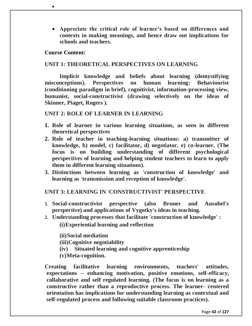**Appreciate the critical role of learner's based on differences and contexts in making meanings, and hence draw out implications for schools and teachers.**

#### **Course Content:**

#### **UNIT 1: THEORETICAL PERSPECTIVES ON LEARNING**

**Implicit knowledge and beliefs about learning (demystifying misconceptions). Perspectives on human learning: Behaviourist (conditioning paradigm in brief), cognitivist, information-processing view, humanist, social-constructivist (drawing selectively on the ideas of Skinner, Piaget, Rogers ).**

#### **UNIT 2: ROLE OF LEARNER IN LEARNING**

- **1. Role of learner in various learning situations, as seen in different theoretical perspectives**
- **2. Role of teacher in teaching-learning situations: a) transmitter of knowledge, b) model, c) facilitator, d) negotiator, e) co-learner. (The focus is on building understanding of different psychological perspectives of learning and helping student teachers to learn to apply them in different learning situations).**
- **3. Distinctions between learning as 'construction of knowledge' and learning as 'transmission and reception of knowledge'.**

### **UNIT 3: LEARNING IN 'CONSTRUCTIVIST' PERSPECTIVE**

- **1. Social-constructivist perspective (also Bruner and Ausubel's perspective) and applications of Vygotky's ideas in teaching.**
- **2. Understanding processes that facilitate 'construction of knowledge' :**

**(i)Experiential learning and reflection**

**(ii)Social mediation**

**(iii)Cognitive negotiability**

**(iv) Situated learning and cognitive apprenticeship**

**(v)Meta-cognition.**

**Creating facilitative learning environments, teachers' attitudes, expectations – enhancing motivation, positive emotions, self-efficacy, collaborative and self regulated learning. (The focus is on learning as a constructive rather than a reproductive process. The learner- centered orientation has implications for understanding learning as contextual and self-regulated process and following suitable classroom practices).**

Page **42** of **127**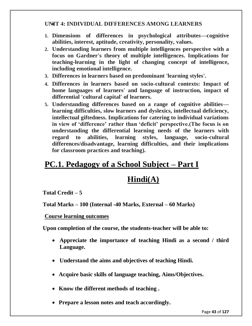## **UNIT 4: INDIVIDUAL DIFFERENCES AMONG LEARNERS**

- **1. Dimensions of differences in psychological attributes—cognitive abilities, interest, aptitude, creativity, personality, values.**
- **2. Understanding learners from multiple intelligences perspective with a focus on Gardner's theory of multiple intelligences. Implications for teaching-learning in the light of changing concept of intelligence, including emotional intelligence.**
- **3. Differences in learners based on predominant 'learning styles'.**
- **4. Differences in learners based on socio-cultural contexts: Impact of home languages of learners' and language of instruction, impact of differential 'cultural capital' of learners.**
- **5. Understanding differences based on a range of cognitive abilities learning difficulties, slow learners and dyslexics, intellectual deficiency, intellectual giftedness. Implications for catering to individual variations in view of 'difference' rather than 'deficit' perspective.(The focus is on understanding the differential learning needs of the learners with regard to abilities, learning styles, language, socio-cultural differences/disadvantage, learning difficulties, and their implications for classroom practices and teaching).**

## **PC.1. Pedagogy of a School Subject – Part I**

# **Hindi(A)**

## **Total Credit – 5**

**Total Marks – 100 (Internal -40 Marks, External – 60 Marks)** 

### **Course learning outcomes**

**Upon completion of the course, the students-teacher will be able to:**

- **Appreciate the importance of teaching Hindi as a second / third Language.**
- **Understand the aims and objectives of teaching Hindi.**
- **Acquire basic skills of language teaching, Aims/Objectives.**
- **Know the different methods of teaching .**
- **Prepare a lesson notes and teach accordingly.**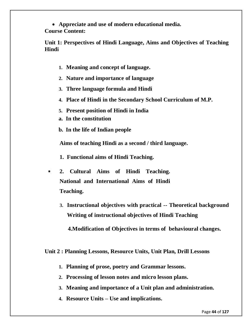**Appreciate and use of modern educational media.**

**Course Content:** 

**Unit 1: Perspectives of Hindi Language, Aims and Objectives of Teaching Hindi**

- **1. Meaning and concept of language.**
- **2. Nature and importance of language**
- **3. Three language formula and Hindi**
- **4. Place of Hindi in the Secondary School Curriculum of M.P.**
- **5. Present position of Hindi in India**
- **a. In the constitution**
- **b. In the life of Indian people**

**Aims of teaching Hindi as a second / third language.** 

**1. Functional aims of Hindi Teaching.**

- **2. Cultural Aims of Hindi Teaching. National and International Aims of Hindi Teaching.**
	- **3. Instructional objectives with practical -- Theoretical background Writing of instructional objectives of Hindi Teaching**

 **4.Modification of Objectives in terms of behavioural changes.**

## **Unit 2 : Planning Lessons, Resource Units, Unit Plan, Drill Lessons**

- **1. Planning of prose, poetry and Grammar lessons.**
- **2. Processing of lesson notes and micro lesson plans.**
- **3. Meaning and importance of a Unit plan and administration.**
- **4. Resource Units – Use and implications.**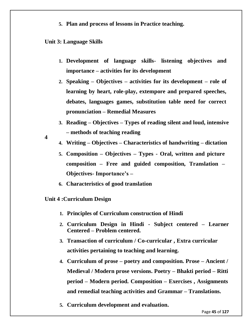**5. Plan and process of lessons in Practice teaching.**

### **Unit 3: Language Skills**

- **1. Development of language skills- listening objectives and importance – activities for its development**
- **2. Speaking – Objectives – activities for its development – role of learning by heart, role-play, extempore and prepared speeches, debates, languages games, substitution table need for correct pronunciation – Remedial Measures**
- **3. Reading – Objectives – Types of reading silent and loud, intensive – methods of teaching reading**
- **4**
- **4. Writing – Objectives – Characteristics of handwriting – dictation**
- **5. Composition – Objectives – Types - Oral, written and picture composition – Free and guided composition, Translation – Objectives- Importance's –**
- **6. Characteristics of good translation**
- **Unit 4 :Curriculum Design**
	- **1. Principles of Curriculum construction of Hindi**
	- **2. Curriculum Design in Hindi - Subject centered – Learner Centered – Problem centered.**
	- **3. Transaction of curriculum / Co-curricular , Extra curricular activities pertaining to teaching and learning.**
	- **4. Curriculum of prose – poetry and composition. Prose – Ancient / Medieval / Modern prose versions. Poetry – Bhakti period – Ritti period – Modern period. Composition – Exercises , Assignments and remedial teaching activities and Grammar – Translations.**
	- **5. Curriculum development and evaluation.**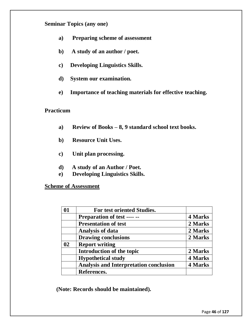## **Seminar Topics (any one)**

- **a) Preparing scheme of assessment**
- **b) A study of an author / poet.**
- **c) Developing Linguistics Skills.**
- **d) System our examination.**
- **e) Importance of teaching materials for effective teaching.**

### **Practicum**

- **a) Review of Books – 8, 9 standard school text books.**
- **b) Resource Unit Uses.**
- **c) Unit plan processing.**
- **d) A study of an Author / Poet.**
- **e) Developing Linguistics Skills.**

**Scheme of Assessment**

| 01 | For test oriented Studies.                    |                |
|----|-----------------------------------------------|----------------|
|    | <b>Preparation of test ---- --</b>            | 4 Marks        |
|    | <b>Presentation of test</b>                   | 2 Marks        |
|    | <b>Analysis of data</b>                       | 2 Marks        |
|    | <b>Drawing conclusions</b>                    | 2 Marks        |
| 02 | <b>Report writing</b>                         |                |
|    | Introduction of the topic                     | 2 Marks        |
|    | <b>Hypothetical study</b>                     | 4 Marks        |
|    | <b>Analysis and Interpretation conclusion</b> | <b>4 Marks</b> |
|    | References.                                   |                |

**(Note: Records should be maintained).**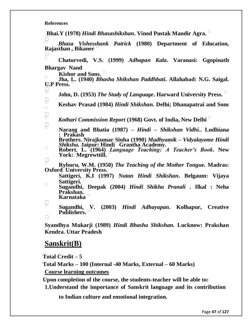#### **References**

**Bhai.Y (1978)** *Hindi Bhasashikshan***. Vinod Pustak Mandir Agra.** 

 *Bhasa Vishesshank Patrick* **(1980) Department of Education, Rajasthan , Bikaner**

 $\overline{\Box}$  **Chaturvedi, V.S. (1999)** *Adhapan Kala***. Varanasi: Ggopinath Bhargav Nand**

**Kishor and Sons.** 

 **Jha, L. (1940)** *Bhasha Shikshan Paddhbati***. Allahabad: N.G. Saigal. U.P Press.**   $\Box$ 

**John, D. (1953)** *The Study of Language***. Harward University Press.** 

**Keshav Prasad (1984)** *Hindi Shikshan.* **Delhi; Dhanapatrai and Sons** 

*Kothari Commission Report* **(1968) Govt. of India, New Delhi**

 **Narang and Bhatia (1987) –** *Hindi**–**Shikshan Vidhi.***. Ludhiana : Prakash Brothers. Nirajkumar Sinha (1990)** *Madhyamik – Vidyalayome Hindi* 

*Shiksha.* **Jaipur: Hindi Grantha Academy.** 

 **Robert. L. (1964)** *Language Teaching: A Teacher's Book***. New York:Megrewttill.** 

 **Ryburu, W.M. (1950)** *The Teaching of the Mother Tongue.* **Madras: OxfordUniversity Press.** 

 **Sattigeri, K.I (1997)** *Nutan Hindi Shikshan***. Belgaum: Vijaya Sattigeri.** 

 **Sugandhi, Deepak (2004)** *Hindi Shikha Pranali* **. Ilkal : Neha Prakshan. Karnataka** 

 **Sugandhi, V. (2003)** *Hindi Adhayapan***. Kolhapur, Creative Publishers.** 

 $\Box$ 

**Syandhya Mukarji (1989)** *Hindi Bhasha Shikshan.* **Lucknow: Prakshan Kendra. Uttar Pradesh**

## **Sanskrit(B)**

**Total Credit – 5**

**Total Marks – 100 (Internal -40 Marks, External – 60 Marks)** 

**Course learning outcomes** 

**Upon completion of the course, the students-teacher will be able to:**

**1.Understand the importance of Sanskrit language and its contribution** 

**to Indian culture and emotional integration.**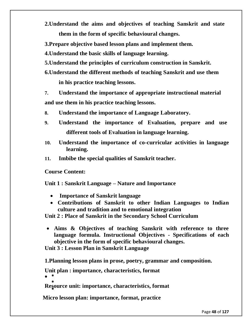**2.Understand the aims and objectives of teaching Sanskrit and state them in the form of specific behavioural changes.**

**3.Prepare objective based lesson plans and implement them.**

**4.Understand the basic skills of language learning.**

- **5.Understand the principles of curriculum construction in Sanskrit.**
- **6.Understand the different methods of teaching Sanskrit and use them**

**in his practice teaching lessons.**

**7. Understand the importance of appropriate instructional material and use them in his practice teaching lessons.**

- **8. Understand the importance of Language Laboratory.**
- **9. Understand the importance of Evaluation, prepare and use different tools of Evaluation in language learning.**
- **10. Understand the importance of co-curricular activities in language learning.**
- **11. Imbibe the special qualities of Sanskrit teacher.**

**Course Content:** 

**Unit 1 : Sanskrit Language – Nature and Importance**

- **Importance of Sanskrit language**
- **Contributions of Sanskrit to other Indian Languages to Indian culture and tradition and to emotional integration**

**Unit 2 : Place of Sanskrit in the Secondary School Curriculum**

 **Aims & Objectives of teaching Sanskrit with reference to three language formula. Instructional Objectives - Specifications of each objective in the form of specific behavioural changes.**

**Unit 3 : Lesson Plan in Sanskrit Language**

**1.Planning lesson plans in prose, poetry, grammar and composition.**

**Unit plan : importance, characteristics, format**

 $\bullet$ 

**Resource unit: importance, characteristics, format**

**Micro lesson plan: importance, format, practice**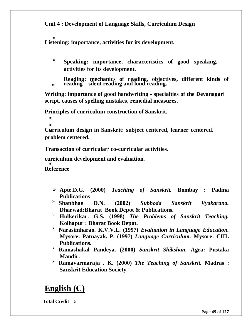**Unit 4 : Development of Language Skills, Curriculum Design**

**Listening: importance, activities for its development.**

- ۰ **Speaking: importance, characteristics of good speaking, activities for its development.**
- **Reading: mechanics of reading, objectives, different kinds of**
- **reading – silent reading and loud reading.**

**Writing: importance of good handwriting - specialties of the Devanagari script, causes of spelling mistakes, remedial measures.**

**Principles of curriculum construction of Sanskrit.**

**Curriculum design in Sanskrit: subject centered, learner centered, problem centered.**

**Transaction of curricular/ co-curricular activities.**

**curriculum development and evaluation.**

**Reference**

- **Apte.D.G. (2000)** *Teaching of Sanskrit.* **Bombay : Padma Publications**
- **Shanbhag D.N. (2002)** *Subhoda Sanskrit Vyakarana.* **Dharwad:Bharat Book Depot & Publications.**
- **Hulkerikar. G.S. (1998)** *The Problems of Sanskrit Teaching.* **Kolhapur : Bharat Book Depot.**
- **Narasimharao. K.V.V.L. (1997)** *Evaluation in Language Education.* **Mysore: Patnayak. P. (1997)** *Language Curriculum.* **Mysore: CIIL Publications.**
- **Ramashakal Pandeya. (2000)** *Sanskrit Shikshan.* **Agra: Pustaka Mandir.**
- **Ramavarmaraja . K. (2000)** *The Teaching of Sanskrit.* **Madras : Sanskrit Education Society.**

# **English (C)**

**Total Credit – 5**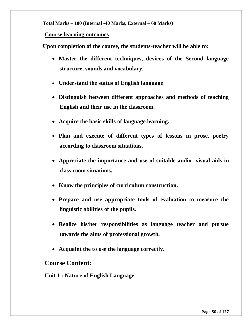**Total Marks – 100 (Internal -40 Marks, External – 60 Marks)** 

#### **Course learning outcomes**

**Upon completion of the course, the students-teacher will be able to:**

- **Master the different techniques, devices of the Second language structure, sounds and vocabulary.**
- **Understand the status of English language**.
- **Distinguish between different approaches and methods of teaching English and their use in the classroom.**
- **Acquire the basic skills of language learning.**
- **Plan and execute of different types of lessons in prose, poetry according to classroom situations.**
- **Appreciate the importance and use of suitable audio -visual aids in class room situations.**
- **Know the principles of curriculum construction.**
- **Prepare and use appropriate tools of evaluation to measure the linguistic abilities of the pupils.**
- **Realize his/her responsibilities as language teacher and pursue towards the aims of professional growth.**
- **Acquaint the to use the language correctly.**

## **Course Content:**

**Unit 1 : Nature of English Language**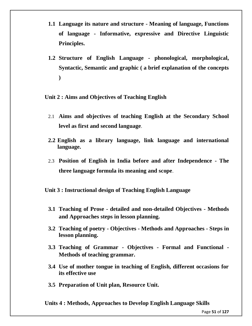- **1.1 Language its nature and structure - Meaning of language, Functions of language - Informative, expressive and Directive Linguistic Principles.**
- **1.2 Structure of English Language - phonological, morphological, Syntactic, Semantic and graphic ( a brief explanation of the concepts )**

**Unit 2 : Aims and Objectives of Teaching English**

- 2.1 **Aims and objectives of teaching English at the Secondary School level as first and second language**.
- **2.2 English as a library language, link language and international language.**
- 2.3 **Position of English in India before and after Independence - The three language formula its meaning and scope**.

**Unit 3 : Instructional design of Teaching English Language**

- **3.1 Teaching of Prose - detailed and non-detailed Objectives - Methods and Approaches steps in lesson planning.**
- **3.2 Teaching of poetry - Objectives - Methods and Approaches - Steps in lesson planning.**
- **3.3 Teaching of Grammar - Objectives - Formal and Functional - Methods of teaching grammar.**
- **3.4 Use of mother tongue in teaching of English, different occasions for its effective use**
- **3.5 Preparation of Unit plan, Resource Unit.**

**Units 4 : Methods, Approaches to Develop English Language Skills**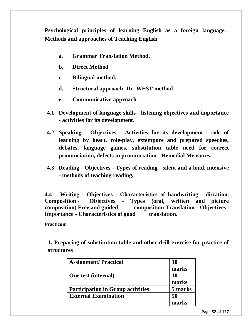**Psychological principles of learning English as a foreign language. Methods and approaches of Teaching English**

- **a. Grammar Translation Method.**
- **b. Direct Method**
- **c. Bilingual method.**
- **d. Structural approach- Dr. WEST method**
- **e. Communicative approach.**
- **4.1 Development of language skills - listening objectives and importance - activities for its development.**
- **4.2 Speaking - Objectives - Activities for its development , role of learning by heart, role-play, extempore and prepared speeches, debates, language games, substitution table need for correct pronunciation, defects in pronunciation - Remedial Measures.**
- **4.3 Reading - Objectives - Types of reading - silent and a loud, intensive - methods of teaching reading.**

**4.4 Writing - Objectives - Characteristics of handwriting - dictation. Composition - Objectives - Types (oral, written and picture composition) Free and guided composition Translation - Objectives– Importance - Characteristics of good translation.**

**Practicum**

**1. Preparing of substitution table and other drill exercise for practice of structures**

| <b>Assignment/Practical</b>              | 10        |
|------------------------------------------|-----------|
|                                          | marks     |
| One test (internal)                      | <b>10</b> |
|                                          | marks     |
| <b>Participation in Group activities</b> | 5 marks   |
| <b>External Examination</b>              | 50        |
|                                          | marks     |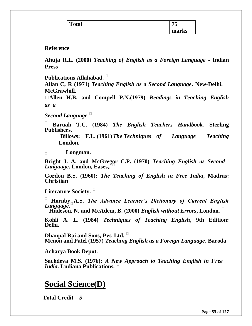| m     | - -    |
|-------|--------|
| `otal | $\sim$ |
|       | marks  |

### **Reference**

**Ahuja R.L. (2000)** *Teaching of English as a Foreign Language* **- Indian Press**

**Publications Allahabad.** 

**Allan C, R (1971)** *Teaching English as a Second Language***. New-Delhi. McGrawhill.** 

**Allen H.B. and Compell P.N.(1979)** *Readings in Teaching English as a*

*Second Language* 

 **Baruah T.C. (1984)** *The English Teachers Handbook.* **Sterling Publishers.** 

**Billows: F.L. (1961)***The Techniques of Language Teaching* **London,**

**Longman.** 

**Bright J. A. and McGregor C.P. (1970)** *Teaching English as Second Language***. London, Eases,.**

**Gordon B.S. (1960):** *The Teaching of English in Free India***, Madras: Christian**

**Literature Society.** 

 **Hornby A.S.** *The Advance Learner's Dictionary of Current English Language***.**

**Hudeson, N. and McAdem, B. (2000)** *English without Errors***, London.** 

**Kohli A. L. (1984)** *Techniques of Teaching English***, 9th Edition: Delhi,**

**Dhanpal Rai and Sons, Pvt. Ltd. Menon and Patel (1957)** *Teaching English as a Foreign Language***, Baroda**

**Acharya Book Depot.** 

**Sachdeva M.S. (1976):** *A New Approach to Teaching English in Free India***. Ludiana Publications.** 

## **Social Science(D)**

**Total Credit – 5**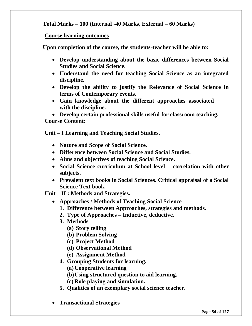**Total Marks – 100 (Internal -40 Marks, External – 60 Marks)** 

### **Course learning outcomes**

**Upon completion of the course, the students-teacher will be able to:**

- **Develop understanding about the basic differences between Social Studies and Social Science.**
- **Understand the need for teaching Social Science as an integrated discipline.**
- **Develop the ability to justify the Relevance of Social Science in terms of Contemporary events.**
- **Gain knowledge about the different approaches associated with the discipline.**

 **Develop certain professional skills useful for classroom teaching. Course Content:** 

**Unit – I Learning and Teaching Social Studies.** 

- **Nature and Scope of Social Science.**
- **Difference between Social Science and Social Studies.**
- **Aims and objectives of teaching Social Science.**
- **Social Science curriculum at School level – correlation with other subjects.**
- **Prevalent text books in Social Sciences. Critical appraisal of a Social Science Text book.**

**Unit – II : Methods and Strategies.** 

- **Approaches / Methods of Teaching Social Science**
	- **1. Difference between Approaches, strategies and methods.**
	- **2. Type of Approaches – Inductive, deductive.**
	- **3. Methods –**
		- **(a) Story telling**
		- **(b) Problem Solving**
		- **(c) Project Method**
		- **(d) Observational Method**
		- **(e) Assignment Method**
	- **4. Grouping Students for learning.**
		- **(a)Cooperative learning**
		- **(b)Using structured question to aid learning.**
		- **(c) Role playing and simulation.**
	- **5. Qualities of an exemplary social science teacher.**
- **Transactional Strategies**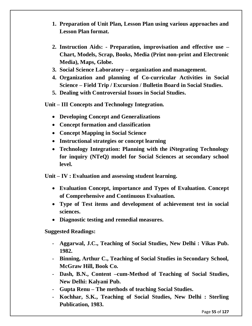- **1. Preparation of Unit Plan, Lesson Plan using various approaches and Lesson Plan format.**
- **2. Instruction Aids: - Preparation, improvisation and effective use – Chart, Models, Scrap, Books, Media (Print non-print and Electronic Media), Maps, Globe.**
- **3. Social Science Laboratory – organization and management.**
- **4. Organization and planning of Co-curricular Activities in Social Science – Field Trip / Excursion / Bulletin Board in Social Studies.**
- **5. Dealing with Controversial Issues in Social Studies.**
- **Unit – III Concepts and Technology Integration.** 
	- **Developing Concept and Generalizations**
	- **Concept formation and classification**
	- **Concept Mapping in Social Science**
	- **Instructional strategies or concept learning**
	- **Technology Integration: Planning with the iNtegrating Technology for inquiry (NTeQ) model for Social Sciences at secondary school level.**

**Unit – IV : Evaluation and assessing student learning.** 

- **Evaluation Concept, importance and Types of Evaluation. Concept of Comprehensive and Continuous Evaluation.**
- **Type of Test items and development of achievement test in social sciences.**
- **Diagnostic testing and remedial measures.**

**Suggested Readings:** 

- **Aggarwal, J.C., Teaching of Social Studies, New Delhi : Vikas Pub. 1982.**
- **Binning, Arthur C., Teaching of Social Studies in Secondary School, McGraw Hill, Book Co.**
- **Dash, B.N., Content –cum-Method of Teaching of Social Studies, New Delhi: Kalyani Pub.**
- **Gupta Renu – The methods of teaching Social Studies.**
- **Kochhar, S.K., Teaching of Social Studies, New Delhi : Sterling Publication, 1983.**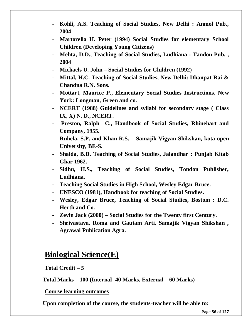- **Kohli, A.S. Teaching of Social Studies, New Delhi : Anmol Pub., 2004**
- **Martorella H. Peter (1994) Social Studies for elementary School Children (Developing Young Citizens)**
- **Mehta, D.D., Teaching of Social Studies, Ludhiana : Tandon Pub. , 2004**
- **Michaels U. John – Social Studies for Children (1992)**
- **Mittal, H.C. Teaching of Social Studies, New Delhi: Dhanpat Rai & Chandna R.N. Sons.**
- **Mottart, Maurice P., Elementary Social Studies Instructions, New York: Longman, Green and co.**
- **NCERT (1988) Guidelines and syllabi for secondary stage ( Class IX, X) N. D., NCERT.**
- **Preston, Ralph C., Handbook of Social Studies, Rhinehart and Company, 1955.**
- **Ruhela, S.P. and Khan R.S. – Samajik Vigyan Shikshan, kota open University, BE-S.**
- **Shaida, B.D. Teaching of Social Studies, Jalandhar : Punjab Kitab Ghar 1962.**
- **Sidhu, H.S., Teaching of Social Studies, Tondon Publisher, Ludhiana.**
- **Teaching Social Studies in High School, Wesley Edgar Bruce.**
- **UNESCO (1981), Handbook for teaching of Social Studies.**
- **Wesley, Edgar Bruce, Teaching of Social Studies, Bostom : D.C. Herth and Co.**
- **Zevin Jack (2000) – Social Studies for the Twenty first Century.**
- **Shrivastava, Roma and Gautam Arti, Samajik Vigyan Shikshan , Agrawal Publication Agra.**

## **Biological Science(E)**

## **Total Credit – 5**

**Total Marks – 100 (Internal -40 Marks, External – 60 Marks)** 

**Course learning outcomes** 

**Upon completion of the course, the students-teacher will be able to:**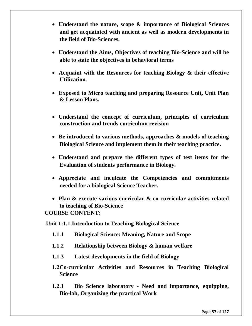- **Understand the nature, scope & importance of Biological Sciences and get acquainted with ancient as well as modern developments in the field of Bio-Sciences.**
- **Understand the Aims, Objectives of teaching Bio-Science and will be able to state the objectives in behavioral terms**
- **Acquaint with the Resources for teaching Biology & their effective Utilization.**
- **Exposed to Micro teaching and preparing Resource Unit, Unit Plan & Lesson Plans.**
- **Understand the concept of curriculum, principles of curriculum construction and trends curriculum revision**
- **Be introduced to various methods, approaches & models of teaching Biological Science and implement them in their teaching practice.**
- **Understand and prepare the different types of test items for the Evaluation of students performance in Biology.**
- **Appreciate and inculcate the Competencies and commitments needed for a biological Science Teacher.**
- **Plan & execute various curricular & co-curricular activities related to teaching of Bio-Science**

**COURSE CONTENT:**

**Unit 1:1.1 Introduction to Teaching Biological Science**

- **1.1.1 Biological Science: Meaning, Nature and Scope**
- **1.1.2 Relationship between Biology & human welfare**
- **1.1.3 Latest developments in the field of Biology**
- **1.2Co-curricular Activities and Resources in Teaching Biological Science**
- **1.2.1 Bio Science laboratory - Need and importance, equipping, Bio-lab, Organizing the practical Work**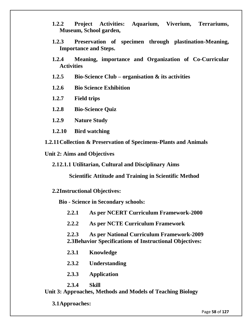- **1.2.2 Project Activities: Aquarium, Viverium, Terrariums, Museum, School garden,**
- **1.2.3 Preservation of specimen through plastination-Meaning, Importance and Steps.**
- **1.2.4 Meaning, importance and Organization of Co-Curricular Activities**
- **1.2.5 Bio-Science Club – organisation & its activities**
- **1.2.6 Bio Science Exhibition**
- **1.2.7 Field trips**
- **1.2.8 Bio-Science Quiz**
- **1.2.9 Nature Study**
- **1.2.10 Bird watching**
- **1.2.11Collection & Preservation of Specimens-Plants and Animals**
- **Unit 2: Aims and Objectives**
	- **2.12.1.1 Utilitarian, Cultural and Disciplinary Aims**

**Scientific Attitude and Training in Scientific Method**

**2.2Instructional Objectives:**

**Bio - Science in Secondary schools:**

**2.2.1 As per NCERT Curriculum Framework-2000**

**2.2.2 As per NCTE Curriculum Framework**

- **2.2.3 As per National Curriculum Framework-2009 2.3Behavior Specifications of Instructional Objectives:**
- **2.3.1 Knowledge**
- **2.3.2 Understanding**
- **2.3.3 Application**
- **2.3.4 Skill**

**Unit 3: Approaches, Methods and Models of Teaching Biology**

**3.1Approaches:**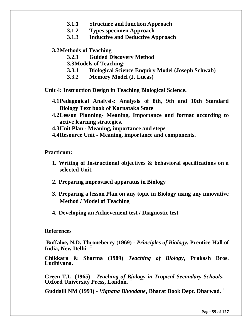- **3.1.1 Structure and function Approach**
- **3.1.2 Types specimen Approach**
- **3.1.3 Inductive and Deductive Approach**

#### **3.2Methods of Teaching**

- **3.2.1 Guided Discovery Method**
- **3.3Models of Teaching:**
- **3.3.1 Biological Science Enquiry Model (Joseph Schwab)**
- **3.3.2 Memory Model (J. Lucas)**
- **Unit 4: Instruction Design in Teaching Biological Science.**
	- **4.1Pedagogical Analysis: Analysis of 8th, 9th and 10th Standard Biology Text book of Karnataka State**
	- **4.2Lesson Planning- Meaning, Importance and format according to active learning strategies.**
	- **4.3Unit Plan - Meaning, importance and steps**
	- **4.4Resource Unit - Meaning, importance and components.**

**Practicum:**

- **1. Writing of Instructional objectives & behavioral specifications on a selected Unit.**
- **2. Preparing improvised apparatus in Biology**
- **3. Preparing a lesson Plan on any topic in Biology using any innovative Method / Model of Teaching**
- **4. Developing an Achievement test / Diagnostic test**

**References**

**Buffaloe, N.D. Throneberry (1969) -** *Principles of Biology***, Prentice Hall of India, New Delhi.** 

**Chikkara & Sharma (1989)** *Teaching of Biology***, Prakash Bros. Ludhiyana.** 

**Green T.L. (1965) -** *Teaching of Biology in Tropical Secondary Schools***, Oxford University Press, London.** 

**Guddalli NM (1993) -** *Vignana Bhoodane***, Bharat Book Dept. Dharwad.**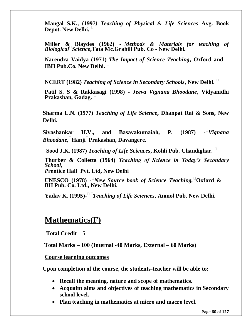**Mangal S.K., (1997***) Teaching of Physical & Life Sciences* **Avg. Book Depot. New Delhi.** 

**Miller & Blaydes (1962) -** *Methods & Materials for teaching of BiologicalScience***,Tata Mc.Grahill Pub. Co - New Delhi.**

**Narendra Vaidya (1971)** *The Impact of Science Teaching***, Oxford and IBH Pub.Co. New Delhi.** 

**NCERT (1982)** *Teaching of Science in Secondary Schools***, New Delhi.** 

**Patil S. S & Rakkasagi (1998) -** *Jeeva Vignana Bhoodane***, Vidyanidhi Prakashan, Gadag.** 

**Sharma L.N. (1977)** *Teaching of Life Science***, Dhanpat Rai & Sons, New Delhi.**

Sivashankar H.V., and Basavakumaiah, P. *Vignana Bhoodane,***HanjiPrakashan, Davangere.**

**Sood J.K. (1987)** *Teaching of Life Sciences***, Kohli Pub. Chandighar.** 

**Thurber & Colletta (1964)** *Teaching of Science in Today's Secondary School,*

*P***rentice Hall Pvt. Ltd, New Delhi**

**UNESCO (1978) -** *New Source book of Science Teaching,***Oxford & BH Pub. Co. Ltd., New Delhi.**

**Yadav K. (1995)-** *Teaching of Life Sciences***, Anmol Pub. New Delhi.**

## **Mathematics(F)**

**Total Credit – 5**

**Total Marks – 100 (Internal -40 Marks, External – 60 Marks)** 

**Course learning outcomes** 

**Upon completion of the course, the students-teacher will be able to:**

- **Recall the meaning, nature and scope of mathematics.**
- **Acquaint aims and objectives of teaching mathematics in Secondary school level.**
- **Plan teaching in mathematics at micro and macro level.**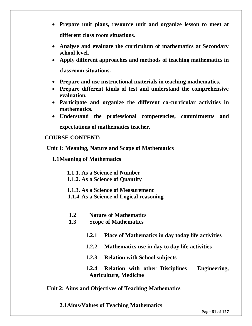- **Prepare unit plans, resource unit and organize lesson to meet at different class room situations.**
- **Analyse and evaluate the curriculum of mathematics at Secondary school level.**
- **Apply different approaches and methods of teaching mathematics in classroom situations.**
- **Prepare and use instructional materials in teaching mathematics.**
- **Prepare different kinds of test and understand the comprehensive evaluation.**
- **Participate and organize the different co-curricular activities in mathematics.**
- **Understand the professional competencies, commitments and expectations of mathematics teacher.**

#### **COURSE CONTENT:**

**Unit 1: Meaning, Nature and Scope of Mathematics**

**1.1Meaning of Mathematics**

**1.1.1. As a Science of Number**

- **1.1.2. As a Science of Quantity**
- **1.1.3. As a Science of Measurement**
- **1.1.4.As a Science of Logical reasoning**
- **1.2 Nature of Mathematics**
- **1.3 Scope of Mathematics**
	- **1.2.1 Place of Mathematics in day today life activities**
	- **1.2.2 Mathematics use in day to day life activities**
	- **1.2.3 Relation with School subjects**
	- **1.2.4 Relation with other Disciplines – Engineering, Agriculture, Medicine**

### **Unit 2: Aims and Objectives of Teaching Mathematics**

**2.1Aims/Values of Teaching Mathematics**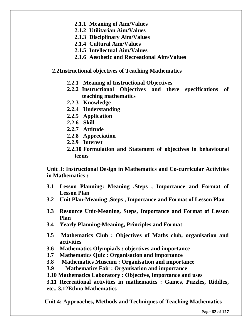- **2.1.1 Meaning of Aim/Values**
- **2.1.2 Utilitarian Aim/Values**
- **2.1.3 Disciplinary Aim/Values**
- **2.1.4 Cultural Aim/Values**
- **2.1.5 Intellectual Aim/Values**
- **2.1.6 Aesthetic and Recreational Aim/Values**

#### **2.2Instructional objectives of Teaching Mathematics**

- **2.2.1 Meaning of Instructional Objectives**
- **2.2.2 Instructional Objectives and there specifications of teaching mathematics**
- **2.2.3 Knowledge**
- **2.2.4 Understanding**
- **2.2.5 Application**
- **2.2.6 Skill**
- **2.2.7 Attitude**
- **2.2.8 Appreciation**
- **2.2.9 Interest**
- **2.2.10 Formulation and Statement of objectives in behavioural terms**

**Unit 3: Instructional Design in Mathematics and Co-curricular Activities in Mathematics :**

- **3.1 Lesson Planning: Meaning ,Steps , Importance and Format of Lesson Plan**
- **3.2 Unit Plan-Meaning ,Steps , Importance and Format of Lesson Plan**
- **3.3 Resource Unit-Meaning, Steps, Importance and Format of Lesson Plan**
- **3.4 Yearly Planning-Meaning, Principles and Format**
- **3.5 Mathematics Club : Objectives of Maths club, organisation and activities**
- **3.6 Mathematics Olympiads : objectives and importance**
- **3.7 Mathematics Quiz : Organisation and importance**
- **3.8 Mathematics Museum : Organisation and importance**
- **3.9 Mathematics Fair : Organisation and importance**
- **3.10 Mathematics Laboratory : Objective, importance and uses**

**3.11 Recreational activities in mathematics : Games, Puzzles, Riddles, etc., 3.12Ethno Mathematics**

**Unit 4: Approaches, Methods and Techniques of Teaching Mathematics**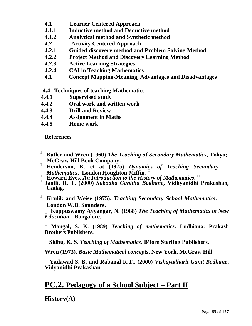- **4.1 Learner Centered Approach**
- **4.1.1 Inductive method and Deductive method**
- **4.1.2 Analytical method and Synthetic method**
- **4.2 Activity Centered Approach**
- **4.2.1 Guided discovery method and Problem Solving Method**
- **4.2.2 Project Method and Discovery Learning Method**
- **4.2.3 Active Learning Strategies**
- **4.2.4 CAI in Teaching Mathematics**
- **4.1 Concept Mapping-Meaning, Advantages and Disadvantages**

### **4.4 Techniques of teaching Mathematics**

- **4.4.1 Supervised study**
- **4.4.2 Oral work and written work**
- **4.4.3 Drill and Review**
- **4.4.4 Assignment in Maths**
- **4.4.5 Home work**

**References**

- **Butler and Wren (1960)** *The Teaching of Secondary Mathematics***, Tokyo; McGraw Hill Book Company.**
- **Henderson, K. et at (1975)** *Dynamics of Teaching Secondary Mathematics***, London Houghton Miffin.**
- **Howard Eves,** *An Introduction to the History of Mathematics***.**
- **Jantli, R. T. (2000)** *Subodha Ganitha Bodhane***, Vidhyanidhi Prakashan, Gadag.**
- **Krulik and Weise (1975).** *Teaching Secondary School Mathematics***. London W.B. Saunders.**

 **Kuppuswamy Ayyangar, N. (1988)** *The Teaching of Mathematics in New Education,* **Bangalore.** 

 **Mangal, S. K. (1989)** *Teaching of mathematics***. Ludhiana: Prakash Brothers Publishers.**

**Sidhu, K. S.** *Teaching of Mathematics***, B'lore Sterling Publishers.**

**Wren (1973).** *Basic Mathematical concepts***, New York, McGraw Hill**

 **Yadawad S. B. and Rabanal R.T., (2000)** *Vishayadharit Ganit Bodhane***, Vidyanidhi Prakashan**

## **PC.2. Pedagogy of a School Subject – Part II**

**History(A)**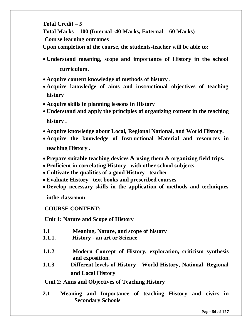**Total Credit – 5 Total Marks – 100 (Internal -40 Marks, External – 60 Marks) Course learning outcomes Upon completion of the course, the students-teacher will be able to:**

- **Understand meaning, scope and importance of History in the school curriculum.**
- **Acquire content knowledge of methods of history .**
- **Acquire knowledge of aims and instructional objectives of teaching history**
- **Acquire skills in planning lessons in History**
- **Understand and apply the principles of organizing content in the teaching history .**
- **Acquire knowledge about Local, Regional National, and World History.**
- **Acquire the knowledge of Instructional Material and resources in teaching History .**
- **Prepare suitable teaching devices & using them & organizing field trips.**
- **Proficient in correlating History with other school subjects.**
- **Cultivate the qualities of a good History teacher**
- **Evaluate History text books and prescribed courses**
- **Develop necessary skills in the application of methods and techniques**

**inthe classroom**

**COURSE CONTENT:**

**Unit 1: Nature and Scope of History** 

- **1.1 Meaning, Nature, and scope of history**
- **1.1.1. History - an art or Science**
- **1.1.2 Modern Concept of History, exploration, criticism synthesis and exposition.**
- **1.1.3 Different levels of History - World History, National, Regional and Local History**

**Unit 2: Aims and Objectives of Teaching History** 

**2.1 Meaning and Importance of teaching History and civics in Secondary Schools**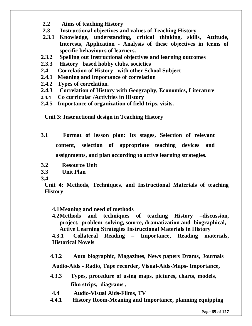- **2.2 Aims of teaching History**
- **2.3 Instructional objectives and values of Teaching History**
- **2.3.1 Knowledge, understanding, critical thinking, skills, Attitude, Interests, Application - Analysis of these objectives in terms of specific behaviours of learners.**
- **2.3.2 Spelling out Instructional objectives and learning outcomes**
- **2.3.3 History based hobby clubs, societies**
- **2.4 Correlation of History with other School Subject**
- **2.4.1 Meaning and Importance of correlation**
- **2.4.2 Types of correlation.**
- **2.4.3 Correlation of History with Geography, Economics, Literature**
- **2.4.4 Co curricular /Activities in History**
- **2.4.5 Importance of organization of field trips, visits.**

**Unit 3: Instructional design in Teaching History** 

- **3.1 Format of lesson plan: Its stages, Selection of relevant content, selection of appropriate teaching devices and assignments, and plan according to active learning strategies.**
- **3.2 Resource Unit**
- **3.3 Unit Plan**
- **3.4**

**Unit 4: Methods, Techniques, and Instructional Materials of teaching History** 

**4.1Meaning and need of methods**

**4.2Methods and techniques of teaching History –discussion, project, problem solving, source, dramatization and biographical, Active Learning Strategies Instructional Materials in History** 

**4.3.1 Collateral Reading – Importance, Reading materials, Historical Novels**

**4.3.2 Auto biographic, Magazines, News papers Drams, Journals** 

**Audio-Aids - Radio, Tape recorder, Visual-Aids-Maps- Importance,**

- **4.3.3 Types, procedure of using maps, pictures, charts, models, film strips, diagrams ,**
- **4.4 Audio-Visual Aids-Films, TV**
- **4.4.1 History Room-Meaning and Importance, planning equipping**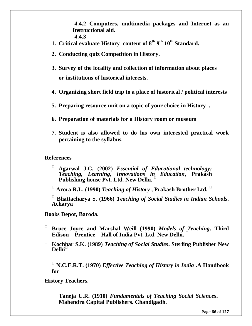**4.4.2 Computers, multimedia packages and Internet as an Instructional aid. 4.4.3**

- **1. Critical evaluate History content of 8th 9 th 10th Standard.**
- **2. Conducting quiz Competition in History.**
- **3. Survey of the locality and collection of information about places or institutions of historical interests.**
- **4. Organizing short field trip to a place of historical / political interests**
- **5. Preparing resource unit on a topic of your choice in History .**
- **6. Preparation of materials for a History room or museum**
- **7. Student is also allowed to do his own interested practical work pertaining to the syllabus.**

**References**

- **Agarwal J.C. (2002)** *Essential of Educational technology: Teaching, Learning, Innovations in Education***, Prakash Publishing house Pvt. Ltd. New Delhi.**
- **Arora R.L. (1990)** *Teaching of History* **, Prakash Brother Ltd.**

 **Bhattacharya S. (1966)** *Teaching of Social Studies in Indian Schools***. Acharya**

**Books Depot, Baroda.** 

- **Bruce Joyce and Marshal Weill (1990)** *Models of Teaching***. Third Edison – Prentice – Hall of India Pvt. Ltd. New Delhi.**
- **Kochhar S.K. (1989)** *Teaching of Social Studies***. Sterling Publisher New Delhi**

 **N.C.E.R.T. (1970)** *Effective Teaching of History in India* **.A Handbook for**

**History Teachers.** 

 **Taneja U.R. (1910)** *Fundamentals of Teaching Social Sciences***. Mahendra Capital Publishers. Chandigadh.**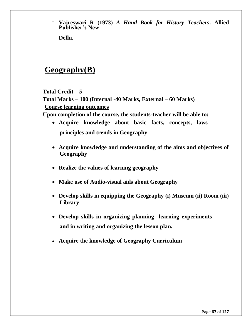**Vajreswari R (1973)** *A Hand Book for History Teachers***. Allied Publisher's New**

**Delhi.** 

# **Geography(B)**

**Total Credit – 5**

**Total Marks – 100 (Internal -40 Marks, External – 60 Marks) Course learning outcomes** 

**Upon completion of the course, the students-teacher will be able to:**

- **Acquire knowledge about basic facts, concepts, laws principles and trends in Geography**
- **Acquire knowledge and understanding of the aims and objectives of Geography**
- **Realize the values of learning geography**
- **Make use of Audio-visual aids about Geography**
- **Develop skills in equipping the Geography (i) Museum (ii) Room (iii) Library**
- **Develop skills in organizing planning- learning experiments and in writing and organizing the lesson plan.**
- **Acquire the knowledge of Geography Curriculum**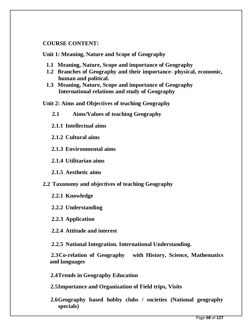## **COURSE CONTENT:**

**Unit 1: Meaning, Nature and Scope of Geography** 

- **1.1 Meaning, Nature, Scope and importance of Geography**
- **1.2 Branches of Geography and their importance- physical, economic, human and political.**
- **1.3 Meaning, Nature, Scope and importance of Geography International relations and study of Geography**

**Unit 2: Aims and Objectives of teaching Geography** 

- **2.1 Aims/Values of teaching Geography**
- **2.1.1 Intellectual aims**
- **2.1.2 Cultural aims**

**2.1.3 Environmental aims**

**2.1.4 Utilitarian aims**

**2.1.5 Aesthetic aims**

- **2.2 Taxonomy and objectives of teaching Geography**
	- **2.2.1 Knowledge**
	- **2.2.2 Understanding**

**2.2.3 Application**

**2.2.4 Attitude and interest**

**2.2.5 National Integration. International Understanding.**

**2.3Co-relation of Geography with History, Science, Mathematics and languages**

**2.4Trends in Geography Education**

**2.5Importance and Organization of Field trips, Visits**

**2.6Geography based hobby clubs / societies (National geography specials)**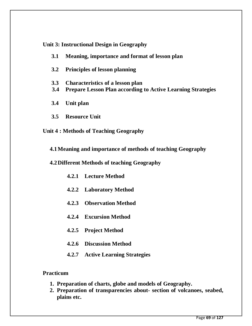**Unit 3: Instructional Design in Geography** 

- **3.1 Meaning, importance and format of lesson plan**
- **3.2 Principles of lesson planning**
- **3.3 Characteristics of a lesson plan**
- **3.4 Prepare Lesson Plan according to Active Learning Strategies**
- **3.4 Unit plan**
- **3.5 Resource Unit**

## **Unit 4 : Methods of Teaching Geography**

**4.1Meaning and importance of methods of teaching Geography** 

**4.2Different Methods of teaching Geography** 

- **4.2.1 Lecture Method**
- **4.2.2 Laboratory Method**
- **4.2.3 Observation Method**
- **4.2.4 Excursion Method**
- **4.2.5 Project Method**
- **4.2.6 Discussion Method**
- **4.2.7 Active Learning Strategies**

### **Practicum**

- **1. Preparation of charts, globe and models of Geography.**
- **2. Preparation of transparencies about- section of volcanoes, seabed, plains etc.**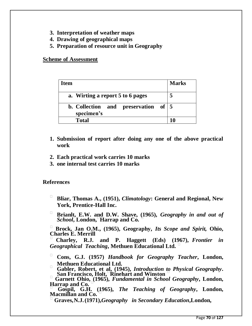- **3. Interpretation of weather maps**
- **4. Drawing of geographical maps**
- **5. Preparation of resource unit in Geography**

**Scheme of Assessment**

| <b>Item</b> |                                                                 | <b>Marks</b> |
|-------------|-----------------------------------------------------------------|--------------|
|             | a. Wirting a report 5 to 6 pages                                |              |
|             | b. Collection and preservation of $\vert 5 \vert$<br>specimen's |              |
|             | <b>Total</b>                                                    |              |

- **1. Submission of report after doing any one of the above practical work**
- **2. Each practical work carries 10 marks**
- **3. one internal test carries 10 marks**

### **References**

- **Bliar, Thomas A., (1951),** *Climatology***: General and Regional, New York, Prentice-Hall Inc.**
- **Brianlt, E.W. and D.W. Shave, (1965),** *Geography in and out of School***, London**, Harrap and Co.

 **Brock, Jan O.M., (1965), Geography,** *Its Scope and Spirit,* **Ohio, Charles E. Merrill** 

 **Charley, R.J. and P. Haggett (Eds) (1967),** *Frontier in Geographical Teaching***, Methuen Educational Ltd.** 

 **Cons, G.J. (1957)** *Handbook for Geography Teacher***, London, Methuen Educational Ltd.** 

 **Gabler, Robert, et al, (1945),** *Introduction to Physical Geography***. San Francisco, Holt,Rinehart and Winston** 

 **Garnett Ohio, (1965),** *Fundamental in School Geography***, London, Harrap and Co.** 

 **Gospil, G.H. (1965),** *The Teaching of Geography***, London, Macmillan and Co.** 

**Graves,N.J.(1971),***Geography in Secondary Education***,London,**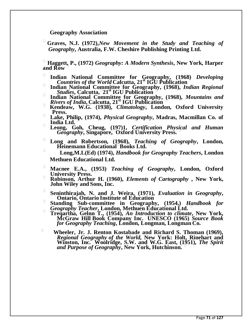#### **Geography Association**

 **Graves, N.J. (1972),***New Movement in the Study and Teaching of Geography***, Australia, F.W. Cheshire Publishing Printing Ltd.** 

 **Haggett, P., (1972)** *Geography: A Modern Synthesis***, New York, Harper and Row** 

- **Indian National Committee for Geography, (1968)** *Developing Countries of the World* **Calcutta, 21st IGU Publication Indian National Committee for Geography, (1968),** *Indian Regional*
- *Studies***, Calcutta,21st IGU Publication**
- **Indian National Committee for Geography, (1968),** *Mountains and Rivers of India***, Calcutta, 21st IGU Publication**
- **Kendeaw, W.G. (1938),** *Climatology***, London, Oxford University Press.**
- **Lake, Philip, (1974),** *Physical Geography***, Madras, Macmillan Co. of India Ltd.**
- **Leong, Goh, Cheug, (197)1,** *Certification Physical and Human Geography***, Singapore,Oxford University Press.**
- **Long and Robertson, (1968),** *Teaching of Geography***, London, Heinemann EducationalBooks Ltd.**
- **Long,M.L(Ed) (1974),** *Handbook for Geography Teachers***, London Methuen Educational Ltd.**
- **Macnee E.A., (1953)** *Teaching of Geography***, London, Oxford University Press.**
- **Robinson, Arthur H. (1960),** *Elements of Cartography* **, New York, John Wiley and Sons, Inc.**
- **Seninthirajah, N. and J. Weira, (1971),** *Evaluation in Geography***, Ontario, Ontario Institute of Education**
- **Standing Sub-committee in Geography, (1954,)** *Handbook for Geography Teacher***, London, Methuen Educational Ltd.**
- □ **Tregartha, Gelnn T., (1954), An Introduction to climate**, New York, **McGraw Hill Book Company Inc. UNESCO (1965)** *Source Book for Geography Teaching***, London, Longman, Longman Co.**
- **Wheeler, Jr. J. Renton Kostabade and Richard S. Thoman (1969),**  *Regional Geography of the World,* **New York: Holt, Rinehart and Winston, Inc. Woolridge, S.W. and W.G. East, (1951)***, The Spirit and Purpose of Geography***, New York, Hutchinson.**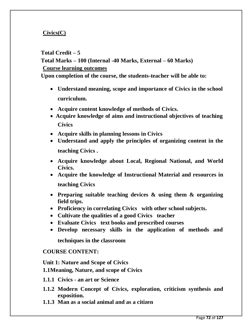## **Civics(C)**

### **Total Credit – 5**

```
Total Marks – 100 (Internal -40 Marks, External – 60 Marks) 
Course learning outcomes
```
**Upon completion of the course, the students-teacher will be able to:**

- **Understand meaning, scope and importance of Civics in the school curriculum.**
- **Acquire content knowledge of methods of Civics.**
- **Acquire knowledge of aims and instructional objectives of teaching Civics**
- **Acquire skills in planning lessons in Civics**
- **Understand and apply the principles of organizing content in the teaching Civics .**
- **Acquire knowledge about Local, Regional National, and World Civics.**
- **Acquire the knowledge of Instructional Material and resources in teaching Civics**
- **Preparing suitable teaching devices & using them & organizing field trips.**
- **Proficiency in correlating Civics with other school subjects.**
- **Cultivate the qualities of a good Civics teacher**
- **Evaluate Civics text books and prescribed courses**
- **Develop necessary skills in the application of methods and**

**techniques in the classroom**

### **COURSE CONTENT:**

**Unit 1: Nature and Scope of Civics 1.1Meaning, Nature, and scope of Civics**

**1.1.1 Civics - an art or Science**

- **1.1.2 Modern Concept of Civics, exploration, criticism synthesis and exposition.**
- **1.1.3 Man as a social animal and as a citizen**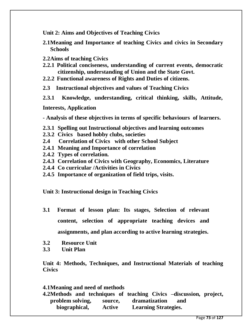**Unit 2: Aims and Objectives of Teaching Civics** 

- **2.1Meaning and Importance of teaching Civics and civics in Secondary Schools**
- **2.2Aims of teaching Civics**
- **2.2.1 Political conciseness, understanding of current events, democratic citizenship, understanding of Union and the State Govt.**
- **2.2.2 Functional awareness of Rights and Duties of citizens.**
- **2.3 Instructional objectives and values of Teaching Civics**
- **2.3.1 Knowledge, understanding, critical thinking, skills, Attitude,**

**Interests, Application** 

**- Analysis of these objectives in terms of specific behaviours of learners.**

- **2.3.1 Spelling out Instructional objectives and learning outcomes**
- **2.3.2 Civics based hobby clubs, societies**
- **2.4 Correlation of Civics with other School Subject**
- **2.4.1 Meaning and Importance of correlation**
- **2.4.2 Types of correlation.**
- **2.4.3 Correlation of Civics with Geography, Economics, Literature**
- **2.4.4 Co curricular /Activities in Civics**
- **2.4.5 Importance of organization of field trips, visits.**

**Unit 3: Instructional design in Teaching Civics** 

- **3.1 Format of lesson plan: Its stages, Selection of relevant content, selection of appropriate teaching devices and assignments, and plan according to active learning strategies.**
- **3.2 Resource Unit**
- **3.3 Unit Plan**

**Unit 4: Methods, Techniques, and Instructional Materials of teaching Civics** 

#### **4.1Meaning and need of methods**

**4.2Methods and techniques of teaching Civics –discussion, project, problem solving, source, dramatization and biographical, Active Learning Strategies.**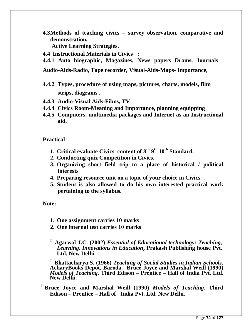**4.3Methods of teaching civics – survey observation, comparative and demonstration,** 

**Active Learning Strategies.** 

- **4.4 Instructional Materials in Civics :**
- **4.4.1 Auto biographic, Magazines, News papers Drams, Journals**

**Audio-Aids-Radio, Tape recorder, Visual-Aids-Maps- Importance,**

- **4.4.2 Types, procedure of using maps, pictures, charts, models, film strips, diagrams ,**
- **4.4.3 Audio-Visual Aids-Films, TV**
- **4.4.4 Civics Room-Meaning and Importance, planning equipping**
- **4.4.5 Computers, multimedia packages and Internet as an Instructional aid.**

**Practical**

- **1. Critical evaluate Civics content of 8th 9 th 10th Standard.**
- **2. Conducting quiz Competition in Civics.**
- **3. Organizing short field trip to a place of historical / political interests**
- **4. Preparing resource unit on a topic of your choice in Civics .**
- **5. Student is also allowed to do his own interested practical work pertaining to the syllabus.**

**Note:-**

- **1. One assignment carries 10 marks**
- **2. One internal test carries 10 marks**
- **Agarwal J.C. (2002)** *Essential of Educational technology: Teaching, Learning, Innovations in Education***, Prakash Publishing house Pvt. Ltd. New Delhi.**

 **Bhattacharya S. (1966)** *Teaching of Social Studies in Indian Schools***. AcharyBooks Depot, Baroda. Bruce Joyce and Marshal Weill (1990)**  *Models of Teaching***. Third Edison – Prentice – Hall of India Pvt. Ltd. New Delhi.** 

**Bruce Joyce and Marshal Weill (1990)** *Models of Teaching***. Third Edison – Prentice – Hall of India Pvt. Ltd. New Delhi.**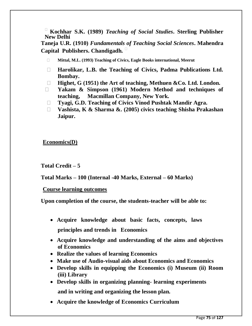**Kochhar S.K. (1989)** *Teaching of Social Studies***. Sterling Publisher New Delhi**

**Taneja U.R. (1910)** *Fundamentals of Teaching Social Sciences***. Mahendra Capital Publishers. Chandigadh.** 

- **Mittal, M.L. (1993) Teaching of Civics, Eagle Books international, Meerut**
- **Harolikar, L.B. the Teaching of Civics, Padma Publications Ltd. Bombay.**
- **Highet, G (1951) the Art of teaching, Methuen &Co. Ltd. London.**
- **Yakam & Simpson (1961) Modern Method and techniques of teaching, Macmillan Company, New York.**
- **Tyagi, G.D. Teaching of Civics Vinod Pushtak Mandir Agra.**
- **Vashista, K & Sharma &. (2005) civics teaching Shisha Prakashan Jaipur.**

**Economics(D)**

**Total Credit – 5**

**Total Marks – 100 (Internal -40 Marks, External – 60 Marks)** 

**Course learning outcomes** 

**Upon completion of the course, the students-teacher will be able to:**

- **Acquire knowledge about basic facts, concepts, laws principles and trends in Economics**
- **Acquire knowledge and understanding of the aims and objectives of Economics**
- **Realize the values of learning Economics**
- **Make use of Audio-visual aids about Economics and Economics**
- **Develop skills in equipping the Economics (i) Museum (ii) Room (iii) Library**
- **Develop skills in organizing planning- learning experiments and in writing and organizing the lesson plan.**
- **Acquire the knowledge of Economics Curriculum**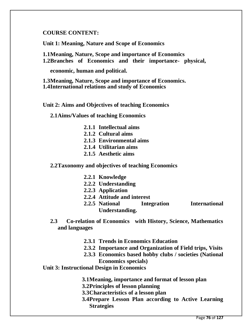#### **COURSE CONTENT:**

**Unit 1: Meaning, Nature and Scope of Economics** 

**1.1Meaning, Nature, Scope and importance of Economics**

**1.2Branches of Economics and their importance- physical,** 

**economic, human and political.**

**1.3Meaning, Nature, Scope and importance of Economics. 1.4International relations and study of Economics** 

**Unit 2: Aims and Objectives of teaching Economics** 

**2.1Aims/Values of teaching Economics** 

- **2.1.1 Intellectual aims**
- **2.1.2 Cultural aims**
- **2.1.3 Environmental aims**
- **2.1.4 Utilitarian aims**
- **2.1.5 Aesthetic aims**

**2.2Taxonomy and objectives of teaching Economics** 

- **2.2.1 Knowledge**
- **2.2.2 Understanding**
- **2.2.3 Application**
- **2.2.4 Attitude and interest**
- **2.2.5 National Integration International Understanding.**
- **2.3 Co-relation of Economics with History, Science, Mathematics and languages**
	- **2.3.1 Trends in Economics Education**
	- **2.3.2 Importance and Organization of Field trips, Visits**
	- **2.3.3 Economics based hobby clubs / societies (National Economics specials)**

## **Unit 3: Instructional Design in Economics**

- **3.1Meaning, importance and format of lesson plan**
- **3.2Principles of lesson planning**
- **3.3Characteristics of a lesson plan**
- **3.4Prepare Lesson Plan according to Active Learning Strategies**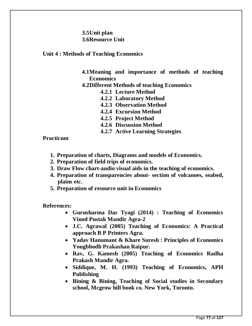### **3.5Unit plan 3.6Resource Unit**

#### **Unit 4 : Methods of Teaching Economics**

- **4.1Meaning and importance of methods of teaching Economics**
- **4.2Different Methods of teaching Economics** 
	- **4.2.1 Lecture Method**
	- **4.2.2 Laboratory Method**
	- **4.2.3 Observation Method**
	- **4.2.4 Excursion Method**
	- **4.2.5 Project Method**
	- **4.2.6 Discussion Method**
	- **4.2.7 Active Learning Strategies**

**Practicum**

- **1. Preparation of charts, Diagrams and models of Economics.**
- **2. Preparation of field trips of economics.**
- **3. Draw Flow chart-audio visual aids in the teaching of economics.**
- **4. Preparation of transparencies about- section of volcanoes, seabed, plains etc.**
- **5. Preparation of resource unit in Economics**

**References:**

- **Gurusharma Das Tyagi (2014) : Teaching of Economics Vinod Pustak Mandir Agra-2**
- **J.C. Agrawal (2005) Teaching of Economics: A Practical approach B P Printers Agra.**
- **Yadav Hanumant & Khare Suresh : Principles of Economics Yougbhodh Prakashan Raipur.**
- **Rav, G. Kamesh (2005) Teaching of Economics Radha Prakash Mandir Agra.**
- **Siddique, M. H. (1993) Teaching of Economics, APH Publishing**
- **Bining & Bining, Teaching of Social studies in Secondary school, Mcgrow hill book co. New York, Toronto.**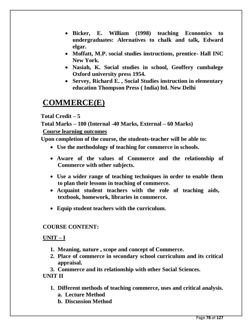- **Bicker, E. William (1998) teaching Economics to undergraduates: Alernatives to chalk and talk, Edward elgar.**
- **Moffatt, M.P. social studies instructions, prentice- Hall INC New York.**
- **Nasiah, K. Social studies in school, Geoffery cumbalege Oxford university press 1954.**
- **Servey, Richard E. , Social Studies instruction in elementary education Thompson Press ( India) ltd. New Delhi**

# **COMMERCE(E)**

**Total Credit – 5**

**Total Marks – 100 (Internal -40 Marks, External – 60 Marks)** 

**Course learning outcomes** 

**Upon completion of the course, the students-teacher will be able to:**

- **Use the methodology of teaching for commerce in schools.**
- **Aware of the values of Commerce and the relationship of Commerce with other subjects.**
- **Use a wider range of teaching techniques in order to enable them to plan their lessons in teaching of commerce.**
- **Acquaint student teachers with the role of teaching aids, textbook, homework, libraries in commerce.**
- **Equip student teachers with the curriculum.**

## **COURSE CONTENT:**

## **UNIT – I**

- **1. Meaning, nature , scope and concept of Commerce.**
- **2. Place of commerce in secondary school curriculum and its critical appraisal.**

**3. Commerce and its relationship with other Social Sciences. UNIT II** 

- **1. Different methods of teaching commerce, uses and critical analysis. a. Lecture Method**
	- **b. Discussion Method**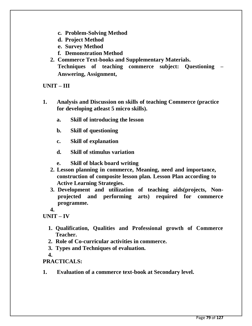- **c. Problem-Solving Method**
- **d. Project Method**
- **e. Survey Method**
- **f. Demonstration Method**
- **2. Commerce Text-books and Supplementary Materials. Techniques of teaching commerce subject: Questioning – Answering, Assignment,**

#### **UNIT – III**

- **1. Analysis and Discussion on skills of teaching Commerce (practice for developing atleast 5 micro skills).**
	- **a. Skill of introducing the lesson**
	- **b. Skill of questioning**
	- **c. Skill of explanation**
	- **d. Skill of stimulus variation**
	- **e. Skill of black board writing**
	- **2. Lesson planning in commerce, Meaning, need and importance, construction of composite lesson plan. Lesson Plan according to Active Learning Strategies.**
	- **3. Development and utilization of teaching aids(projects, Nonprojected and performing arts) required for commerce programme.**

**4.**

**UNIT – IV**

- **1. Qualification, Qualities and Professional growth of Commerce Teacher.**
- **2. Role of Co-curricular activities in commerce.**
- **3. Types and Techniques of evaluation.**
- **4.**

#### **PRACTICALS:**

**1. Evaluation of a commerce text-book at Secondary level.**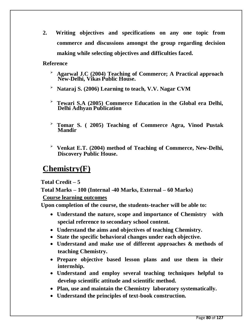**2. Writing objectives and specifications on any one topic from commerce and discussions amongst the group regarding decision making while selecting objectives and difficulties faced.**

**Reference**

- **Agarwal J.C (2004) Teaching of Commerce; A Practical approach New-Delhi, Vikas Public House.**
- **Nataraj S. (2006) Learning to teach, V.V. Nagar CVM**
- **Tewari S.A (2005) Commerce Education in the Global era Delhi, Delhi Adhyan Publication**
- **Tomar S. ( 2005) Teaching of Commerce Agra, Vinod Pustak Mandir**
- **Venkat E.T. (2004) method of Teaching of Commerce, New-Delhi, Discovery Public House.**

## **Chemistry(F)**

**Total Credit – 5**

**Total Marks – 100 (Internal -40 Marks, External – 60 Marks)** 

**Course learning outcomes** 

**Upon completion of the course, the students-teacher will be able to:**

- **Understand the nature, scope and importance of Chemistry with special reference to secondary school content.**
- **Understand the aims and objectives of teaching Chemistry.**
- **State the specific behavioral changes under each objective.**
- **Understand and make use of different approaches & methods of teaching Chemistry.**
- **Prepare objective based lesson plans and use them in their internship.**
- **Understand and employ several teaching techniques helpful to develop scientific attitude and scientific method.**
- **Plan, use and maintain the Chemistry laboratory systematically.**
- **Understand the principles of text-book construction.**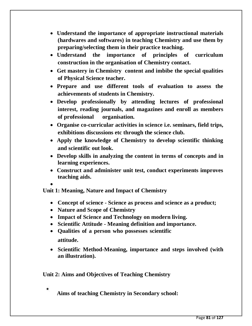- **Understand the importance of appropriate instructional materials (hardwares and softwares) in teaching Chemistry and use them by preparing/selecting them in their practice teaching.**
- **Understand the importance of principles of curriculum construction in the organisation of Chemistry contact.**
- **Get mastery in Chemistry content and imbibe the special qualities of Physical Science teacher.**
- **Prepare and use different tools of evaluation to assess the achievements of students in Chemistry.**
- **Develop professionally by attending lectures of professional interest, reading journals, and magazines and enroll as members of professional organisation.**
- **Organise co-curricular activities in science i.e. seminars, field trips, exhibitions discussions etc through the science club.**
- **Apply the knowledge of Chemistry to develop scientific thinking and scientific out look.**
- **Develop skills in analyzing the content in terms of concepts and in learning experiences.**
- **Construct and administer unit test, conduct experiments improves teaching aids.**
- $\bullet$ **Unit 1: Meaning, Nature and Impact of Chemistry**
	- **Concept of science - Science as process and science as a product;**
	- **Nature and Scope of Chemistry**
	- **Impact of Science and Technology on modern living.**
	- **Scientific Attitude - Meaning definition and importance.**
	- **Qualities of a person who possesses scientific attitude.**
	- **Scientific Method-Meaning, importance and steps involved (with an illustration).**

**Unit 2: Aims and Objectives of Teaching Chemistry**

**Aims of teaching Chemistry in Secondary school:**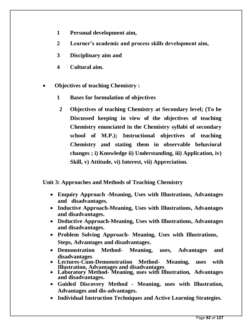- **1 Personal development aim,**
- **2 Learner's academic and process skills development aim,**
- **3 Disciplinary aim and**
- **4 Cultural aim.**
- **Objectives of teaching Chemistry :**
	- **1 Bases for formulation of objectives**
		- **2 Objectives of teaching Chemistry at Secondary level; (To be Discussed keeping in view of the objectives of teaching Chemistry enunciated in the Chemistry syllabi of secondary school of M.P.); Instructional objectives of teaching Chemistry and stating them in observable behavioral changes ; i) Knowledge ii) Understanding, iii) Application, iv) Skill, v) Attitude, vi) Interest, vii) Appreciation.**

**Unit 3: Approaches and Methods of Teaching Chemistry**

- **Enquiry Approach -Meaning, Uses with Illustrations, Advantages and disadvantages.**
- **Inductive Approach-Meaning, Uses with Illustrations, Advantages and disadvantages.**
- **Deductive Approach-Meaning, Uses with Illustrations, Advantages and disadvantages.**
- **Problem Solving Approach- Meaning, Uses with Illustrations, Steps, Advantages and disadvantages.**
- **Demonstration Method- Meaning, uses, Advantages and disadvantages**
- **Lectures-Cum-Demonstration Method- Meaning, uses with Illustration, Advantages and disadvantages**
- **Laboratory Method- Meaning, uses with Illustration, Advantages and disadvantages.**
- **Guided Discovery Method - Meaning, uses with Illustration, Advantages and dis-advantages.**
- **Individual Instruction Techniques and Active Learning Strategies.**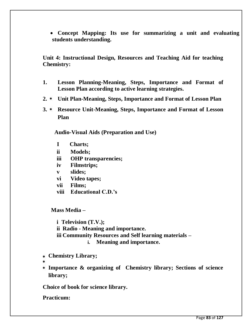**Concept Mapping: Its use for summarizing a unit and evaluating students understanding.**

**Unit 4: Instructional Design, Resources and Teaching Aid for teaching Chemistry:**

- **1. Lesson Planning-Meaning, Steps, Importance and Format of Lesson Plan according to active learning strategies.**
- **2. Unit Plan-Meaning, Steps, Importance and Format of Lesson Plan**
- **3. Resource Unit-Meaning, Steps, Importance and Format of Lesson Plan**

**Audio-Visual Aids (Preparation and Use)**

- **I Charts;**
- **ii Models;**
- **iii OHP transparencies;**
- **iv Filmstrips;**
- **v slides;**
- **vi Video tapes;**
- **vii Films;**
- **viii Educational C.D.'s**

**Mass Media –**

**i Television (T.V.); ii Radio - Meaning and importance. iii Community Resources and Self learning materials – i. Meaning and importance.**

- **Chemistry Library;**
- 
- **Importance & organizing of Chemistry library; Sections of science library;**

**Choice of book for science library.**

**Practicum:**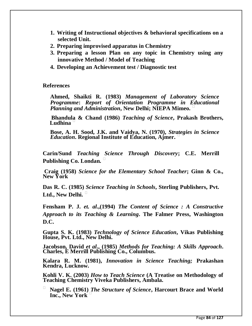- **1. Writing of Instructional objectives & behavioral specifications on a selected Unit.**
- **2. Preparing improvised apparatus in Chemistry**
- **3. Preparing a lesson Plan on any topic in Chemistry using any innovative Method / Model of Teaching**
- **4. Developing an Achievement test / Diagnostic test**

#### **References**

**Ahmed, Shaikti R. (1983)** *Management of Laboratory Science Programme***:** *Report of Orientation Programme in Educational Planning and Administration***, New Delhi; NIEPA Mimeo.** 

**Bhandula & Chand (1986)** *Teaching of Science***, Prakash Brothers, Ludhina** 

**Bose, A. H. Sood, J.K. and Vaidya, N. (1970),** *Strategies in Science Education***. Regional Institute of Education, Ajmer.** 

**Carin/Sund** *Teaching Science Through Discovery***; C.E. Merrill Publishing Co. Londan.** 

**Craig (1958)** *Science for the Elementary School Teacher***; Ginn & Co., New York**

**Das R. C. (1985)** *Science Teaching in Schools***, Sterling Publishers, Pvt. Ltd., New Delhi.** 

**Fensham P. J.** *et. al***.,(1994)** *The Content of Science : A Constructive Approach to its Teaching & Learning***. The Falmer Press, Washington D.C.**

**Gupta S. K. (1983)** *Technology of Science Education***, Vikas Publishing House, Pvt. Ltd., New Delhi.** 

**Jacobson, David** *et al***., (1985)** *Methods for Teaching: A Skills Approach***. Charles, E Merrill Publishing Co., Columbus.** 

**Kalara R. M. (1981),** *Innovation in Science Teaching;* **Prakashan Kendra, Lucknow.** 

**Kohli V. K. (2003)** *How to Teach Science* **(A Treatise on Methodology of Teaching Chemistry Viveka Publishers, Ambala.** 

 **Nagel E. (1961)** *The Structure of Science***, Harcourt Brace and World Inc., New York**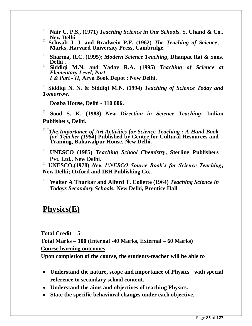- **Nair C. P.S., (1971)** *Teaching Science in Our Schools***. S. Chand & Co.,**
- □ Schwab J. J. and Bradwein P.F. (1962) *The Teaching of Science*, **Marks, Harvard University Press, Cambridge.**
- **Sharma, R.C. (1995);** *Modern Science Teaching***, Dhanpat Rai & Sons, Delhi .**
- **Siddiqi M.N. and Yadav R.A. (1995)** *Teaching of Science at Elementary Level, Part - I & Part - II***, Arya Book Depot : New Delhi.**

 **Siddiqi N. N. & Siddiqi M.N. (1994)** *Teaching of Science Today and Tomorrow,*

**Doaba House, Delhi - 110 006.** 

 **Sood S. K. (1988)** *New Direction in Science Teaching***, Indian Publishers, Delhi.** 

*The Importance of Art Activities for Science Teaching : A Hand Book forTeacher (1984***) Published by Centre for Cultural Resources and Training, Bahawalpur House, New Delhi.**

 **UNESCO (1985)** *Teaching School Chemistry***, Sterling Publishers Pvt. Ltd., New Delhi.** 

 **UNESCO,(1978)** *New UNESCO Source Book's for Science Teaching***, New Delhi; Oxford and IBH Publishing Co.,** 

 **Waiter A Thurkar and Alferd T. Collette (1964)** *Teaching Science in Todays Secondary Schools,* **New Delhi, Prentice Hall**

## **Physics(E)**

**Total Credit – 5 Total Marks – 100 (Internal -40 Marks, External – 60 Marks) Course learning outcomes** 

**Upon completion of the course, the students-teacher will be able to**

- **Understand the nature, scope and importance of Physics with special reference to secondary school content.**
- **Understand the aims and objectives of teaching Physics.**
- **State the specific behavioral changes under each objective.**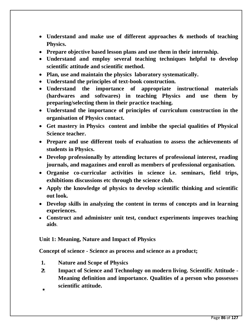- **Understand and make use of different approaches & methods of teaching Physics.**
- **Prepare objective based lesson plans and use them in their internship.**
- **Understand and employ several teaching techniques helpful to develop scientific attitude and scientific method.**
- **Plan, use and maintain the physics laboratory systematically.**
- **Understand the principles of text-book construction.**
- **Understand the importance of appropriate instructional materials (hardwares and softwares) in teaching Physics and use them by preparing/selecting them in their practice teaching.**
- **Understand the importance of principles of curriculum construction in the organisation of Physics contact.**
- **Get mastery in Physics content and imbibe the special qualities of Physical Science teacher.**
- **Prepare and use different tools of evaluation to assess the achievements of students in Physics.**
- **Develop professionally by attending lectures of professional interest, reading journals, and magazines and enroll as members of professional organisation.**
- **Organise co-curricular activities in science i.e. seminars, field trips, exhibitions discussions etc through the science club.**
- **Apply the knowledge of physics to develop scientific thinking and scientific out look.**
- **Develop skills in analyzing the content in terms of concepts and in learning experiences.**
- **Construct and administer unit test, conduct experiments improves teaching aids**.

## **Unit 1: Meaning, Nature and Impact of Physics**

**Concept of science - Science as process and science as a product;**

- **1. Nature and Scope of Physics**
- **2. Impact of Science and Technology on modern living. Scientific Attitude - Meaning definition and importance. Qualities of a person who possesses scientific attitude.**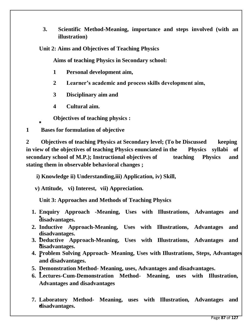- **3. Scientific Method-Meaning, importance and steps involved (with an illustration)**
- **Unit 2: Aims and Objectives of Teaching Physics**

**Aims of teaching Physics in Secondary school:**

- **1 Personal development aim,**
- **2 Learner's academic and process skills development aim,**
- **3 Disciplinary aim and**
- **4 Cultural aim.**
- **Objectives of teaching physics :**
- **1 Bases for formulation of objective**

**2 Objectives of teaching Physics at Secondary level; (To be Discussed keeping in view of the objectives of teaching Physics enunciated in the Physics syllabi of secondary school of M.P.); Instructional objectives of teaching Physics and stating them in observable behavioral changes ;**

 **i) Knowledge ii) Understanding,iii) Application, iv) Skill,** 

 **v) Attitude, vi) Interest, vii) Appreciation.**

**Unit 3: Approaches and Methods of Teaching Physics**

- **1. Enquiry Approach -Meaning, Uses with Illustrations, Advantages and disadvantages.**
- **2. Inductive Approach-Meaning, Uses with Illustrations, Advantages and disadvantages.**
- **3. Deductive Approach-Meaning, Uses with Illustrations, Advantages and disadvantages.**
- **4. Problem Solving Approach- Meaning, Uses with Illustrations, Steps, Advantages and disadvantages.**
- **5. Demonstration Method- Meaning, uses, Advantages and disadvantages.**
- **6. Lectures-Cum-Demonstration Method- Meaning, uses with Illustration, Advantages and disadvantages**
- **7. Laboratory Method- Meaning, uses with Illustration, Advantages and disadvantages.**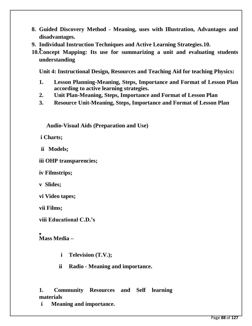- **8. Guided Discovery Method - Meaning, uses with Illustration, Advantages and disadvantages.**
- **9. Individual Instruction Techniques and Active Learning Strategies.10.**
- **10.Concept Mapping: Its use for summarizing a unit and evaluating students understanding**

**Unit 4: Instructional Design, Resources and Teaching Aid for teaching Physics:**

- **1. Lesson Planning-Meaning, Steps, Importance and Format of Lesson Plan according to active learning strategies.**
- **2. Unit Plan-Meaning, Steps, Importance and Format of Lesson Plan**
- **3. Resource Unit-Meaning, Steps, Importance and Format of Lesson Plan**

 **Audio-Visual Aids (Preparation and Use)**

**i Charts;**

**ii Models;**

**iii OHP transparencies;**

**iv Filmstrips;**

**v Slides;**

**vi Video tapes;**

**vii Films;**

**viii Educational C.D.'s**

**Mass Media –**

- **i Television (T.V.);**
- **ii Radio - Meaning and importance.**

**1. Community Resources and Self learning materials** 

**i Meaning and importance.**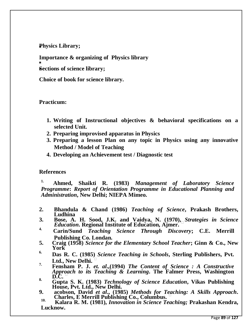**Physics Library;**

**Importance & organizing of Physics library** 

**Sections of science library;**

**Choice of book for science library.**

#### **Practicum:**

- **1. Writing of Instructional objectives & behavioral specifications on a selected Unit.**
- **2. Preparing improvised apparatus in Physics**
- **3. Preparing a lesson Plan on any topic in Physics using any innovative Method / Model of Teaching**
- **4. Developing an Achievement test / Diagnostic test**

#### **References**

**1. Ahmed, Shaikti R. (1983)** *Management of Laboratory Science Programme***:** *Report of Orientation Programme in Educational Planning and Administration***, New Delhi; NIEPA Mimeo.** 

- **2. Bhandula & Chand (1986)** *Teaching of Science***, Prakash Brothers, Ludhina**
- **3. Bose, A. H. Sood, J.K. and Vaidya, N. (1970),** *Strategies in Science Education***. Regional Institute of Education, Ajmer.**
- **4. Carin/Sund** *Teaching Science Through Discovery***; C.E. Merrill Publishing Co. Londan.**
- **5. Craig (1958)** *Science for the Elementary School Teacher***; Ginn & Co., New York**
- **6. Das R. C. (1985)** *Science Teaching in Schools***, Sterling Publishers, Pvt.**  Ltd., New Delhi.
- **7. Fensham P. J.** *et. al***.,(1994)** *The Content of Science : A Constructive Approach to its Teaching & Learning***. The Falmer Press, Washington D.C.**
- **8. Gupta S. K. (1983)** *Technology of Science Education***, Vikas Publishing House, Pvt. Ltd., New Delhi.**
- **9. acobson, David** *et al***., (1985)** *Methods for Teaching: A Skills Approach***. Charles, E Merrill Publishing Co., Columbus. 10.**

 **Kalara R. M. (1981),** *Innovation in Science Teaching;* **Prakashan Kendra, Lucknow.**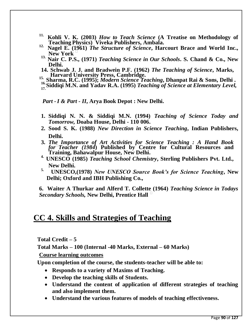- **11. Kohli V. K. (2003)** *How to Teach Science* **(A Treatise on Methodology of Teaching Physics) Viveka Publishers, Ambala.**
- **12. Nagel E. (1961)** *The Structure of Science***, Harcourt Brace and World Inc., New York**
- **13. Nair C. P.S., (1971)** *Teaching Science in Our Schools***. S. Chand & Co., New Delhi.**
- **14. Schwab J. J. and Bradwein P.F. (1962)** *The Teaching of Science***, Marks,**
- 15. Harvard University Press, Cambridge.<br>
<sup>15.</sup> Sharma, R.C. (1995); *Modern Science Teaching*, Dhanpat Rai & Sons, Delhi.<br>
<sup>16.</sup> Siddiqi M.N. and Yadav R.A. (1995) *Teaching of Science at Elementary Level*,
- 

*Part -I & Part - II***, Arya Book Depot : New Delhi.**

- **1. Siddiqi N. N. & Siddiqi M.N. (1994)** *Teaching of Science Today and Tomorrow,* **Doaba House, Delhi - 110 006.**
- **2. Sood S. K. (1988)** *New Direction in Science Teaching***, Indian Publishers, Delhi.**
- **3.** *The Importance of Art Activities for Science Teaching : A Hand Book forTeacher (1984***) Published by Centre for Cultural Resources and Training, Bahawalpur House, New Delhi.**
- **4. UNESCO (1985)** *Teaching School Chemistry***, Sterling Publishers Pvt. Ltd., New Delhi.**
- **5. UNESCO,(1978)** *New UNESCO Source Book's for Science Teaching***, New Delhi; Oxford and IBH Publishing Co.,**

**6. Waiter A Thurkar and Alferd T. Collette (1964)** *Teaching Science in Todays Secondary Schools,* **New Delhi, Prentice Hall**

## **CC 4. Skills and Strategies of Teaching**

**Total Credit – 5**

**Total Marks – 100 (Internal -40 Marks, External – 60 Marks)** 

**Course learning outcomes** 

**Upon completion of the course, the students-teacher will be able to:**

- **Responds to a variety of Maxims of Teaching.**
- **Develop the teaching skills of Students.**
- **Understand the content of application of different strategies of teaching and also implement them.**
- **Understand the various features of models of teaching effectiveness.**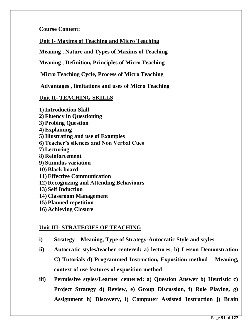## **Course Content:**

**Unit I- Maxims of Teaching and Micro Teaching**

**Meaning , Nature and Types of Maxims of Teaching**

**Meaning , Definition, Principles of Micro Teaching**

**Micro Teaching Cycle, Process of Micro Teaching**

**Advantages , limitations and uses of Micro Teaching**

## **Unit II- TEACHING SKILLS**

**1)Introduction Skill 2) Fluency in Questioning 3) Probing Question 4) Explaining 5)Illustrating and use of Examples 6) Teacher's silences and Non Verbal Cues 7) Lecturing 8) Reinforcement 9) Stimulus variation 10) Black board 11) Effective Communication 12) Recognizing and Attending Behaviours 13) Self Induction 14) Classroom Management 15) Planned repetition**

**16) Achieving Closure**

## **Unit III- STRATEGIES OF TEACHING**

- **i) Strategy – Meaning, Type of Strategy-Autocratic Style and styles**
- **ii) Autocratic styles/teacher centered: a) lectures, b) Lesson Demonstration C) Tutorials d) Programmed Instruction, Exposition method – Meaning, context of use features of exposition method**
- **iii) Permissive styles/Learner centered: a) Question Answer b) Heuristic c) Project Strategy d) Review, e) Group Discussion, f) Role Playing, g) Assignment h) Discovery, i) Computer Assisted Instruction j) Brain**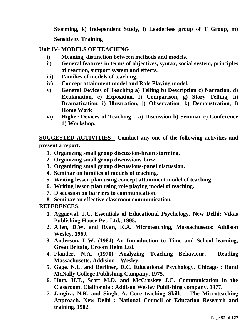**Storming, k) Independent Study, l) Leaderless group of T Group, m) Sensitivity Training** 

### **Unit IV- MODELS OF TEACHING**

- **i) Meaning, distinction between methods and models.**
- **ii) General features in terms of objectives, syntax, social system, principles of reaction, support system and effects.**
- **iii) Families of models of teaching.**
- **iv) Concept attainment model and Role Playing model.**
- **v) General Devices of Teaching a) Telling b) Description c) Narration, d) Explanation, e) Exposition, f) Comparison, g) Story Telling, h) Dramatization, i) Illustration, j) Observation, k) Demonstration, l) Home Work**
- **vi) Higher Devices of Teaching – a) Discussion b) Seminar c) Conference d) Workshop.**

**SUGGESTED ACTIVITIES : Conduct any one of the following activities and present a report.**

- **1. Organizing small group discussion-brain storming.**
- **2. Organizing small group discussions-buzz.**
- **3. Organizing small group discussions-panel discussion.**
- **4. Seminar on families of models of teaching.**
- **5. Writing lesson plan using concept attainment model of teaching.**
- **6. Writing lesson plan using role playing model of teaching.**
- **7. Discussion on barriers to communication.**
- **8. Seminar on effective classroom communication.**

**REFERENCES:**

- **1. Aggarwal, J.C. Essentials of Educational Psychology, New Delhi: Vikas Publishing House Pvt. Ltd., 1995.**
- **2. Allen, D.W. and Ryan, K.A. Microteaching, Massachusetts: Addison Wesley, 1969.**
- **3. Anderson, L.W. (1984) An Introduction to Time and School learning, Great Britain, Croom Helm Ltd.**
- **4. Flander, N.A. (1970) Analyzing Teaching Behaviour, Reading Massachusetts. Addision – Wesley.**
- **5. Gage, N.L. and Berliner, D.C. Educational Psychology, Chicago : Rand McNally College Publishing Company, 1975.**
- **6. Hurt, H.T., Scott M.D. and McCroskey J.C. Communication in the Classroom. Clalifornia : Addison Wesley Publishing company, 1977.**
- **7. Jangira, N.K. and Singh, A. Core teaching Skills – The Microteaching Approach. New Delhi : National Council of Education Research and training, 1982.**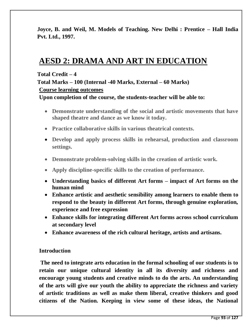**Joyce, B. and Weil, M. Models of Teaching. New Delhi : Prentice – Hall India Pvt. Ltd., 1997.** 

## **AESD 2: DRAMA AND ART IN EDUCATION**

#### **Total Credit – 4**

**Total Marks – 100 (Internal -40 Marks, External – 60 Marks) Course learning outcomes** 

**Upon completion of the course, the students-teacher will be able to:**

- **Demonstrate understanding of the social and artistic movements that have shaped theatre and dance as we know it today.**
- **Practice collaborative skills in various theatrical contexts.**
- **Develop and apply process skills in rehearsal, production and classroom settings.**
- **Demonstrate problem-solving skills in the creation of artistic work.**
- **Apply discipline-specific skills to the creation of performance.**
- **Understanding basics of different Art forms – impact of Art forms on the human mind**
- **Enhance artistic and aesthetic sensibility among learners to enable them to respond to the beauty in different Art forms, through genuine exploration, experience and free expression**
- **Enhance skills for integrating different Art forms across school curriculum at secondary level**
- **Enhance awareness of the rich cultural heritage, artists and artisans.**

#### **Introduction**

**The need to integrate arts education in the formal schooling of our students is to retain our unique cultural identity in all its diversity and richness and encourage young students and creative minds to do the arts. An understanding of the arts will give our youth the ability to appreciate the richness and variety of artistic traditions as well as make them liberal, creative thinkers and good citizens of the Nation. Keeping in view some of these ideas, the National**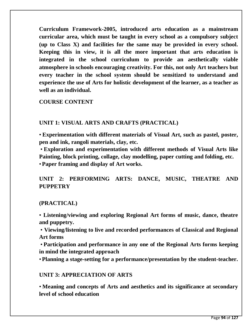**Curriculum Framework-2005, introduced arts education as a mainstream curricular area, which must be taught in every school as a compulsory subject (up to Class X) and facilities for the same may be provided in every school. Keeping this in view, it is all the more important that arts education is integrated in the school curriculum to provide an aesthetically viable atmosphere in schools encouraging creativity. For this, not only Art teachers but every teacher in the school system should be sensitized to understand and experience the use of Arts for holistic development of the learner, as a teacher as well as an individual.**

**COURSE CONTENT**

## **UNIT 1: VISUAL ARTS AND CRAFTS (PRACTICAL)**

• **Experimentation with different materials of Visual Art, such as pastel, poster, pen and ink, rangoli materials, clay, etc.**

• **Exploration and experimentation with different methods of Visual Arts like Painting, block printing, collage, clay modelling, paper cutting and folding, etc.** •**Paper framing and display of Art works.**

**UNIT 2: PERFORMING ARTS: DANCE, MUSIC, THEATRE AND PUPPETRY**

## **(PRACTICAL)**

• **Listening/viewing and exploring Regional Art forms of music, dance, theatre and puppetry.**

• **Viewing/listening to live and recorded performances of Classical and Regional Art forms**

• **Participation and performance in any one of the Regional Arts forms keeping in mind the integrated approach**

•**Planning a stage-setting for a performance/presentation by the student-teacher.**

## **UNIT 3: APPRECIATION OF ARTS**

• **Meaning and concepts of Arts and aesthetics and its significance at secondary level of school education**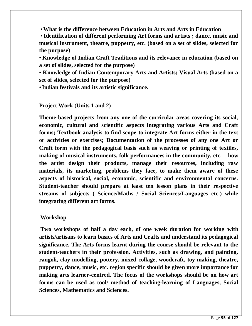•**What is the difference between Education in Arts and Arts in Education**

• **Identification of different performing Art forms and artists ; dance, music and musical instrument, theatre, puppetry, etc. (based on a set of slides, selected for the purpose)**

• **Knowledge of Indian Craft Traditions and its relevance in education (based on a set of slides, selected for the purpose)**

• **Knowledge of Indian Contemporary Arts and Artists; Visual Arts (based on a set of slides, selected for the purpose)**

•**Indian festivals and its artistic significance.**

#### **Project Work (Units 1 and 2)**

**Theme-based projects from any one of the curricular areas covering its social, economic, cultural and scientific aspects integrating various Arts and Craft forms; Textbook analysis to find scope to integrate Art forms either in the text or activities or exercises; Documentation of the processes of any one Art or Craft form with the pedagogical basis such as weaving or printing of textiles, making of musical instruments, folk performances in the community, etc. – how the artist design their products, manage their resources, including raw materials, its marketing, problems they face, to make them aware of these aspects of historical, social, economic, scientific and environmental concerns. Student-teacher should prepare at least ten lesson plans in their respective streams of subjects ( Science/Maths / Social Sciences/Languages etc.) while integrating different art forms.**

#### **Workshop**

**Two workshops of half a day each, of one week duration for working with artists/artisans to learn basics of Arts and Crafts and understand its pedagogical significance. The Arts forms learnt during the course should be relevant to the student-teachers in their profession. Activities, such as drawing, and painting, rangoli, clay modelling, pottery, mixed collage, woodcraft, toy making, theatre, puppetry, dance, music, etc. region specific should be given more importance for making arts learner-centred. The focus of the workshops should be on how art forms can be used as tool/ method of teaching-learning of Languages, Social Sciences, Mathematics and Sciences.**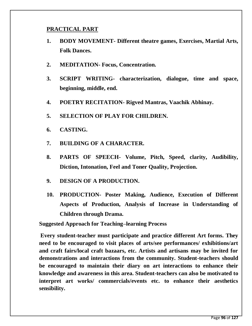### **PRACTICAL PART**

- **1. BODY MOVEMENT- Different theatre games, Exercises, Martial Arts, Folk Dances.**
- **2. MEDITATION- Focus, Concentration.**
- **3. SCRIPT WRITING- characterization, dialogue, time and space, beginning, middle, end.**
- **4. POETRY RECITATION- Rigved Mantras, Vaachik Abhinay.**
- **5. SELECTION OF PLAY FOR CHILDREN.**
- **6. CASTING.**
- **7. BUILDING OF A CHARACTER.**
- **8. PARTS OF SPEECH- Volume, Pitch, Speed, clarity, Audibility, Diction, Intonation, Feel and Toner Quality, Projection.**
- **9. DESIGN OF A PRODUCTION.**
- **10. PRODUCTION- Poster Making, Audience, Execution of Different Aspects of Production, Analysis of Increase in Understanding of Children through Drama.**

**Suggested Approach for Teaching–learning Process**

**Every student-teacher must participate and practice different Art forms. They need to be encouraged to visit places of arts/see performances/ exhibitions/art and craft fairs/local craft bazaars, etc. Artists and artisans may be invited for demonstrations and interactions from the community. Student-teachers should be encouraged to maintain their diary on art interactions to enhance their knowledge and awareness in this area. Student-teachers can also be motivated to interpret art works/ commercials/events etc. to enhance their aesthetics sensibility.**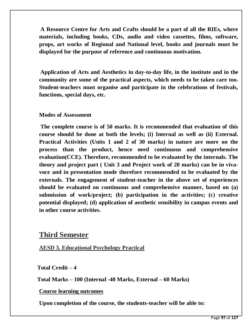**A Resource Centre for Arts and Crafts should be a part of all the RIEs, where materials, including books, CDs, audio and video cassettes, films, software, props, art works of Regional and National level, books and journals must be displayed for the purpose of reference and continuous motivation.**

**Application of Arts and Aesthetics in day-to-day life, in the institute and in the community are some of the practical aspects, which needs to be taken care too. Student-teachers must organise and participate in the celebrations of festivals, functions, special days, etc.**

### **Modes of Assessment**

**The complete course is of 50 marks. It is recommended that evaluation of this course should be done at both the levels; (i) Internal as well as (ii) External. Practical Activities (Units 1 and 2 of 30 marks) in nature are more on the process than the product, hence need continuous and comprehensive evaluation(CCE). Therefore, recommended to be evaluated by the internals. The theory and project part ( Unit 3 and Project work of 20 marks) can be in vivavoce and in presentation mode therefore recommended to be evaluated by the externals. The engagement of student-teacher in the above set of experiences should be evaluated on continuous and comprehensive manner, based on (a) submission of work/project; (b) participation in the activities; (c) creative potential displayed; (d) application of aesthetic sensibility in campus events and in other course activities.**

## **Third Semester**

**AESD 3. Educational Psychology Practical**

**Total Credit – 4**

**Total Marks – 100 (Internal -40 Marks, External – 60 Marks)**

**Course learning outcomes** 

**Upon completion of the course, the students-teacher will be able to:**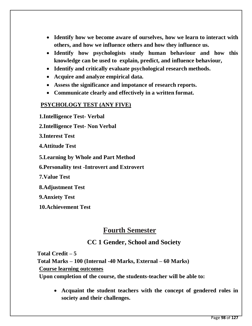- **Identify how we become aware of ourselves, how we learn to interact with others, and how we influence others and how they influence us.**
- **Identify how psychologists study human behaviour and how this knowledge can be used to explain, predict, and influence behaviour,**
- **Identify and critically evaluate psychological research methods.**
- **Acquire and analyze empirical data.**
- **Assess the significance and impotance of research reports.**
- **Communicate clearly and effectively in a written format.**

## **PSYCHOLOGY TEST (ANY FIVE)**

**1.Intelligence Test- Verbal 2.Intelligence Test- Non Verbal 3.Interest Test 4.Attitude Test 5.Learning by Whole and Part Method 6.Personality test -Introvert and Extrovert 7.Value Test 8.Adjustment Test** 

**9.Anxiety Test** 

**10.Achievement Test**

## **Fourth Semester**

## **CC 1 Gender, School and Society**

**Total Credit – 5 Total Marks – 100 (Internal -40 Marks, External – 60 Marks) Course learning outcomes Upon completion of the course, the students-teacher will be able to:**

> **Acquaint the student teachers with the concept of gendered roles in society and their challenges.**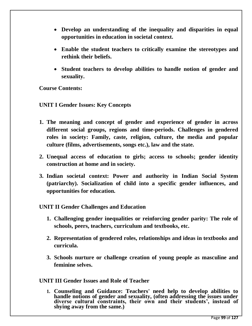- **Develop an understanding of the inequality and disparities in equal opportunities in education in societal context.**
- **Enable the student teachers to critically examine the stereotypes and rethink their beliefs.**
- **Student teachers to develop abilities to handle notion of gender and sexuality.**

**Course Contents:**

**UNIT I Gender Issues: Key Concepts**

- **1. The meaning and concept of gender and experience of gender in across different social groups, regions and time-periods. Challenges in gendered roles in society: Family, caste, religion, culture, the media and popular culture (films, advertisements, songs etc.), law and the state.**
- **2. Unequal access of education to girls; access to schools; gender identity construction at home and in society.**
- **3. Indian societal context: Power and authority in Indian Social System (patriarchy). Socialization of child into a specific gender influences, and opportunities for education.**

## **UNIT II Gender Challenges and Education**

- **1. Challenging gender inequalities or reinforcing gender parity: The role of schools, peers, teachers, curriculum and textbooks, etc.**
- **2. Representation of gendered roles, relationships and ideas in textbooks and curricula.**
- **3. Schools nurture or challenge creation of young people as masculine and feminine selves.**

**UNIT III Gender Issues and Role of Teacher**

**1. Counseling and Guidance: Teachers' need help to develop abilities to handle notions of gender and sexuality, (often addressing the issues under diverse cultural constraints, their own and their students', instead of shying away from the same.)**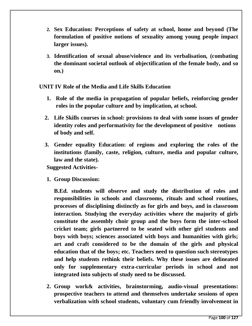- **2. Sex Education: Perceptions of safety at school, home and beyond (The formulation of positive notions of sexuality among young people impact larger issues).**
- **3. Identification of sexual abuse/violence and its verbalisation, (combating the dominant societal outlook of objectification of the female body, and so on.)**

**UNIT IV Role of the Media and Life Skills Education**

- **1. Role of the media in propagation of popular beliefs, reinforcing gender roles in the popular culture and by implication, at school.**
- **2. Life Skills courses in school: provisions to deal with some issues of gender identity roles and performativity for the development of positive notions of body and self.**
- **3. Gender equality Education: of regions and exploring the roles of the institutions (family, caste, religion, culture, media and popular culture, law and the state).**

**Suggested Activities-**

**1. Group Discussion:**

**B.Ed. students will observe and study the distribution of roles and responsibilities in schools and classrooms, rituals and school routines, processes of disciplining distinctly as for girls and boys, and in classroom interaction. Studying the everyday activities where the majority of girls constitute the assembly choir group and the boys form the inter-school cricket team; girls partnered to be seated with other girl students and boys with boys; sciences associated with boys and humanities with girls; art and craft considered to be the domain of the girls and physical education that of the boys; etc. Teachers need to question such stereotypes and help students rethink their beliefs. Why these issues are delineated only for supplementary extra-curricular periods in school and not integrated into subjects of study need to be discussed.**

**2. Group work& activities, brainstorming, audio-visual presentations: prospective teachers to attend and themselves undertake sessions of open verbalization with school students, voluntary cum friendly involvement in**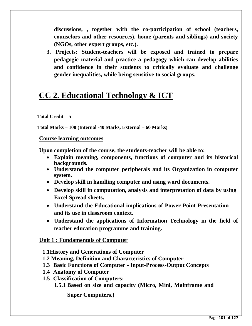**discussions, , together with the co-participation of school (teachers, counselors and other resources), home (parents and siblings) and society (NGOs, other expert groups, etc.).**

**3. Projects: Student-teachers will be exposed and trained to prepare pedagogic material and practice a pedagogy which can develop abilities and confidence in their students to critically evaluate and challenge gender inequalities, while being sensitive to social groups.** 

# **CC 2. Educational Technology & ICT**

#### **Total Credit – 5**

**Total Marks – 100 (Internal -40 Marks, External – 60 Marks)** 

#### **Course learning outcomes**

**Upon completion of the course, the students-teacher will be able to:**

- **Explain meaning, components, functions of computer and its historical backgrounds.**
- **Understand the computer peripherals and its Organization in computer system.**
- **Develop skill in handling computer and using word documents.**
- **Develop skill in computation, analysis and interpretation of data by using Excel Spread sheets.**
- **Understand the Educational implications of Power Point Presentation and its use in classroom context.**
- **Understand the applications of Information Technology in the field of teacher education programme and training.**

## **Unit 1 : Fundamentals of Computer**

- **1.1History and Generations of Computer**
- **1.2 Meaning, Definition and Characteristics of Computer**
- **1.3 Basic Functions of Computer - Input-Process-Output Concepts**
- **1.4 Anatomy of Computer**
- **1.5 Classification of Computers:**
	- **1.5.1 Based on size and capacity (Micro, Mini, Mainframe and**

**Super Computers.)**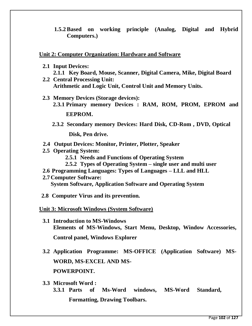**1.5.2 Based on working principle (Analog, Digital and Hybrid Computers.)**

#### **Unit 2: Computer Organization: Hardware and Software**

- **2.1 Input Devices: 2.1.1 Key Board, Mouse, Scanner, Digital Camera, Mike, Digital Board**
- **2.2 Central Processing Unit: Arithmetic and Logic Unit, Control Unit and Memory Units.**
- **2.3 Memory Devices (Storage devices): 2.3.1 Primary memory Devices : RAM, ROM, PROM, EPROM and**

**EEPROM.**

**2.3.2 Secondary memory Devices: Hard Disk, CD-Rom , DVD, Optical** 

**Disk, Pen drive.**

- **2.4 Output Devices: Monitor, Printer, Plotter, Speaker**
- **2.5 Operating System:**
	- **2.5.1 Needs and Functions of Operating System**
	- **2.5.2 Types of Operating System – single user and multi user**
- **2.6 Programming Languages: Types of Languages – LLL and HLL**
- **2.7 Computer Software: System Software, Application Software and Operating System**
- **2.8 Computer Virus and its prevention.**
- **Unit 3: Microsoft Windows (System Software)**
	- **3.1 Introduction to MS-Windows Elements of MS-Windows, Start Menu, Desktop, Window Accessories, Control panel, Windows Explorer**
	- **3.2 Application Programme: MS-OFFICE (Application Software) MS-WORD, MS-EXCEL AND MS-POWERPOINT.**
	- **3.3 Microsoft Word : 3.3.1 Parts of Ms-Word windows, MS-Word Standard, Formatting, Drawing Toolbars.**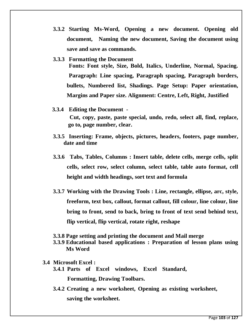**3.3.2 Starting Ms-Word, Opening a new document. Opening old document, Naming the new document, Saving the document using save and save as commands.**

#### **3.3.3 Formatting the Document**

**Fonts: Font style, Size, Bold, Italics, Underline, Normal, Spacing. Paragraph: Line spacing, Paragraph spacing, Paragraph borders, bullets, Numbered list, Shadings. Page Setup: Paper orientation, Margins and Paper size. Alignment: Centre, Left, Right, Justified**

- **3.3.4 Editing the Document - Cut, copy, paste, paste special, undo, redo, select all, find, replace, go to, page number, clear.**
- **3.3.5 Inserting: Frame, objects, pictures, headers, footers, page number, date and time**
- **3.3.6 Tabs, Tables, Columns : Insert table, delete cells, merge cells, split cells, select row, select column, select table, table auto format, cell height and width headings, sort text and formula**
- **3.3.7 Working with the Drawing Tools : Line, rectangle, ellipse, arc, style, freeform, text box, callout, format callout, fill colour, line colour, line bring to front, send to back, bring to front of text send behind text, flip vertical, flip vertical, rotate right, reshape**
- **3.3.8 Page setting and printing the document and Mail merge**
- **3.3.9 Educational based applications : Preparation of lesson plans using Ms Word**
- **3.4 Microsoft Excel :**
	- **3.4.1 Parts of Excel windows, Excel Standard,**

**Formatting, Drawing Toolbars.**

**3.4.2 Creating a new worksheet, Opening as existing worksheet, saving the worksheet.**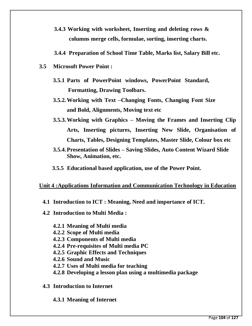- **3.4.3 Working with worksheet, Inserting and deleting rows & columns merge cells, formulae, sorting, inserting charts.**
- **3.4.4 Preparation of School Time Table, Marks list, Salary Bill etc.**
- **3.5 Microsoft Power Point :**
	- **3.5.1 Parts of PowerPoint windows, PowerPoint Standard, Formatting, Drawing Toolbars.**
	- **3.5.2.Working with Text –Changing Fonts, Changing Font Size and Bold, Alignments, Moving text etc**
	- **3.5.3.Working with Graphics – Moving the Frames and Inserting Clip Arts, Inserting pictures, Inserting New Slide, Organisation of Charts, Tables, Designing Templates, Master Slide, Colour box etc**
	- **3.5.4.Presentation of Slides – Saving Slides, Auto Content Wizard Slide Show, Animation, etc.**
	- **3.5.5 Educational based application, use of the Power Point.**

#### **Unit 4 :Applications Information and Communication Technology in Education**

- **4.1 Introduction to ICT : Meaning, Need and importance of ICT.**
- **4.2 Introduction to Multi Media :**
	- **4.2.1 Meaning of Multi media**
	- **4.2.2 Scope of Multi media**
	- **4.2.3 Components of Multi media**
	- **4.2.4 Pre-requisites of Multi media PC**
	- **4.2.5 Graphic Effects and Techniques**
	- **4.2.6 Sound and Music**
	- **4.2.7 Uses of Multi media for teaching**
	- **4.2.8 Developing a lesson plan using a multimedia package**
- **4.3 Introduction to Internet**
	- **4.3.1 Meaning of Internet**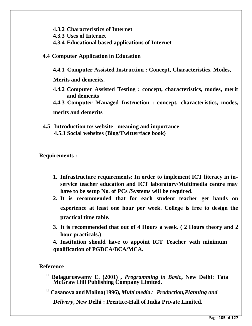- **4.3.2 Characteristics of Internet**
- **4.3.3 Uses of Internet**
- **4.3.4 Educational based applications of Internet**
- **4.4 Computer Application in Education**
	- **4.4.1 Computer Assisted Instruction : Concept, Characteristics, Modes,**

**Merits and demerits.**

- **4.4.2 Computer Assisted Testing : concept, characteristics, modes, merit and demerits**
- **4.4.3 Computer Managed Instruction : concept, characteristics, modes, merits and demerits**
- **4.5 Introduction to/ website –meaning and importance 4.5.1 Social websites (Blog/Twitter/face book)**

**Requirements :**

- **1. Infrastructure requirements: In order to implement ICT literacy in inservice teacher education and ICT laboratory/Multimedia centre may have to be setup No. of PCs /Systems will be required.**
- **2. It is recommended that for each student teacher get hands on experience at least one hour per week. College is free to design the practical time table.**
- **3. It is recommended that out of 4 Hours a week. ( 2 Hours theory and 2 hour practicals.)**
- **4. Institution should have to appoint ICT Teacher with minimum qualification of PGDCA/BCA/MCA.**

## **Reference**

 **Balaguruswamy E. (2001) ,** *Programming in Basic***, New Delhi: Tata McGraw Hill Publishing Company Limited.** 

**Casanova and Molina(1996),** *Multi media : Production,Planning and*

*Delivery***, New Delhi : Prentice-Hall of India Private Limited.**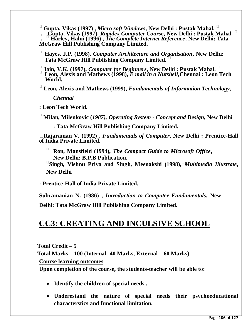**Gupta, Vikas (1997) ,** *Micro soft Windows***, New Delhi : Pustak Mahal. Gupta, Vikas (1997),** *Rapidex Computer Course***, New Delhi : Pustak Mahal. Harley, Hahn (1996) ,** *The Complete Internet Reference***, New Delhi: Tata McGraw Hill Publishing Company Limited.** 

 **Hayes, J.P. (1998),** *Computer Architecture and Organisation***, New Delhi: Tata McGraw Hill Publishing Company Limited.** 

 **Jain, V.K. (1997),** *Computer for Beginners***, New Delhi : Pustak Mahal. Leon, Alexis and Mathews (1998),** *E mail in a Nutshell***,Chennai : Leon Tech World.** 

 **Leon, Alexis and Mathews (1999),** *Fundamentals of Information Technology, Chennai* 

**: Leon Tech World.** 

**Milan, Milenkovic (***1987), Operating System - Concept and Design***, New Delhi**

**: Tata McGraw Hill Publishing Company Limited.** 

**Rajaraman V. (1992) ,** *Fundamentals of Computer***, New Delhi : Prentice-Hall of India Private Limited.** 

 **Ron, Mansfield (1994),** *The Compact Guide to Microsoft Office***, New Delhi: B.P.B Publication.** 

**Singh, Vishnu Priya and Singh, Meenakshi (1998),***Multimedia Illustrate***, New Delhi**

**: Prentice-Hall of India Private Limited.**

**Subramanian N. (1986) ,** *Introduction to Computer Fundamentals***, New Delhi: Tata McGraw Hill Publishing Company Limited.**

# **CC3: CREATING AND INCULSIVE SCHOOL**

**Total Credit – 5 Total Marks – 100 (Internal -40 Marks, External – 60 Marks) Course learning outcomes** 

**Upon completion of the course, the students-teacher will be able to:**

- **Identify the children of special needs .**
- **Underestand the nature of special needs their psychoeducational characterstics and functional limitation.**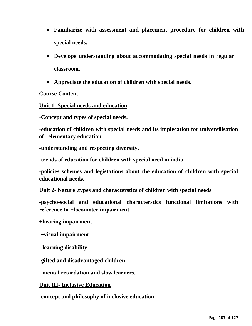- **Familiarize with assessment and placement procedure for children with special needs.**
- **Develope understanding about accommodating special needs in regular classroom.**
- **Appreciate the education of children with special needs.**

## **Course Content:**

#### **Unit 1- Special needs and education**

**-Concept and types of special needs.**

**-education of children with special needs and its implecation for universilisation of elementary education.**

**-understanding and respecting diversity.**

**-trends of education for children with special need in india.**

**-policies schemes and legistations about the education of children with special educational needs.**

**Unit 2- Nature ,types and characterstics of children with special needs**

**-psycho-social and educational characterstics functional limitations with reference to-+locomoter impairment**

**+hearing impairment**

**+visual impairment**

**- learning disability**

**-gifted and disadvantaged children** 

**- mental retardation and slow learners.**

**Unit III- Inclusive Education**

**-concept and philosophy of inclusive education**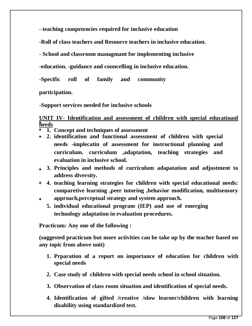**- teaching competencies required for inclusive education**

**-Roll of class teachers and Resource teachers in inclusive education.**

**- School and classroom managmant for implementing inclusive** 

**-education. -guidance and councelling in inclusive education.**

**-Specific roll of family and community** 

**participation.** 

**-Support services needed for inclusive schools**

### **UNIT IV- Identification and assessment of children with special educatioanl needs**

- **1. Concept and techniques of assessment**
- **2. identification and functional assessment of children with special needs -implecatin of assessment for instructional planning and curriculum. curriculum ,adaptation, teaching strategies and evaluation in inclusive school.**
- **3. Principles and methods of curriculum adapatation and adjustment to address diversity.**
- **4. teaching learning strategies for children with special educational needs: comparetive learning ,peer tutoring ,behavior modification, multisensory**
- **approach,perceptual strategy and system approach.**
	- **5. individual educational program (IEP) and use of emerging technology adaptation in evaluation procedures.**

**Practicum: Any one of the following :**

**(suggested practicum but more activities can be take up by the teacher based on any topic from above unit)**

- **1. Prparation of a report on importance of education for children with special needs**
- **2. Case study of children with special needs school in school situation.**
- **3. Observation of class room situation and identification of special needs.**
- **4. Identification of gifted /creative /slow learner/children with learning disability using standardized test.**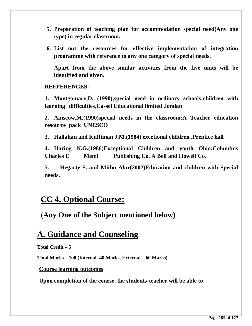- **5. Preparation of teaching plan for accommodation special need(Any one type) in regular classroom.**
- **6. List out the resources for effective implementation of integration programme with reference to any one category of special needs.**

**Apart from the above similar activities from the five units will be identified and given.**

#### **REFFERENCES:**

**1. Montgomary,D. (1990),special need in ordinary schools:children with learning difficulties,Cassel Educational limited ,londan** 

**2. Ainscow,M.(1990)special needs in the classroom:A Teacher education resource pack UNESCO**

**3. Hallahan and Kuffiman J.M.(1984) excetional children ,Prentice hall**

**4. Haring N.G.(1986)Exceptional Children and youth Ohio:Columbus Charles E Meml Publishing Co. A Bell and Howell Co.**

**5. Hegarty S. and Mithu Alur(2002)Education and children with Special needs.** 

## **CC 4. Optional Course:**

**(Any One of the Subject mentioned below)**

## **A. Guidance and Counseling**

**Total Credit – 5**

**Total Marks – 100 (Internal -40 Marks, External – 60 Marks)** 

#### **Course learning outcomes**

**Upon completion of the course, the students-teacher will be able to**: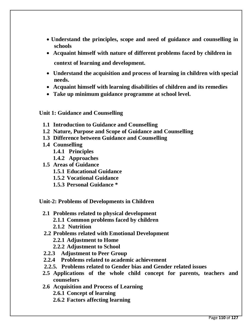- **Understand the principles, scope and need of guidance and counselling in schools**
- **Acquaint himself with nature of different problems faced by children in context of learning and development.**
- **Understand the acquisition and process of learning in children with special needs.**
- **Acquaint himself with learning disabilities of children and its remedies**
- **Take up minimum guidance programme at school level.**

**Unit 1: Guidance and Counselling**

- **1.1 Introduction to Guidance and Counselling**
- **1.2 Nature, Purpose and Scope of Guidance and Counselling**
- **1.3 Difference between Guidance and Counselling**
- **1.4 Counselling**
	- **1.4.1 Principles**
	- **1.4.2 Approaches**
- **1.5 Areas of Guidance**
	- **1.5.1 Educational Guidance**
	- **1.5.2 Vocational Guidance**
	- **1.5.3 Personal Guidance \***

**Unit-2: Problems of Developments in Children**

- **2.1 Problems related to physical development**
	- **2.1.1 Common problems faced by children**
	- **2.1.2 Nutrition**
- **2.2 Problems related with Emotional Development**
	- **2.2.1 Adjustment to Home**
	- **2.2.2 Adjustment to School**
- **2.2.3 Adjustment to Peer Group**
- **2.2.4 Problems related to academic achievement**
- **2.2.5. Problems related to Gender bias and Gender related issues**
- **2.5 Applications of the whole child concept for parents, teachers and counselors**
- **2.6 Acquisition and Process of Learning 2.6.1 Concept of learning**
	- **2.6.2 Factors affecting learning**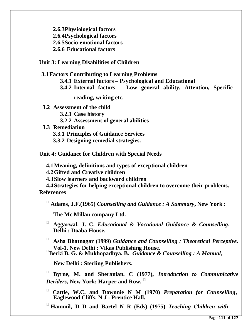**2.6.3Physiological factors 2.6.4Psychological factors 2.6.5Socio-emotional factors**

**2.6.6 Educational factors**

**Unit 3: Learning Disabilities of Children**

**3.1Factors Contributing to Learning Problems**

**3.4.1 External factors – Psychological and Educational**

**3.4.2 Internal factors – Low general ability, Attention, Specific** 

**reading, writing etc.**

**3.2 Assessment of the child**

**3.2.1 Case history**

**3.2.2 Assessment of general abilities**

**3.3 Remediation**

**3.3.1 Principles of Guidance Services**

**3.3.2 Designing remedial strategies.**

**Unit 4: Guidance for Children with Special Needs**

**4.1Meaning, definitions and types of exceptional children**

**4.2Gifted and Creative children**

**4.3Slow learners and backward children**

**4.4Strategies for helping exceptional children to overcome their problems. References**

**Adams, J.F.(1965)** *Counselling and Guidance : A Summary***, New York :**

**The Mc Millan company Ltd.**

 **Aggarwal. J. C.** *Educational & Vocational Guidance & Counselling***. Delhi : Doaba House.** 

 **Asha Bhatnagar (1999)** *Guidance and Counselling : Theoretical Perceptive***. Vol-1. New Delhi : Vikas Publishing House. Berki B. G. & Mukhopadhya. B.***Guidance & Counselling : A Manual,*

 **New Delhi : Sterling Publishers.**

 **Byrne, M. and Sheranian. C (1977),** *Introduction to Communicative Deriders***, New York: Harper and Row.** 

 **Cattle, W.C. and Downnie N M (1970)** *Preparation for Counselling***, Eaglewood Cliffs. N J : Prentice Hall.** 

**Hammil, D D and Bartel N R (Eds) (1975)** *Teaching Children with*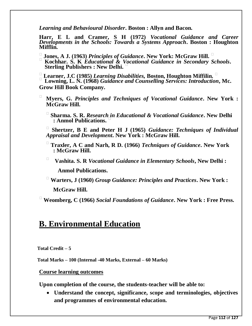*Learning and Behavioural Disorder***. Boston : Allyn and Bacon.**

**Harr, E L and Cramer, S H (1972)** *Vocational Guidance and Career Developments in the Schools: Towards a Systems Approach***. Boston : Houghton Mifflin.** 

- **Jones, A J. (1963)** *Principles of Guidance***. New York: McGraw Hill.**
- **Kochhar. S. K** *Educational & Vocational Guidance in Secondary Schools***. Sterling Publishers : New Delhi.**

 **Learner, J.C (1985)** *Learning Disabilities,* **Boston, Houghton Miffilin. Lowning, L. N. (1968)** *Guidance and Counselling Services: Introduction***, Mc. Grow Hill Book Company.** 

- **Myers, G.** *Principles and Techniques of Vocational Guidance***. New York : McGraw Hill.** 
	- **Sharma. S. R.** *Research in Educational & Vocational Guidance***. New Delhi : Anmol Publications.**

 **Shertzer, B E and Peter H J (1965)** *Guidance: Techniques of Individual Appraisal and Development***. New York : McGraw Hill.**

- **Traxler, A C and Narh, R D. (1966)** *Techniques of Guidance***. New York : McGraw Hill.**
- **Vashita. S. R** *Vocational Guidance in Elementary Schools***, New Delhi : Anmol Publications.**

 **Warters, J (1960)** *Group Guidance: Principles and Practices***. New York : McGraw Hill.** 

**Weomberg, C (1966)** *Social Foundations of Guidance***. New York : Free Press.**

## **B. Environmental Education**

**Total Credit – 5**

**Total Marks – 100 (Internal -40 Marks, External – 60 Marks)** 

#### **Course learning outcomes**

**Upon completion of the course, the students-teacher will be able to:**

 **Understand the concept, significance, scope and terminologies, objectives and programmes of environmental education.**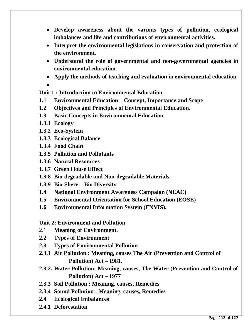- **Develop awareness about the various types of pollution, ecological imbalances and life and contributions of environmental activities.**
- **Interpret the environmental legislations in conservation and protection of the environment.**
- **Understand the role of governmental and non-governmental agencies in environmental education.**
- **Apply the methods of teaching and evaluation in environmental education.**
- $\bullet$

**Unit 1 : Introduction to Environmental Education**

- **1.1 Environmental Education – Concept, Importance and Scope**
- **1.2 Objectives and Principles of Environmental Education.**
- **1.3 Basic Concepts in Environmental Education**
- **1.3.1 Ecology**
- **1.3.2 Eco-System**
- **1.3.3 Ecological Balance**
- **1.3.4 Food Chain**
- **1.3.5 Pollution and Pollutants**
- **1.3.6 Natural Resources**
- **1.3.7 Green House Effect**
- **1.3.8 Bio-degradable and Non-degradable Materials.**
- **1.3.9 Bio-Shere – Bio Diversity**
- **1.4 National Environment Awareness Campaign (NEAC)**
- **1.5 Environmental Orientation for School Education (EOSE)**
- **1.6 Environmental Information System (ENVIS).**

**Unit 2: Environment and Pollution**

- 2.1 **Meaning of Environment.**
- **2.2 Types of Environment**
- **2.3 Types of Environmental Pollution**
- **2.3.1 Air Pollution : Meaning, causes The Air (Prevention and Control of Pollution) Act – 1981.**
- **2.3.2. Water Pollution: Meaning, causes, The Water (Prevention and Control of Pollution) Act – 1977**
- **2.3.3 Soil Pollution : Meaning, causes, Remedies**
- **2.3.4 Sound Pollution : Meaning, causes, Remedies**
- **2.4 Ecological Imbalances**
- **2.4.1 Deforestation**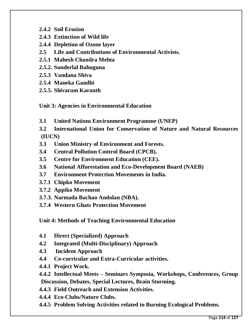- **2.4.2 Soil Erosion**
- **2.4.3 Extinction of Wild life**
- **2.4.4 Depletion of Ozone layer**
- **2.5 Life and Contributions of Environmental Activists.**
- **2.5.1 Mahesh Chandra Mehta**
- **2.5.2. Sunderlal Bahuguna**
- **2.5.3 Vandana Shiva**
- **2.5.4 Maneka Gandhi**
- **2.5.5. Shivaram Karanth**

**Unit 3: Agencies in Environmental Education**

- **3.1 United Nations Environment Programme (UNEP)**
- **3.2 International Union for Conservation of Nature and Natural Resources (IUCN)**
- **3.3 Union Ministry of Environment and Forests.**
- **3.4 Central Pollution Control Board (CPCB).**
- **3.5 Centre for Environment Education (CEE).**
- **3.6 National Afforestation and Eco-Development Board (NAEB)**
- **3.7 Environment Protection Movements in India.**
- **3.7.1 Chipko Movement**
- **3.7.2 Appiko Movement**
- **3.7.3. Narmada Bachao Andolan (NBA).**
- **3.7.4 Western Ghats Protection Movement**

**Unit 4: Methods of Teaching Environmental Education**

- **4.1 Direct (Specialized) Approach**
- **4.2 Integrated (Multi-Disciplinary) Approach**
- **4.3 Incident Approach**
- **4.4 Co-curricular and Extra-Curricular activities.**
- **4.4.1 Project Work.**
- **4.4.2 Intellectual Meets – Seminars Symposia, Workshops, Conferences, Group Discussion, Debates, Special Lectures, Brain Storming.**
- **4.4.3 Field Outreach and Extension Activities.**
- **4.4.4 Eco-Clubs/Nature Clubs.**
- **4.4.5 Problem Solving Activities related to Burning Ecological Problems.**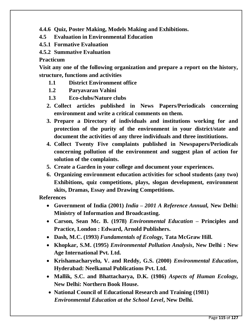**4.4.6 Quiz, Poster Making, Models Making and Exhibitions.**

- **4.5 Evaluation in Environmental Education**
- **4.5.1 Formative Evaluation**
- **4.5.2 Summative Evaluation**

**Practicum**

**Visit any one of the following organization and prepare a report on the history, structure, functions and activities** 

- **1.1 District Environment office**
- **1.2 Paryavaran Vahini**
- **1.3 Eco-clubs/Nature clubs**
- **2. Collect articles published in News Papers/Periodicals concerning environment and write a critical comments on them.**
- **3. Prepare a Directory of individuals and institutions working for and protection of the purity of the environment in your district/state and document the activities of any three individuals and three institiutions.**
- **4. Collect Twenty Five complaints published in Newspapers/Periodicals concerning pollution of the environment and suggest plan of action for solution of the complaints.**
- **5. Create a Garden in your college and document your experiences.**
- **6. Organizing environment education activities for school students (any two) Exhibitions, quiz competitions, plays, slogan development, environment skits, Dramas, Essay and Drawing Competitions.**

**References** 

- **Government of India (2001)** *India – 2001 A Reference Annual,* **New Delhi: Ministry of Information and Broadcasting.**
- **Carson, Sean Mc. B. (1978)** *Environmental Education* **– Principles and Practice, London : Edward, Arnold Publishers.**
- **Dash, M.C. (1993)** *Fundamentals of Ecology,* **Tata McGraw Hill.**
- **Khopkar, S.M. (1995)** *Environmental Pollution Analysis***, New Delhi : New Age International Pvt. Ltd.**
- **Krishamacharyelu, V. and Reddy, G.S. (2000)** *Environmental Education***, Hyderabad: Neelkamal Publications Pvt. Ltd.**
- **Mallik, S.C. and Bhattacharya, D.K. (1986)** *Aspects of Human Ecology,* **New Delhi: Northern Book House.**
- **National Council of Educational Research and Training (1981)** *Environmental Education at the School Level***, New Delhi.**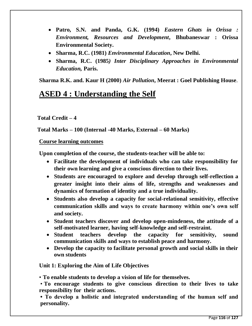- **Patro, S.N. and Panda, G.K. (1994)** *Eastern Ghats in Orissa : Environment, Resources and Development***, Bhubaneswar : Orissa Environmental Society.**
- **Sharma, R.C. (1981)** *Environmental Education***, New Delhi.**
- **Sharma, R.C. (1985***) Inter Disciplinary Approaches in Environmental Education,* **Paris.**

**Sharma R.K. and. Kaur H (2000)** *Air Pollution***, Meerat : Goel Publishing House**.

## **ASED 4 : Understanding the Self**

**Total Credit – 4**

**Total Marks – 100 (Internal -40 Marks, External – 60 Marks)** 

**Course learning outcomes** 

**Upon completion of the course, the students-teacher will be able to:**

- **Facilitate the development of individuals who can take responsibility for their own learning and give a conscious direction to their lives.**
- **Students are encouraged to explore and develop through self-reflection a greater insight into their aims of life, strengths and weaknesses and dynamics of formation of identity and a true individuality.**
- **Students also develop a capacity for social-relational sensitivity, effective communication skills and ways to create harmony within one's own self and society.**
- **Student teachers discover and develop open-mindeness, the attitude of a self-motivated learner, having self-knowledge and self-restraint.**
- **Student teachers develop the capacity for sensitivity, sound communication skills and ways to establish peace and harmony.**
- **Develop the capacity to facilitate personal growth and social skills in their own students**

**Unit 1: Exploring the Aim of Life Objectives**

• **To enable students to develop a vision of life for themselves.**

• **To encourage students to give conscious direction to their lives to take responsibility for their actions.**

**• To develop a holistic and integrated understanding of the human self and personality.**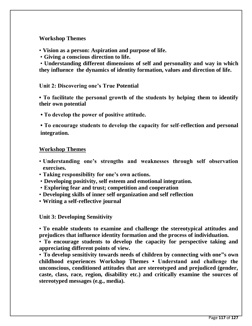#### **Workshop Themes**

- **Vision as a person: Aspiration and purpose of life.**
- **Giving a conscious direction to life.**

• **Understanding different dimensions of self and personality and way in which they influence the dynamics of identity formation, values and direction of life.**

#### **Unit 2: Discovering one's True Potential**

**• To facilitate the personal growth of the students by helping them to identify their own potential**

**• To develop the power of positive attitude.**

**• To encourage students to develop the capacity for self-reflection and personal integration.**

#### **Workshop Themes**

- **Understanding one's strengths and weaknesses through self observation exercises.**
- **Taking responsibility for one's own actions.**
- **Developing positivity, self esteem and emotional integration.**
- **Exploring fear and trust; competition and cooperation**
- **Developing skills of inner self organization and self reflection**
- **Writing a self-reflective journal**

**Unit 3: Developing Sensitivity**

• **To enable students to examine and challenge the stereotypical attitudes and prejudices that influence identity formation and the process of individuation.**

• **To encourage students to develop the capacity for perspective taking and appreciating different points of view.**

• **To develop sensitivity towards needs of children by connecting with one"s own childhood experiences Workshop Themes • Understand and challenge the unconscious, conditioned attitudes that are stereotyped and prejudiced (gender, caste, class, race, region, disability etc.) and critically examine the sources of stereotyped messages (e.g., media).**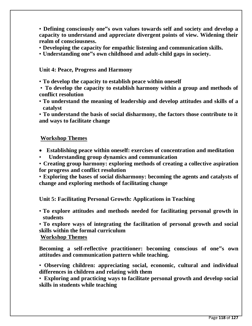• **Defining consciously one"s own values towards self and society and develop a capacity to understand and appreciate divergent points of view. Widening their realm of consciousness.**

- **Developing the capacity for empathic listening and communication skills.**
- **Understanding one"s own childhood and adult-child gaps in society.**

#### **Unit 4: Peace, Progress and Harmony**

• **To develop the capacity to establish peace within oneself**

• **To develop the capacity to establish harmony within a group and methods of conflict resolution**

• **To understand the meaning of leadership and develop attitudes and skills of a catalyst**

• **To understand the basis of social disharmony, the factors those contribute to it and ways to facilitate change**

#### **Workshop Themes**

- **Establishing peace within oneself: exercises of concentration and meditation**
- • **Understanding group dynamics and communication**

• **Creating group harmony: exploring methods of creating a collective aspiration for progress and conflict resolution**

• **Exploring the bases of social disharmony: becoming the agents and catalysts of change and exploring methods of facilitating change**

**Unit 5: Facilitating Personal Growth: Applications in Teaching**

• **To explore attitudes and methods needed for facilitating personal growth in students**

• **To explore ways of integrating the facilitation of personal growth and social skills within the formal curriculum**

**Workshop Themes**

**Becoming a self-reflective practitioner: becoming conscious of one"s own attitudes and communication pattern while teaching.**

• **Observing children: appreciating social, economic, cultural and individual differences in children and relating with them**

• **Exploring and practicing ways to facilitate personal growth and develop social skills in students while teaching**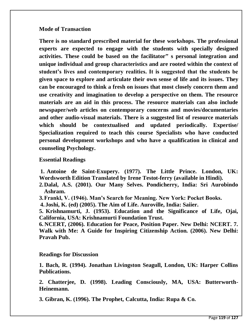#### **Mode of Transaction**

**There is no standard prescribed material for these workshops. The professional experts are expected to engage with the students with specially designed activities. These could be based on the facilitator" s personal integration and unique individual and group characteristics and are rooted within the context of student's lives and contemporary realities. It is suggested that the students be given space to explore and articulate their own sense of life and its issues. They can be encouraged to think a fresh on issues that most closely concern them and use creativity and imagination to develop a perspective on them. The resource materials are an aid in this process. The resource materials can also include newspaper/web articles on contemporary concerns and movies/documentaries and other audio-visual materials. There is a suggested list of resource materials which should be contextualised and updated periodically. Expertise/ Specialization required to teach this course Specialists who have conducted personal development workshops and who have a qualification in clinical and counseling Psychology.**

#### **Essential Readings**

**1. Antoine de Saint-Exupery. (1977). The Little Prince. London, UK: Wordsworth Edition Translated by Irene Testot-ferry (available in Hindi).**

- **2.Dalal, A.S. (2001). Our Many Selves. Pondicherry, India: Sri Aurobindo Ashram.**
- **3.Frankl, V. (1946). Man's Search for Meaning. New York: Pocket Books.**
- **4. Joshi, K. (ed) (2005). The Aim of Life. Auroville, India: Saiier.**

**5. Krishnamurti, J. (1953). Education and the Significance of Life, Ojai, California, USA: Krishnamurti Foundation Trust.**

**6. NCERT, (2006). Education for Peace, Position Paper. New Delhi: NCERT. 7. Walk with Me: A Guide for Inspiring Citizenship Action. (2006). New Delhi: Pravah Pub.**

#### **Readings for Discussion**

**1. Bach, R. (1994). Jonathan Livingston Seagull, London, UK: Harper Collins Publications.**

**2. Chatterjee, D. (1998). Leading Consciously, MA, USA: Butterworth-Heinemann.**

**3. Gibran, K. (1996). The Prophet, Calcutta, India: Rupa & Co.**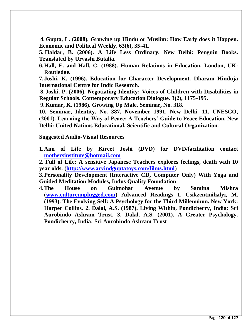**4. Gupta, L. (2008). Growing up Hindu or Muslim: How Early does it Happen. Economic and Political Weekly, 63(6), 35-41.**

**5. Haldar, B. (2006). A Life Less Ordinary. New Delhi: Penguin Books. Translated by Urvashi Butalia.**

**6.Hall, E. and Hall, C. (1988). Human Relations in Education. London, UK: Routledge.**

**7. Joshi, K. (1996). Education for Character Development. Dharam Hinduja International Centre for Indic Research.**

**8. Joshi, P. (2006). Negotiating Identity: Voices of Children with Disabilities in Regular Schools. Contemporary Education Dialogue. 3(2), 1175-195.**

**9.Kumar, K. (1986). Growing Up Male, Seminar, No. 318.**

**10. Seminar, Identity. No. 387, November 1991. New Delhi. 11. UNESCO, (2001). Learning the Way of Peace: A Teachers' Guide to Peace Education. New Delhi: United Nations Educational, Scientific and Cultural Organization.**

**Suggested Audio-Visual Resources**

**1.Aim of Life by Kireet Joshi (DVD) for DVD/facilitation contact [mothersinstitute@hotmail.com](mailto:mothersinstitute@hotmail.com)**

**2. Full of Life: A sensitive Japanese Teachers explores feelings, death with 10 year olds. [\(http://www.arvindguptatoys.com/films.html\)](http://www.arvindguptatoys.com/films.html)**

**3.Personality Development (Interactive CD, Computer Only) With Yoga and Guided Meditation Modules, Indus Quality Foundation**

**4.The House on Gulmohar Avenue by Samina Mishra [\(www.cultureunplugged.com\)](http://www.cultureunplugged.com/) Advanced Readings 1. Csikzentmihalyi, M. (1993). The Evolving Self: A Psychology for the Third Millennium. New York: Harper Collins. 2. Dalal, A.S. (1987). Living Within, Pondicherry, India: Sri Aurobindo Ashram Trust. 3. Dalal, A.S. (2001). A Greater Psychology. Pondicherry, India: Sri Aurobindo Ashram Trust**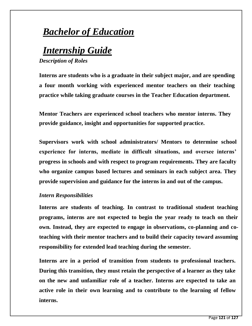## *Bachelor of Education*

# *Internship Guide*

*Description of Roles*

**Interns are students who is a graduate in their subject major, and are spending a four month working with experienced mentor teachers on their teaching practice while taking graduate courses in the Teacher Education department.**

**Mentor Teachers are experienced school teachers who mentor interns. They provide guidance, insight and opportunities for supported practice.**

**Supervisors work with school administrators/ Mentors to determine school experience for interns, mediate in difficult situations, and oversee interns' progress in schools and with respect to program requirements. They are faculty who organize campus based lectures and seminars in each subject area. They provide supervision and guidance for the interns in and out of the campus.**

#### *Intern Responsibilities*

**Interns are students of teaching. In contrast to traditional student teaching programs, interns are not expected to begin the year ready to teach on their own. Instead, they are expected to engage in observations, co-planning and coteaching with their mentor teachers and to build their capacity toward assuming responsibility for extended lead teaching during the semester.**

**Interns are in a period of transition from students to professional teachers. During this transition, they must retain the perspective of a learner as they take on the new and unfamiliar role of a teacher. Interns are expected to take an active role in their own learning and to contribute to the learning of fellow interns.**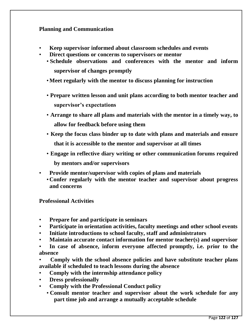#### **Planning and Communication**

- **Keep supervisor informed about classroom schedules and events**
- **Direct questions or concerns to supervisors or mentor**
	- **Schedule observations and conferences with the mentor and inform supervisor of changes promptly**
	- •**Meet regularly with the mentor to discuss planning for instruction**
	- **Prepare written lesson and unit plans according to both mentor teacher and supervisor's expectations**
	- **Arrange to share all plans and materials with the mentor in a timely way, to allow for feedback before using them**
	- **Keep the focus class binder up to date with plans and materials and ensure that it is accessible to the mentor and supervisor at all times**
	- **Engage in reflective diary writing or other communication forums required by mentors and/or supervisors**
- **Provide mentor/supervisor with copies of plans and materials**
	- **Confer regularly with the mentor teacher and supervisor about progress and concerns**

#### **Professional Activities**

- **Prepare for and participate in seminars**
- **Participate in orientation activities, faculty meetings and other school events**
- **Initiate introductions to school faculty, staff and administrators**
- **Maintain accurate contact information for mentor teacher(s) and supervisor**
- **In case of absence, inform everyone affected promptly, i.e. prior to the absence**
- **Comply with the school absence policies and have substitute teacher plans available if scheduled to teach lessons during the absence**
- **Comply with the internship attendance policy**
- **Dress professionally**
- **Comply with the Professional Conduct policy**
	- **Consult mentor teacher and supervisor about the work schedule for any part time job and arrange a mutually acceptable schedule**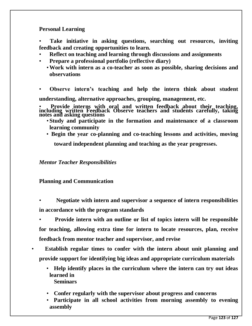**Personal Learning**

• **Take initiative in asking questions, searching out resources, inviting feedback and creating opportunities to learn.**

- **Reflect on teaching and learning through discussions and assignments**
- **Prepare a professional portfolio (reflective diary)**
	- •**Work with intern as a co-teacher as soon as possible, sharing decisions and observations**

• **Observe intern's teaching and help the intern think about student understanding, alternative approaches, grouping, management, etc.**

• **Provide interns with oral and written feedback about their teaching, including written Feedback Observe teachers and students carefully, taking notes and asking questions**

- **Study and participate in the formation and maintenance of a classroom learning community**
- **Begin the year co-planning and co-teaching lessons and activities, moving**

**toward independent planning and teaching as the year progresses.**

*Mentor Teacher Responsibilities*

#### **Planning and Communication**

• **Negotiate with intern and supervisor a sequence of intern responsibilities in accordance with the program standards**

• **Provide intern with an outline or list of topics intern will be responsible for teaching, allowing extra time for intern to locate resources, plan, receive feedback from mentor teacher and supervisor, and revise**

- • **Establish regular times to confer with the intern about unit planning and provide support for identifying big ideas and appropriate curriculum materials**
	- • **Help identify places in the curriculum where the intern can try out ideas learned in Seminars**
	- • **Confer regularly with the supervisor about progress and concerns**
	- • **Participate in all school activities from morning assembly to evening assembly**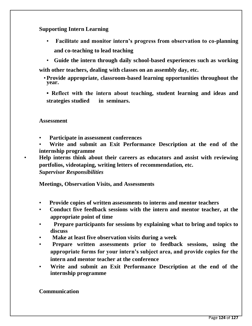#### **Supporting Intern Learning**

• **Facilitate and monitor intern's progress from observation to co-planning and co-teaching to lead teaching**

• **Guide the intern through daily school-based experiences such as working with other teachers, dealing with classes on an assembly day, etc.**

•**Provide appropriate, classroom-based learning opportunities throughout the year.**

**• Reflect with the intern about teaching, student learning and ideas and strategies studied in seminars.**

#### **Assessment**

- **Participate in assessment conferences**
- **Write and submit an Exit Performance Description at the end of the internship programme**

• **Help interns think about their careers as educators and assist with reviewing portfolios, videotaping, writing letters of recommendation, etc.** *Supervisor Responsibilities*

**Meetings, Observation Visits, and Assessments**

- **Provide copies of written assessments to interns and mentor teachers**
- **Conduct five feedback sessions with the intern and mentor teacher, at the appropriate point of time**
- • **Prepare participants for sessions by explaining what to bring and topics to discuss**
- • **Make at least five observation visits during a week**
- • **Prepare written assessments prior to feedback sessions, using the appropriate forms for your intern's subject area, and provide copies for the intern and mentor teacher at the conference**
- **Write and submit an Exit Performance Description at the end of the internship programme**

**Communication**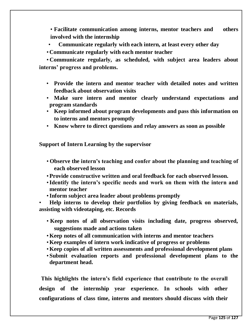• **Facilitate communication among interns, mentor teachers and others involved with the internship**

- • **Communicate regularly with each intern, at least every other day**
- **Communicate regularly with each mentor teacher**

• **Communicate regularly, as scheduled, with subject area leaders about interns' progress and problems.**

- **Provide the intern and mentor teacher with detailed notes and written feedback about observation visits**
- **Make sure intern and mentor clearly understand expectations and program standards**
- **Keep informed about program developments and pass this information on to interns and mentors promptly**
- **Know where to direct questions and relay answers as soon as possible**

**Support of Intern Learning by the supervisor**

- **Observe the intern's teaching and confer about the planning and teaching of each observed lesson**
- •**Provide constructive written and oral feedback for each observed lesson.**
- •**Identify the intern's specific needs and work on them with the intern and mentor teacher**
- •**Inform subject area leader about problems promptly**

• **Help interns to develop their portfolios by giving feedback on materials, assisting with videotaping, etc. Records**

- **Keep notes of all observation visits including date, progress observed, suggestions made and actions taken**
- •**Keep notes of all communication with interns and mentor teachers**
- •**Keep examples of intern work indicative of progress or problems**
- •**Keep copies of all written assessments and professional development plans**
- **Submit evaluation reports and professional development plans to the department head.**

**This highlights the intern's field experience that contribute to the overall design of the internship year experience. In schools with other configurations of class time, interns and mentors should discuss with their**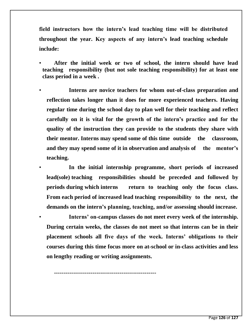**field instructors how the intern's lead teaching time will be distributed throughout the year. Key aspects of any intern's lead teaching schedule include:**

- **After the initial week or two of school, the intern should have lead teaching responsibility (but not sole teaching responsibility) for at least one class period in a week .**
- **Interns are novice teachers for whom out-of-class preparation and reflection takes longer than it does for more experienced teachers. Having regular time during the school day to plan well for their teaching and reflect carefully on it is vital for the growth of the intern's practice and for the quality of the instruction they can provide to the students they share with their mentor. Interns may spend some of this time outside the classroom, and they may spend some of it in observation and analysis of the mentor's teaching.**

• **In the initial internship programme, short periods of increased lead(sole) teaching responsibilities should be preceded and followed by periods during which interns return to teaching only the focus class. From each period of increased lead teaching responsibility to the next, the demands on the intern's planning, teaching, and/or assessing should increase.**

• **Interns' on-campus classes do not meet every week of the internship. During certain weeks, the classes do not meet so that interns can be in their placement schools all five days of the week. Interns' obligations to their courses during this time focus more on at-school or in-class activities and less on lengthy reading or writing assignments.**

**-----------------------------------------------------**